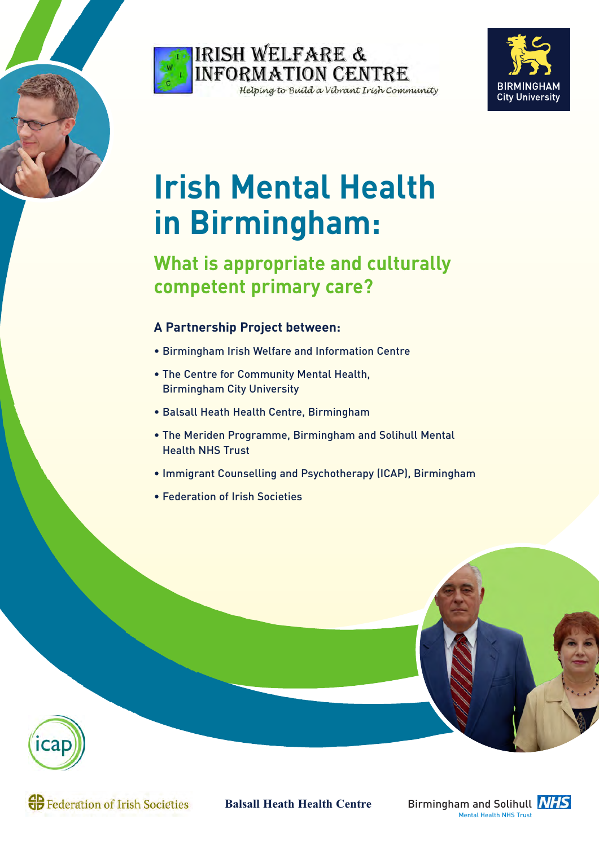





# **Irish Mental Health in Birmingham:**

# **What is appropriate and culturally competent primary care?**

# **A Partnership Project between:**

- Birmingham Irish Welfare and Information Centre
- The Centre for Community Mental Health, Birmingham City University
- Balsall Heath Health Centre, Birmingham
- The Meriden Programme, Birmingham and Solihull Mental Health NHS Trust
- Immigrant Counselling and Psychotherapy (ICAP), Birmingham
- Federation of Irish Societies



**GB** Federation of Irish Societies

**Balsall Heath Health Centre**

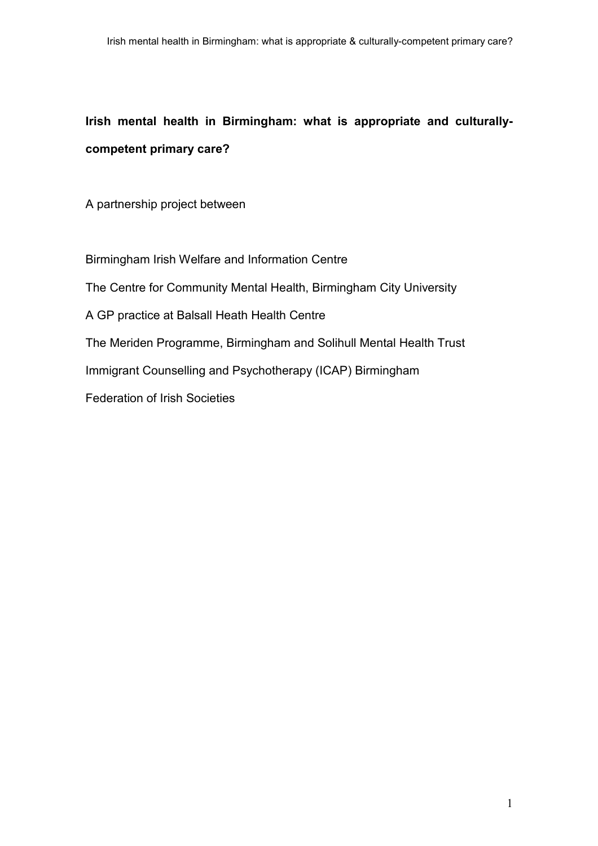A partnership project between

Birmingham Irish Welfare and Information Centre The Centre for Community Mental Health, Birmingham City University A GP practice at Balsall Heath Health Centre The Meriden Programme, Birmingham and Solihull Mental Health Trust Immigrant Counselling and Psychotherapy (ICAP) Birmingham Federation of Irish Societies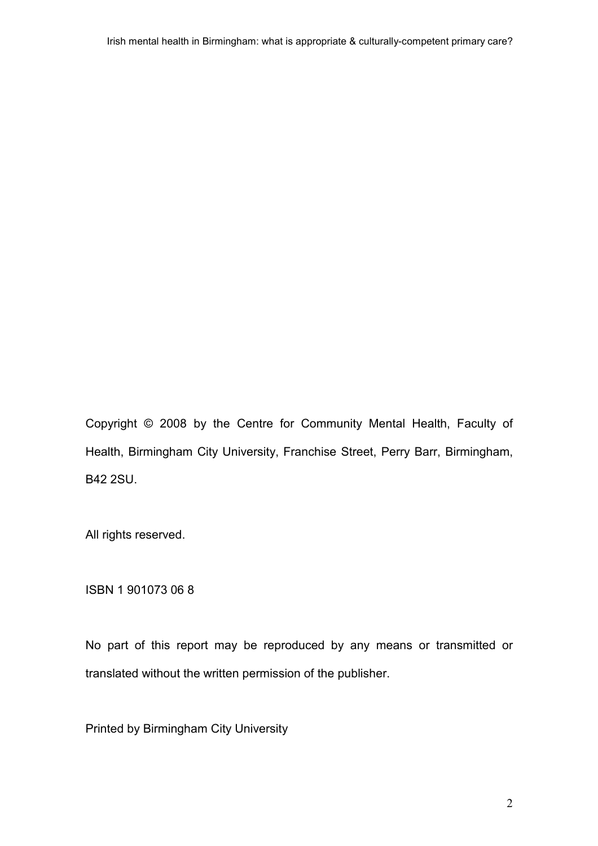Copyright © 2008 by the Centre for Community Mental Health, Faculty of Health, Birmingham City University, Franchise Street, Perry Barr, Birmingham, B42 2SU.

All rights reserved.

ISBN 1 901073 06 8

No part of this report may be reproduced by any means or transmitted or translated without the written permission of the publisher.

Printed by Birmingham City University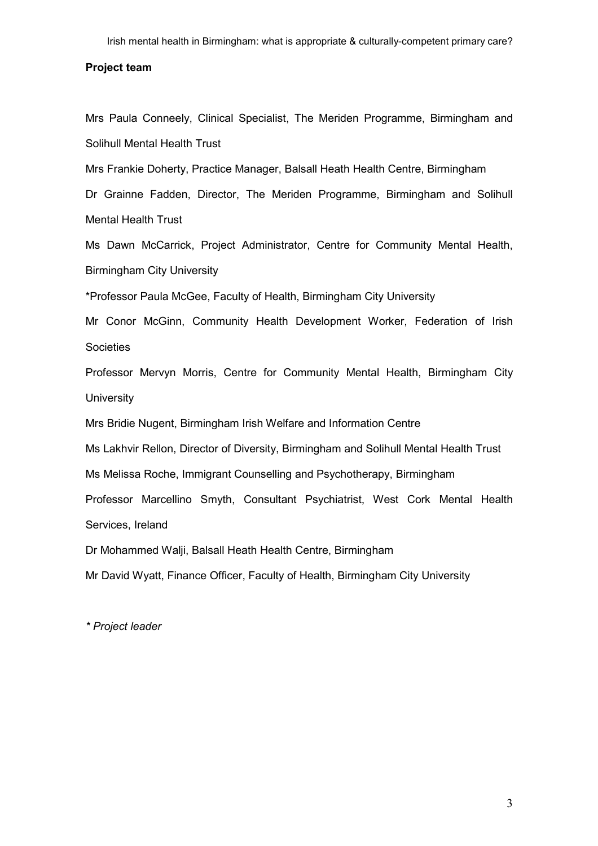#### Project team

Mrs Paula Conneely, Clinical Specialist, The Meriden Programme, Birmingham and Solihull Mental Health Trust

Mrs Frankie Doherty, Practice Manager, Balsall Heath Health Centre, Birmingham

Dr Grainne Fadden, Director, The Meriden Programme, Birmingham and Solihull Mental Health Trust

Ms Dawn McCarrick, Project Administrator, Centre for Community Mental Health, Birmingham City University

\*Professor Paula McGee, Faculty of Health, Birmingham City University

Mr Conor McGinn, Community Health Development Worker, Federation of Irish **Societies** 

Professor Mervyn Morris, Centre for Community Mental Health, Birmingham City **University** 

Mrs Bridie Nugent, Birmingham Irish Welfare and Information Centre

Ms Lakhvir Rellon, Director of Diversity, Birmingham and Solihull Mental Health Trust

Ms Melissa Roche, Immigrant Counselling and Psychotherapy, Birmingham

Professor Marcellino Smyth, Consultant Psychiatrist, West Cork Mental Health Services, Ireland

Dr Mohammed Walji, Balsall Heath Health Centre, Birmingham

Mr David Wyatt, Finance Officer, Faculty of Health, Birmingham City University

\* Project leader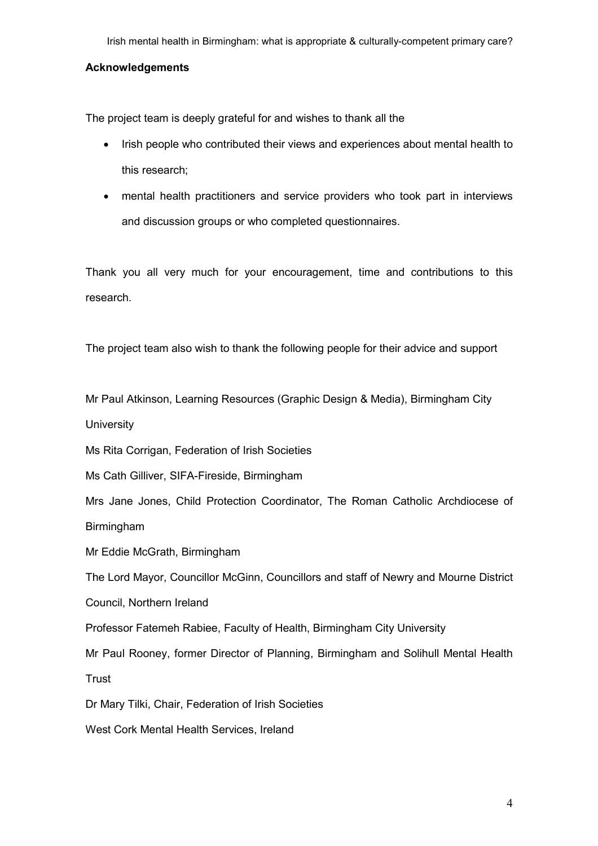## **Acknowledgements**

The project team is deeply grateful for and wishes to thank all the

- Irish people who contributed their views and experiences about mental health to this research;
- mental health practitioners and service providers who took part in interviews and discussion groups or who completed questionnaires.

Thank you all very much for your encouragement, time and contributions to this research.

The project team also wish to thank the following people for their advice and support

Mr Paul Atkinson, Learning Resources (Graphic Design & Media), Birmingham City

**University** 

Ms Rita Corrigan, Federation of Irish Societies

Ms Cath Gilliver, SIFA-Fireside, Birmingham

Mrs Jane Jones, Child Protection Coordinator, The Roman Catholic Archdiocese of Birmingham

Mr Eddie McGrath, Birmingham

The Lord Mayor, Councillor McGinn, Councillors and staff of Newry and Mourne District

Council, Northern Ireland

Professor Fatemeh Rabiee, Faculty of Health, Birmingham City University

Mr Paul Rooney, former Director of Planning, Birmingham and Solihull Mental Health **Trust** 

Dr Mary Tilki, Chair, Federation of Irish Societies

West Cork Mental Health Services, Ireland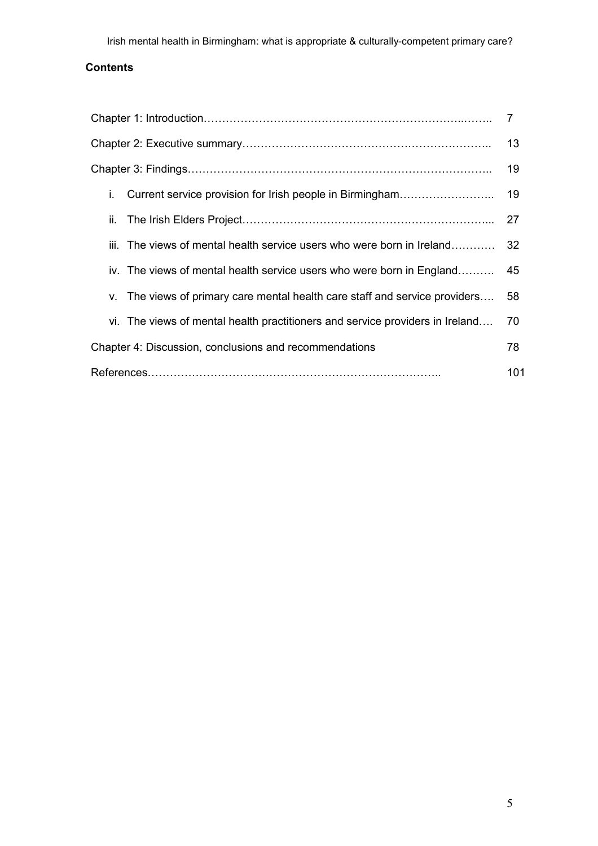# **Contents**

|                                                                               | 7   |
|-------------------------------------------------------------------------------|-----|
|                                                                               | 13  |
|                                                                               | 19  |
| i.                                                                            |     |
| ii.                                                                           | 27  |
| iii. The views of mental health service users who were born in Ireland        | -32 |
| iv. The views of mental health service users who were born in England         | -45 |
| v. The views of primary care mental health care staff and service providers   | 58  |
| vi. The views of mental health practitioners and service providers in Ireland | 70  |
| Chapter 4: Discussion, conclusions and recommendations                        | 78  |
|                                                                               | 101 |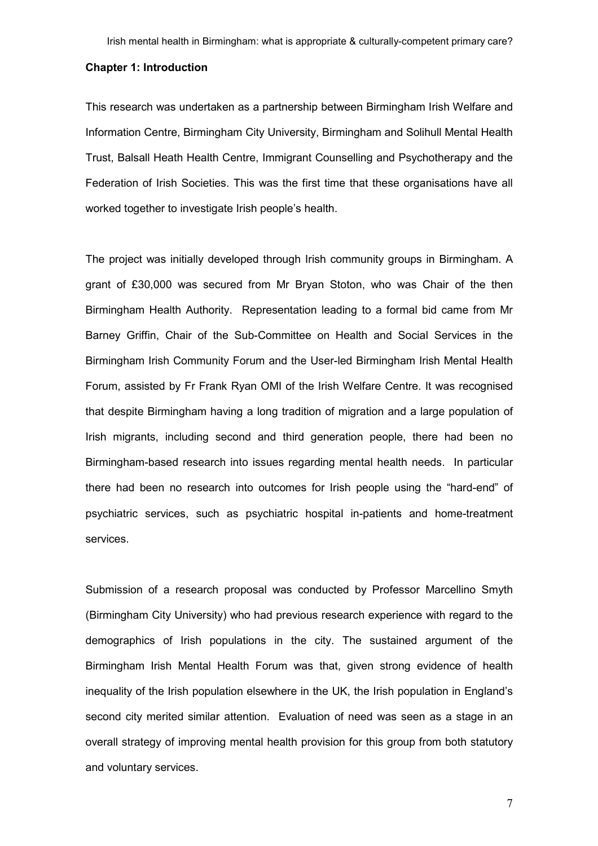#### Chapter 1: Introduction

This research was undertaken as a partnership between Birmingham Irish Welfare and Information Centre, Birmingham City University, Birmingham and Solihull Mental Health Trust, Balsall Heath Health Centre, Immigrant Counselling and Psychotherapy and the Federation of Irish Societies. This was the first time that these organisations have all worked together to investigate Irish people's health.

The project was initially developed through Irish community groups in Birmingham. A grant of £30,000 was secured from Mr Bryan Stoton, who was Chair of the then Birmingham Health Authority. Representation leading to a formal bid came from Mr Barney Griffin, Chair of the Sub-Committee on Health and Social Services in the Birmingham Irish Community Forum and the User-led Birmingham Irish Mental Health Forum, assisted by Fr Frank Ryan OMI of the Irish Welfare Centre. It was recognised that despite Birmingham having a long tradition of migration and a large population of Irish migrants, including second and third generation people, there had been no Birmingham-based research into issues regarding mental health needs. In particular there had been no research into outcomes for Irish people using the "hard-end" of psychiatric services, such as psychiatric hospital in-patients and home-treatment services.

Submission of a research proposal was conducted by Professor Marcellino Smyth (Birmingham City University) who had previous research experience with regard to the demographics of Irish populations in the city. The sustained argument of the Birmingham Irish Mental Health Forum was that, given strong evidence of health inequality of the Irish population elsewhere in the UK, the Irish population in England's second city merited similar attention. Evaluation of need was seen as a stage in an overall strategy of improving mental health provision for this group from both statutory and voluntary services.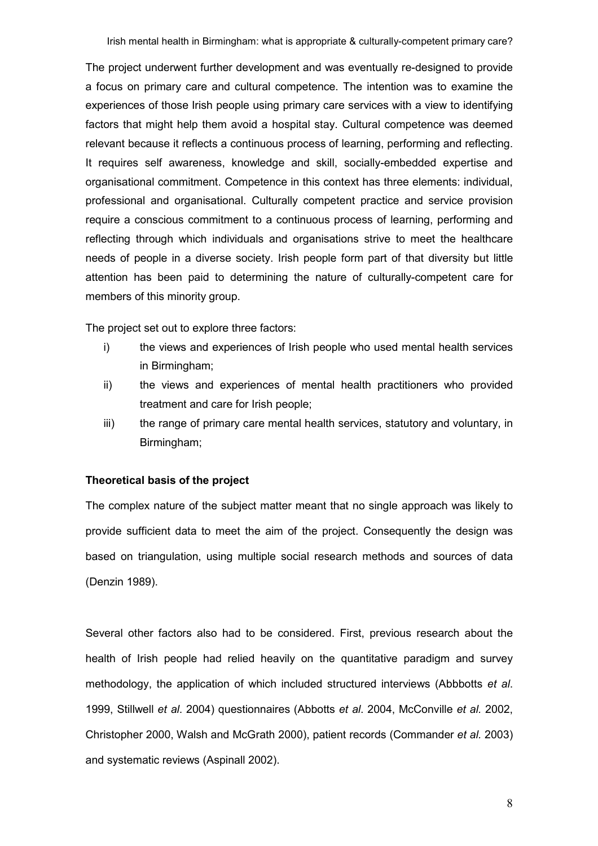The project underwent further development and was eventually re-designed to provide a focus on primary care and cultural competence. The intention was to examine the experiences of those Irish people using primary care services with a view to identifying factors that might help them avoid a hospital stay. Cultural competence was deemed relevant because it reflects a continuous process of learning, performing and reflecting. It requires self awareness, knowledge and skill, socially-embedded expertise and organisational commitment. Competence in this context has three elements: individual, professional and organisational. Culturally competent practice and service provision require a conscious commitment to a continuous process of learning, performing and reflecting through which individuals and organisations strive to meet the healthcare needs of people in a diverse society. Irish people form part of that diversity but little attention has been paid to determining the nature of culturally-competent care for members of this minority group.

The project set out to explore three factors:

- i) the views and experiences of Irish people who used mental health services in Birmingham;
- ii) the views and experiences of mental health practitioners who provided treatment and care for Irish people;
- iii) the range of primary care mental health services, statutory and voluntary, in Birmingham;

# Theoretical basis of the project

The complex nature of the subject matter meant that no single approach was likely to provide sufficient data to meet the aim of the project. Consequently the design was based on triangulation, using multiple social research methods and sources of data (Denzin 1989).

Several other factors also had to be considered. First, previous research about the health of Irish people had relied heavily on the quantitative paradigm and survey methodology, the application of which included structured interviews (Abbbotts et al. 1999, Stillwell et al. 2004) questionnaires (Abbotts et al. 2004, McConville et al. 2002, Christopher 2000, Walsh and McGrath 2000), patient records (Commander et al. 2003) and systematic reviews (Aspinall 2002).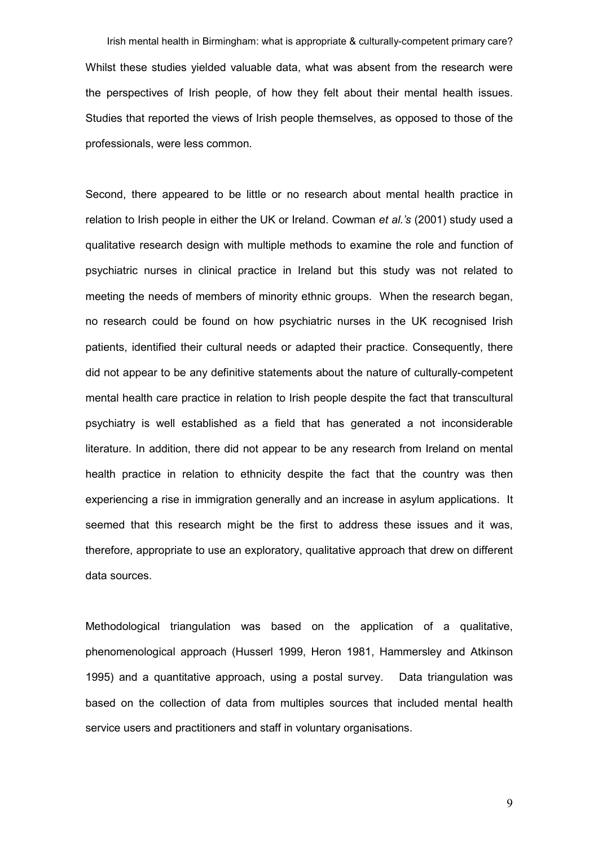Irish mental health in Birmingham: what is appropriate & culturally-competent primary care? Whilst these studies yielded valuable data, what was absent from the research were the perspectives of Irish people, of how they felt about their mental health issues. Studies that reported the views of Irish people themselves, as opposed to those of the professionals, were less common.

Second, there appeared to be little or no research about mental health practice in relation to Irish people in either the UK or Ireland. Cowman et al.'s (2001) study used a qualitative research design with multiple methods to examine the role and function of psychiatric nurses in clinical practice in Ireland but this study was not related to meeting the needs of members of minority ethnic groups. When the research began, no research could be found on how psychiatric nurses in the UK recognised Irish patients, identified their cultural needs or adapted their practice. Consequently, there did not appear to be any definitive statements about the nature of culturally-competent mental health care practice in relation to Irish people despite the fact that transcultural psychiatry is well established as a field that has generated a not inconsiderable literature. In addition, there did not appear to be any research from Ireland on mental health practice in relation to ethnicity despite the fact that the country was then experiencing a rise in immigration generally and an increase in asylum applications. It seemed that this research might be the first to address these issues and it was, therefore, appropriate to use an exploratory, qualitative approach that drew on different data sources.

Methodological triangulation was based on the application of a qualitative, phenomenological approach (Husserl 1999, Heron 1981, Hammersley and Atkinson 1995) and a quantitative approach, using a postal survey. Data triangulation was based on the collection of data from multiples sources that included mental health service users and practitioners and staff in voluntary organisations.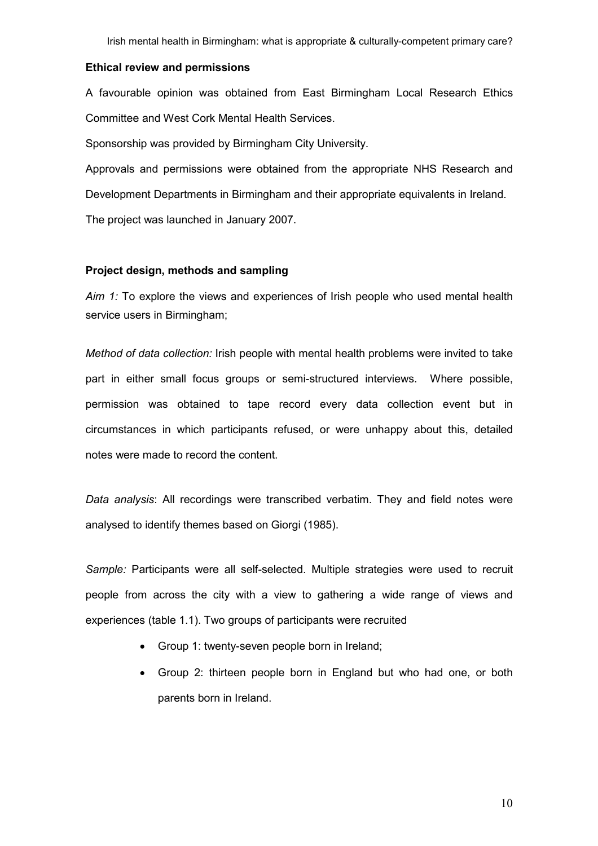#### Ethical review and permissions

A favourable opinion was obtained from East Birmingham Local Research Ethics Committee and West Cork Mental Health Services.

Sponsorship was provided by Birmingham City University.

Approvals and permissions were obtained from the appropriate NHS Research and Development Departments in Birmingham and their appropriate equivalents in Ireland. The project was launched in January 2007.

#### Project design, methods and sampling

Aim 1: To explore the views and experiences of Irish people who used mental health service users in Birmingham;

Method of data collection: Irish people with mental health problems were invited to take part in either small focus groups or semi-structured interviews. Where possible, permission was obtained to tape record every data collection event but in circumstances in which participants refused, or were unhappy about this, detailed notes were made to record the content.

Data analysis: All recordings were transcribed verbatim. They and field notes were analysed to identify themes based on Giorgi (1985).

Sample: Participants were all self-selected. Multiple strategies were used to recruit people from across the city with a view to gathering a wide range of views and experiences (table 1.1). Two groups of participants were recruited

- Group 1: twenty-seven people born in Ireland;
- Group 2: thirteen people born in England but who had one, or both parents born in Ireland.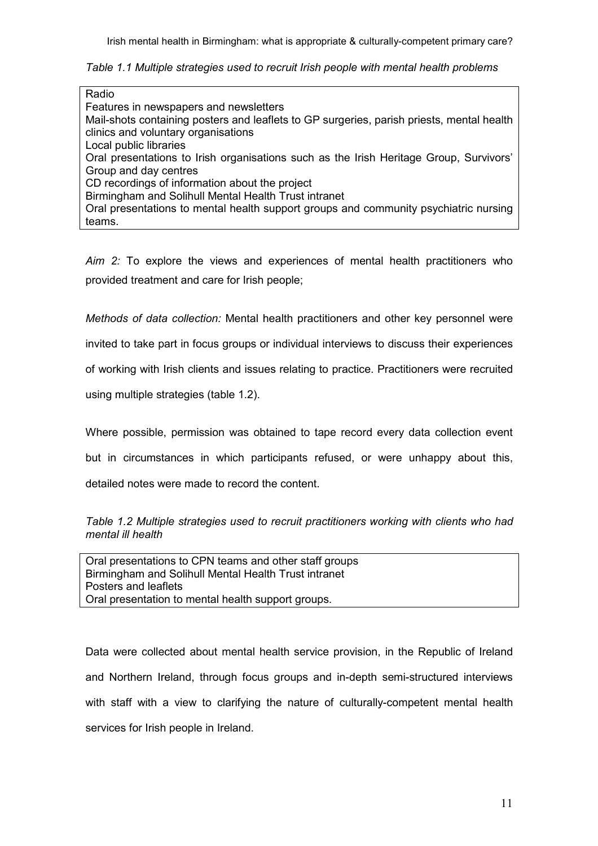Table 1.1 Multiple strategies used to recruit Irish people with mental health problems

| Radio                                                                                                                            |
|----------------------------------------------------------------------------------------------------------------------------------|
| Features in newspapers and newsletters                                                                                           |
| Mail-shots containing posters and leaflets to GP surgeries, parish priests, mental health<br>clinics and voluntary organisations |
| Local public libraries                                                                                                           |
| Oral presentations to Irish organisations such as the Irish Heritage Group, Survivors'                                           |
| Group and day centres                                                                                                            |
| CD recordings of information about the project                                                                                   |
| Birmingham and Solihull Mental Health Trust intranet                                                                             |
| Oral presentations to mental health support groups and community psychiatric nursing                                             |
| teams.                                                                                                                           |

Aim 2: To explore the views and experiences of mental health practitioners who provided treatment and care for Irish people;

Methods of data collection: Mental health practitioners and other key personnel were

invited to take part in focus groups or individual interviews to discuss their experiences

of working with Irish clients and issues relating to practice. Practitioners were recruited

using multiple strategies (table 1.2).

Where possible, permission was obtained to tape record every data collection event

but in circumstances in which participants refused, or were unhappy about this,

detailed notes were made to record the content.

Table 1.2 Multiple strategies used to recruit practitioners working with clients who had mental ill health

Oral presentations to CPN teams and other staff groups Birmingham and Solihull Mental Health Trust intranet Posters and leaflets Oral presentation to mental health support groups.

Data were collected about mental health service provision, in the Republic of Ireland and Northern Ireland, through focus groups and in-depth semi-structured interviews with staff with a view to clarifying the nature of culturally-competent mental health services for Irish people in Ireland.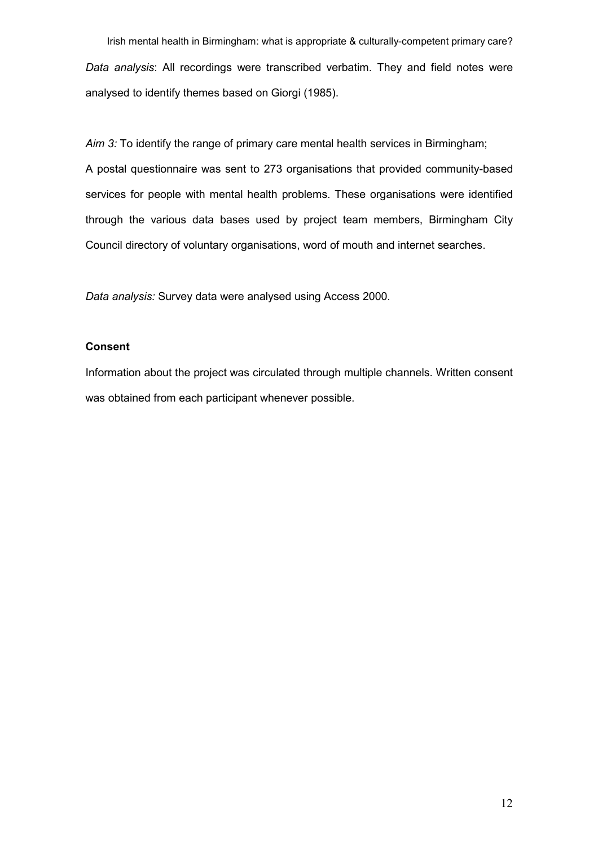Irish mental health in Birmingham: what is appropriate & culturally-competent primary care? Data analysis: All recordings were transcribed verbatim. They and field notes were analysed to identify themes based on Giorgi (1985).

Aim 3: To identify the range of primary care mental health services in Birmingham; A postal questionnaire was sent to 273 organisations that provided community-based services for people with mental health problems. These organisations were identified through the various data bases used by project team members, Birmingham City Council directory of voluntary organisations, word of mouth and internet searches.

Data analysis: Survey data were analysed using Access 2000.

# Consent

Information about the project was circulated through multiple channels. Written consent was obtained from each participant whenever possible.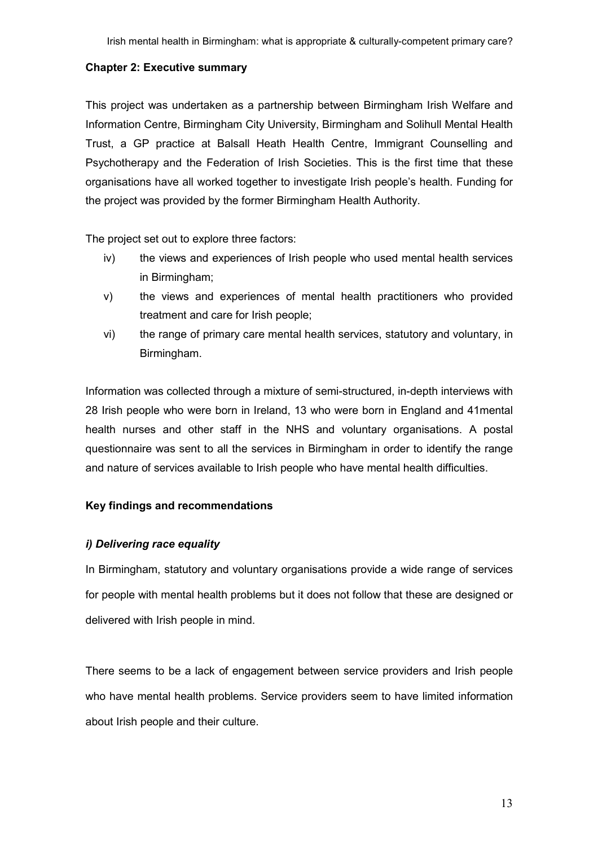# Chapter 2: Executive summary

This project was undertaken as a partnership between Birmingham Irish Welfare and Information Centre, Birmingham City University, Birmingham and Solihull Mental Health Trust, a GP practice at Balsall Heath Health Centre, Immigrant Counselling and Psychotherapy and the Federation of Irish Societies. This is the first time that these organisations have all worked together to investigate Irish people's health. Funding for the project was provided by the former Birmingham Health Authority.

The project set out to explore three factors:

- iv) the views and experiences of Irish people who used mental health services in Birmingham;
- v) the views and experiences of mental health practitioners who provided treatment and care for Irish people;
- vi) the range of primary care mental health services, statutory and voluntary, in Birmingham.

Information was collected through a mixture of semi-structured, in-depth interviews with 28 Irish people who were born in Ireland, 13 who were born in England and 41mental health nurses and other staff in the NHS and voluntary organisations. A postal questionnaire was sent to all the services in Birmingham in order to identify the range and nature of services available to Irish people who have mental health difficulties.

# Key findings and recommendations

# i) Delivering race equality

In Birmingham, statutory and voluntary organisations provide a wide range of services for people with mental health problems but it does not follow that these are designed or delivered with Irish people in mind.

There seems to be a lack of engagement between service providers and Irish people who have mental health problems. Service providers seem to have limited information about Irish people and their culture.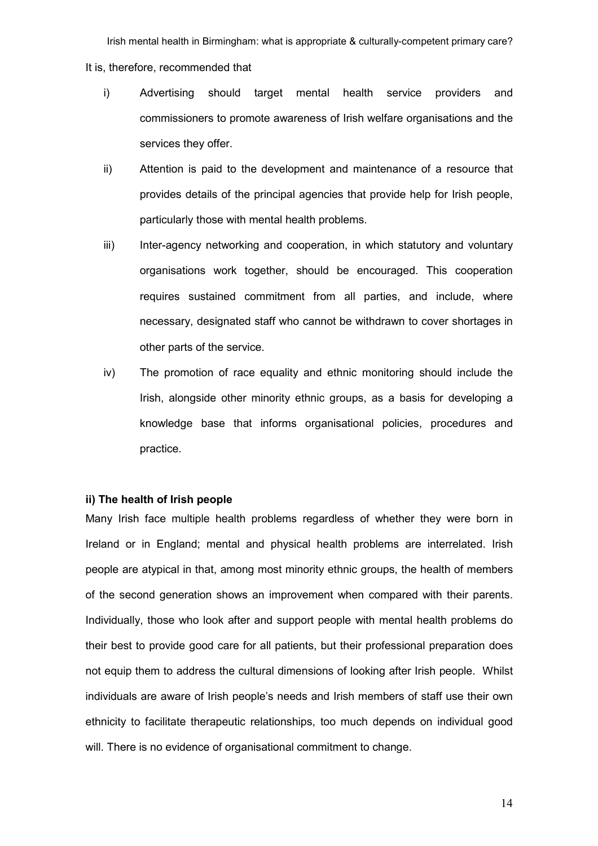Irish mental health in Birmingham: what is appropriate & culturally-competent primary care? It is, therefore, recommended that

- i) Advertising should target mental health service providers and commissioners to promote awareness of Irish welfare organisations and the services they offer.
- ii) Attention is paid to the development and maintenance of a resource that provides details of the principal agencies that provide help for Irish people, particularly those with mental health problems.
- iii) Inter-agency networking and cooperation, in which statutory and voluntary organisations work together, should be encouraged. This cooperation requires sustained commitment from all parties, and include, where necessary, designated staff who cannot be withdrawn to cover shortages in other parts of the service.
- iv) The promotion of race equality and ethnic monitoring should include the Irish, alongside other minority ethnic groups, as a basis for developing a knowledge base that informs organisational policies, procedures and practice.

### ii) The health of Irish people

Many Irish face multiple health problems regardless of whether they were born in Ireland or in England; mental and physical health problems are interrelated. Irish people are atypical in that, among most minority ethnic groups, the health of members of the second generation shows an improvement when compared with their parents. Individually, those who look after and support people with mental health problems do their best to provide good care for all patients, but their professional preparation does not equip them to address the cultural dimensions of looking after Irish people. Whilst individuals are aware of Irish people's needs and Irish members of staff use their own ethnicity to facilitate therapeutic relationships, too much depends on individual good will. There is no evidence of organisational commitment to change.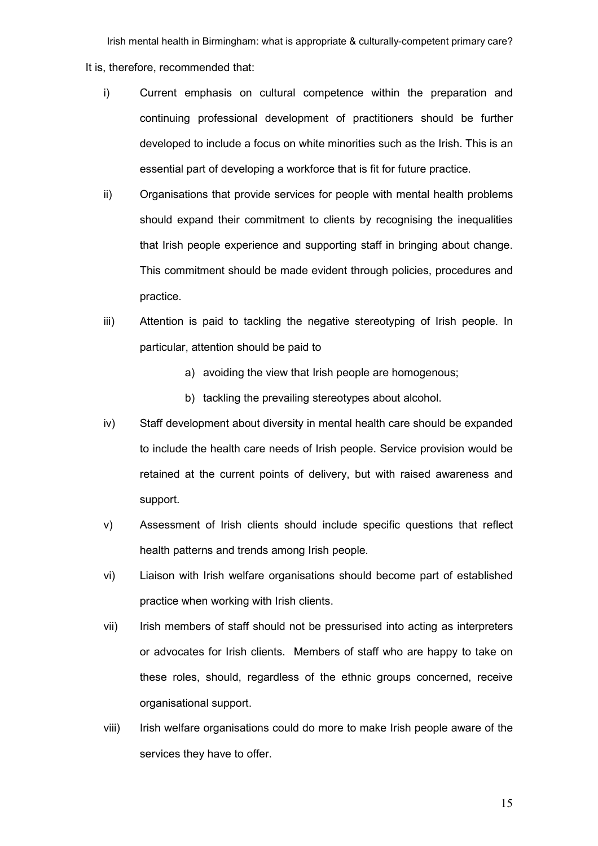Irish mental health in Birmingham: what is appropriate & culturally-competent primary care? It is, therefore, recommended that:

- i) Current emphasis on cultural competence within the preparation and continuing professional development of practitioners should be further developed to include a focus on white minorities such as the Irish. This is an essential part of developing a workforce that is fit for future practice.
- ii) Organisations that provide services for people with mental health problems should expand their commitment to clients by recognising the inequalities that Irish people experience and supporting staff in bringing about change. This commitment should be made evident through policies, procedures and practice.
- iii) Attention is paid to tackling the negative stereotyping of Irish people. In particular, attention should be paid to
	- a) avoiding the view that Irish people are homogenous;
	- b) tackling the prevailing stereotypes about alcohol.
- iv) Staff development about diversity in mental health care should be expanded to include the health care needs of Irish people. Service provision would be retained at the current points of delivery, but with raised awareness and support.
- v) Assessment of Irish clients should include specific questions that reflect health patterns and trends among Irish people.
- vi) Liaison with Irish welfare organisations should become part of established practice when working with Irish clients.
- vii) Irish members of staff should not be pressurised into acting as interpreters or advocates for Irish clients. Members of staff who are happy to take on these roles, should, regardless of the ethnic groups concerned, receive organisational support.
- viii) Irish welfare organisations could do more to make Irish people aware of the services they have to offer.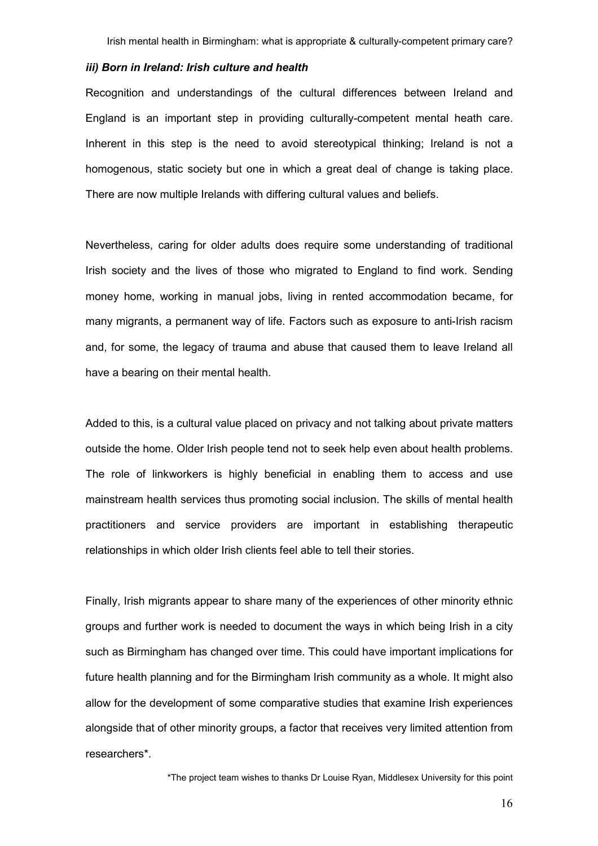#### iii) Born in Ireland: Irish culture and health

Recognition and understandings of the cultural differences between Ireland and England is an important step in providing culturally-competent mental heath care. Inherent in this step is the need to avoid stereotypical thinking; Ireland is not a homogenous, static society but one in which a great deal of change is taking place. There are now multiple Irelands with differing cultural values and beliefs.

Nevertheless, caring for older adults does require some understanding of traditional Irish society and the lives of those who migrated to England to find work. Sending money home, working in manual jobs, living in rented accommodation became, for many migrants, a permanent way of life. Factors such as exposure to anti-Irish racism and, for some, the legacy of trauma and abuse that caused them to leave Ireland all have a bearing on their mental health.

Added to this, is a cultural value placed on privacy and not talking about private matters outside the home. Older Irish people tend not to seek help even about health problems. The role of linkworkers is highly beneficial in enabling them to access and use mainstream health services thus promoting social inclusion. The skills of mental health practitioners and service providers are important in establishing therapeutic relationships in which older Irish clients feel able to tell their stories.

Finally, Irish migrants appear to share many of the experiences of other minority ethnic groups and further work is needed to document the ways in which being Irish in a city such as Birmingham has changed over time. This could have important implications for future health planning and for the Birmingham Irish community as a whole. It might also allow for the development of some comparative studies that examine Irish experiences alongside that of other minority groups, a factor that receives very limited attention from researchers\*.

\*The project team wishes to thanks Dr Louise Ryan, Middlesex University for this point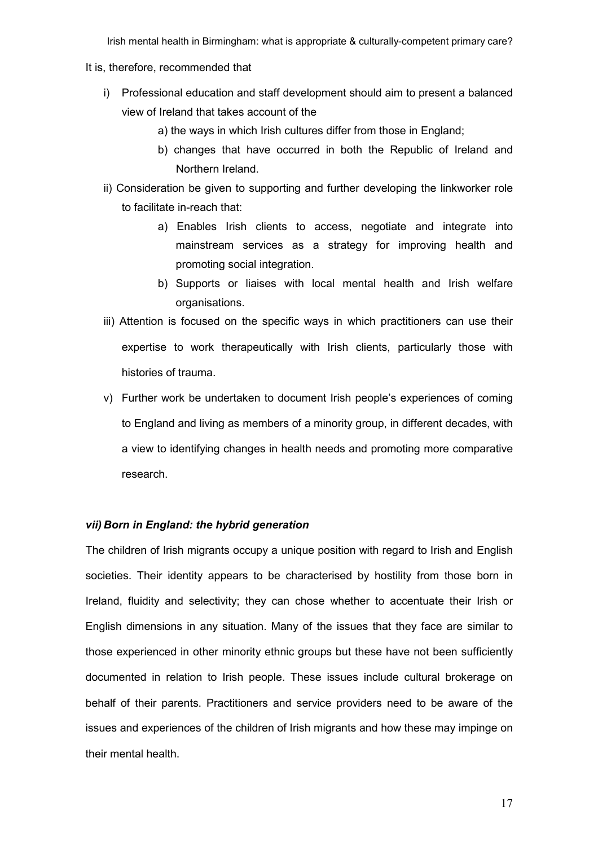#### It is, therefore, recommended that

- i) Professional education and staff development should aim to present a balanced view of Ireland that takes account of the
	- a) the ways in which Irish cultures differ from those in England;
	- b) changes that have occurred in both the Republic of Ireland and Northern Ireland.
- ii) Consideration be given to supporting and further developing the linkworker role to facilitate in-reach that:
	- a) Enables Irish clients to access, negotiate and integrate into mainstream services as a strategy for improving health and promoting social integration.
	- b) Supports or liaises with local mental health and Irish welfare organisations.
- iii) Attention is focused on the specific ways in which practitioners can use their expertise to work therapeutically with Irish clients, particularly those with histories of trauma.
- v) Further work be undertaken to document Irish people's experiences of coming to England and living as members of a minority group, in different decades, with a view to identifying changes in health needs and promoting more comparative research.

## vii) Born in England: the hybrid generation

The children of Irish migrants occupy a unique position with regard to Irish and English societies. Their identity appears to be characterised by hostility from those born in Ireland, fluidity and selectivity; they can chose whether to accentuate their Irish or English dimensions in any situation. Many of the issues that they face are similar to those experienced in other minority ethnic groups but these have not been sufficiently documented in relation to Irish people. These issues include cultural brokerage on behalf of their parents. Practitioners and service providers need to be aware of the issues and experiences of the children of Irish migrants and how these may impinge on their mental health.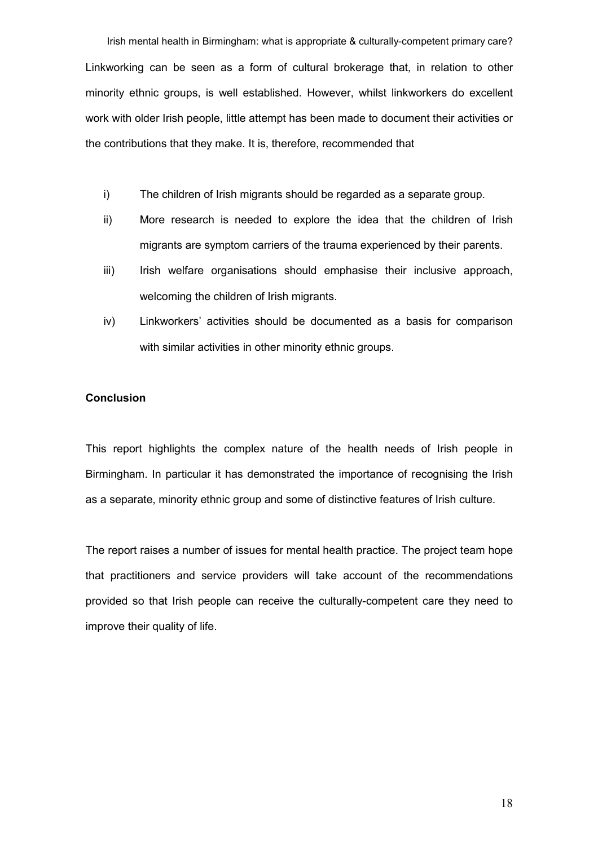Irish mental health in Birmingham: what is appropriate & culturally-competent primary care? Linkworking can be seen as a form of cultural brokerage that, in relation to other minority ethnic groups, is well established. However, whilst linkworkers do excellent work with older Irish people, little attempt has been made to document their activities or the contributions that they make. It is, therefore, recommended that

- i) The children of Irish migrants should be regarded as a separate group.
- ii) More research is needed to explore the idea that the children of Irish migrants are symptom carriers of the trauma experienced by their parents.
- iii) Irish welfare organisations should emphasise their inclusive approach, welcoming the children of Irish migrants.
- iv) Linkworkers' activities should be documented as a basis for comparison with similar activities in other minority ethnic groups.

# Conclusion

This report highlights the complex nature of the health needs of Irish people in Birmingham. In particular it has demonstrated the importance of recognising the Irish as a separate, minority ethnic group and some of distinctive features of Irish culture.

The report raises a number of issues for mental health practice. The project team hope that practitioners and service providers will take account of the recommendations provided so that Irish people can receive the culturally-competent care they need to improve their quality of life.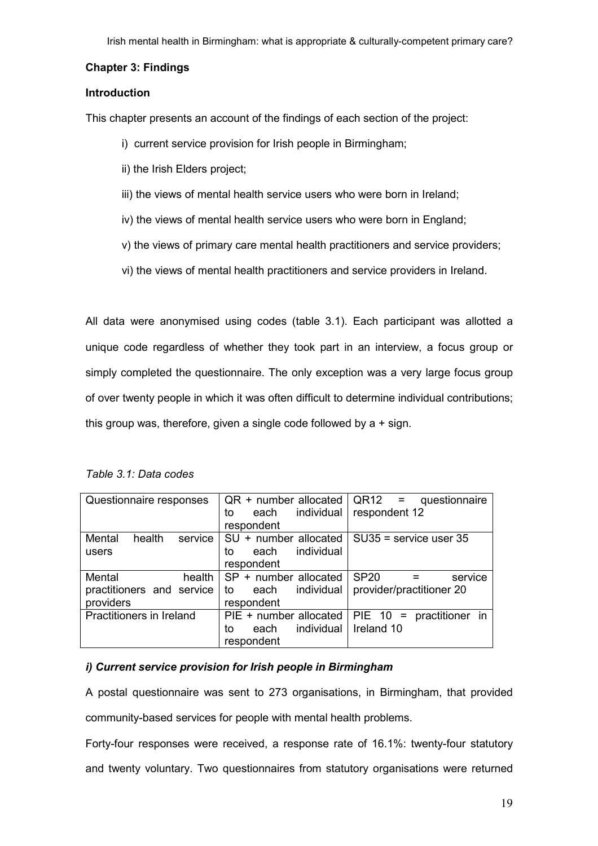# Chapter 3: Findings

# Introduction

This chapter presents an account of the findings of each section of the project:

- i) current service provision for Irish people in Birmingham;
- ii) the Irish Elders project;
- iii) the views of mental health service users who were born in Ireland;
- iv) the views of mental health service users who were born in England;
- v) the views of primary care mental health practitioners and service providers;
- vi) the views of mental health practitioners and service providers in Ireland.

All data were anonymised using codes (table 3.1). Each participant was allotted a unique code regardless of whether they took part in an interview, a focus group or simply completed the questionnaire. The only exception was a very large focus group of over twenty people in which it was often difficult to determine individual contributions; this group was, therefore, given a single code followed by  $a + sign$ .

| Questionnaire responses                                    | $QR + number$ allocated<br>individual<br>each<br>to<br>respondent | QR <sub>12</sub><br>questionnaire<br>$\mathbf{r} = \mathbf{r}$<br>respondent 12 |
|------------------------------------------------------------|-------------------------------------------------------------------|---------------------------------------------------------------------------------|
| Mental<br>health<br>service<br>users                       | SU + number allocated<br>individual<br>each<br>to<br>respondent   | $SU35$ = service user 35                                                        |
| Mental<br>health<br>practitioners and service<br>providers | SP + number allocated<br>individual<br>each<br>to<br>respondent   | <b>SP20</b><br>service<br>provider/practitioner 20                              |
| Practitioners in Ireland                                   | PIE + number allocated<br>individual<br>each<br>to<br>respondent  | PIE $10 =$<br>practitioner in<br>Ireland 10                                     |

# i) Current service provision for Irish people in Birmingham

A postal questionnaire was sent to 273 organisations, in Birmingham, that provided community-based services for people with mental health problems.

Forty-four responses were received, a response rate of 16.1%: twenty-four statutory and twenty voluntary. Two questionnaires from statutory organisations were returned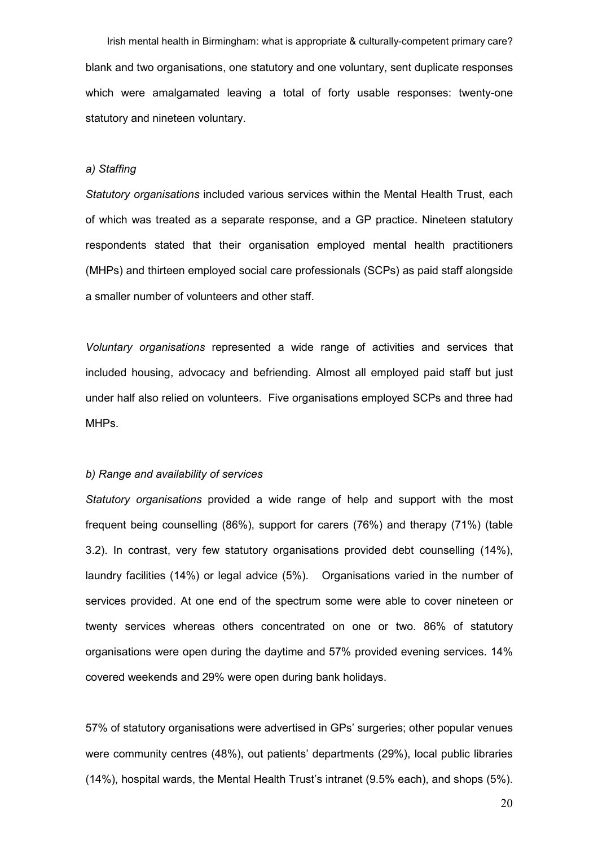Irish mental health in Birmingham: what is appropriate & culturally-competent primary care? blank and two organisations, one statutory and one voluntary, sent duplicate responses which were amalgamated leaving a total of forty usable responses: twenty-one statutory and nineteen voluntary.

#### a) Staffing

Statutory organisations included various services within the Mental Health Trust, each of which was treated as a separate response, and a GP practice. Nineteen statutory respondents stated that their organisation employed mental health practitioners (MHPs) and thirteen employed social care professionals (SCPs) as paid staff alongside a smaller number of volunteers and other staff.

Voluntary organisations represented a wide range of activities and services that included housing, advocacy and befriending. Almost all employed paid staff but just under half also relied on volunteers. Five organisations employed SCPs and three had MHPs.

#### b) Range and availability of services

Statutory organisations provided a wide range of help and support with the most frequent being counselling (86%), support for carers (76%) and therapy (71%) (table 3.2). In contrast, very few statutory organisations provided debt counselling (14%), laundry facilities (14%) or legal advice (5%). Organisations varied in the number of services provided. At one end of the spectrum some were able to cover nineteen or twenty services whereas others concentrated on one or two. 86% of statutory organisations were open during the daytime and 57% provided evening services. 14% covered weekends and 29% were open during bank holidays.

57% of statutory organisations were advertised in GPs' surgeries; other popular venues were community centres (48%), out patients' departments (29%), local public libraries (14%), hospital wards, the Mental Health Trust's intranet (9.5% each), and shops (5%).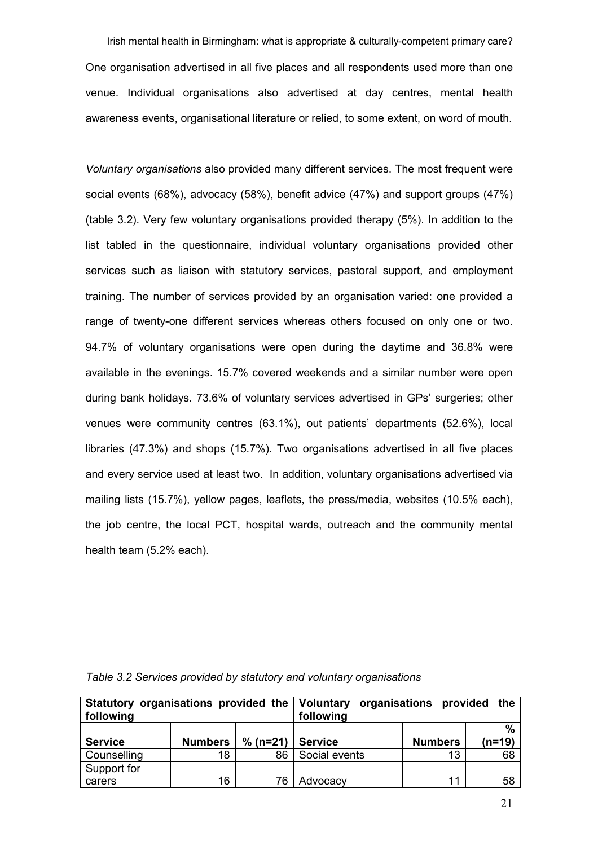Irish mental health in Birmingham: what is appropriate & culturally-competent primary care? One organisation advertised in all five places and all respondents used more than one venue. Individual organisations also advertised at day centres, mental health awareness events, organisational literature or relied, to some extent, on word of mouth.

Voluntary organisations also provided many different services. The most frequent were social events (68%), advocacy (58%), benefit advice (47%) and support groups (47%) (table 3.2). Very few voluntary organisations provided therapy (5%). In addition to the list tabled in the questionnaire, individual voluntary organisations provided other services such as liaison with statutory services, pastoral support, and employment training. The number of services provided by an organisation varied: one provided a range of twenty-one different services whereas others focused on only one or two. 94.7% of voluntary organisations were open during the daytime and 36.8% were available in the evenings. 15.7% covered weekends and a similar number were open during bank holidays. 73.6% of voluntary services advertised in GPs' surgeries; other venues were community centres (63.1%), out patients' departments (52.6%), local libraries (47.3%) and shops (15.7%). Two organisations advertised in all five places and every service used at least two. In addition, voluntary organisations advertised via mailing lists (15.7%), yellow pages, leaflets, the press/media, websites (10.5% each), the job centre, the local PCT, hospital wards, outreach and the community mental health team (5.2% each).

|                |                | Statutory organisations provided the Voluntary organisations provided the |                |                |        |
|----------------|----------------|---------------------------------------------------------------------------|----------------|----------------|--------|
| following      |                | following                                                                 |                |                |        |
|                |                |                                                                           |                |                | %      |
| <b>Service</b> | <b>Numbers</b> | $% (n=21)$                                                                | <b>Service</b> | <b>Numbers</b> | (n=19) |
| Counselling    | 18             | 86                                                                        | Social events  | 13             | 68     |
| Support for    |                |                                                                           |                |                |        |
| carers         | 16             | 76                                                                        | Advocacy       | 11             | 58     |

Table 3.2 Services provided by statutory and voluntary organisations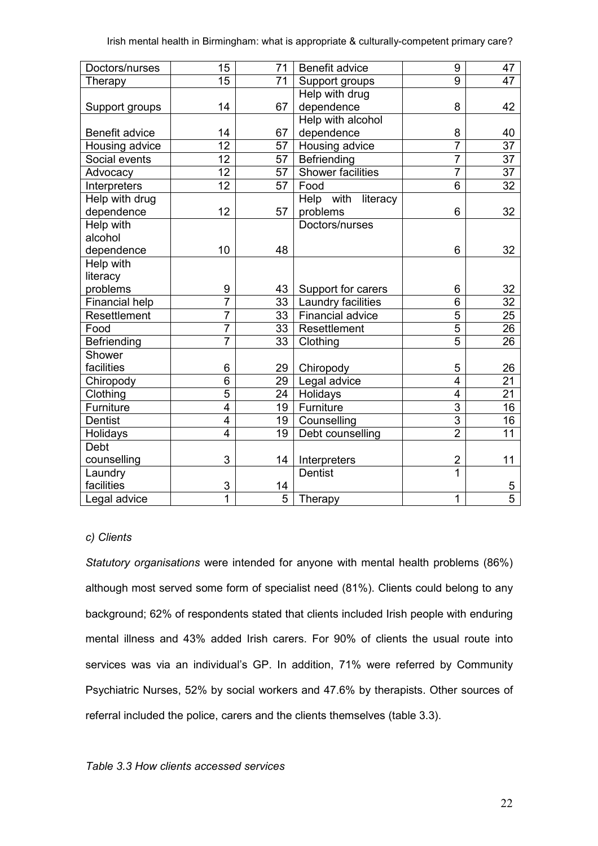| Doctors/nurses   | 15                      | 71 | <b>Benefit advice</b> | 9                       | 47              |
|------------------|-------------------------|----|-----------------------|-------------------------|-----------------|
| Therapy          | 15                      | 71 | Support groups        | 9                       | 47              |
|                  |                         |    | Help with drug        |                         |                 |
| Support groups   | 14                      | 67 | dependence            | 8                       | 42              |
|                  |                         |    | Help with alcohol     |                         |                 |
| Benefit advice   | 14                      | 67 | dependence            | 8                       | 40              |
| Housing advice   | 12                      | 57 | Housing advice        | $\overline{7}$          | $\overline{37}$ |
| Social events    | $\overline{12}$         | 57 | Befriending           | $\overline{7}$          | $\overline{37}$ |
| Advocacy         | 12                      | 57 | Shower facilities     | $\overline{7}$          | 37              |
| Interpreters     | $\overline{12}$         | 57 | Food                  | $\overline{6}$          | $\overline{32}$ |
| Help with drug   |                         |    | Help with literacy    |                         |                 |
| dependence       | 12                      | 57 | problems              | 6                       | 32              |
| <b>Help with</b> |                         |    | Doctors/nurses        |                         |                 |
| alcohol          |                         |    |                       |                         |                 |
| dependence       | 10                      | 48 |                       | 6                       | 32              |
| Help with        |                         |    |                       |                         |                 |
| literacy         |                         |    |                       |                         |                 |
| problems         | 9                       | 43 | Support for carers    | 6                       | 32              |
| Financial help   | $\overline{7}$          | 33 | Laundry facilities    | 6                       | 32              |
| Resettlement     | $\overline{7}$          | 33 | Financial advice      | $\overline{5}$          | 25              |
| Food             | $\overline{7}$          | 33 | Resettlement          | $\overline{5}$          | 26              |
| Befriending      | $\overline{7}$          | 33 | Clothing              | $\overline{5}$          | 26              |
| Shower           |                         |    |                       |                         |                 |
| facilities       | 6                       | 29 | Chiropody             | 5                       | 26              |
| Chiropody        | 6                       | 29 | Legal advice          | $\overline{4}$          | $\overline{21}$ |
| Clothing         | $\overline{5}$          | 24 | Holidays              | $\overline{4}$          | 21              |
| Furniture        | $\overline{4}$          | 19 | Furniture             | $\overline{3}$          | 16              |
| <b>Dentist</b>   | 4                       | 19 | Counselling           | $\overline{3}$          | 16              |
| Holidays         | $\overline{\mathbf{4}}$ | 19 | Debt counselling      | $\overline{2}$          | 11              |
| Debt             |                         |    |                       |                         |                 |
| counselling      | 3                       | 14 | Interpreters          | $\overline{\mathbf{c}}$ | 11              |
| Laundry          |                         |    | <b>Dentist</b>        | $\overline{1}$          |                 |
| facilities       | 3                       | 14 |                       |                         | 5               |
| Legal advice     | 1                       | 5  | Therapy               | 1                       | $\overline{5}$  |

# c) Clients

Statutory organisations were intended for anyone with mental health problems (86%) although most served some form of specialist need (81%). Clients could belong to any background; 62% of respondents stated that clients included Irish people with enduring mental illness and 43% added Irish carers. For 90% of clients the usual route into services was via an individual's GP. In addition, 71% were referred by Community Psychiatric Nurses, 52% by social workers and 47.6% by therapists. Other sources of referral included the police, carers and the clients themselves (table 3.3).

# Table 3.3 How clients accessed services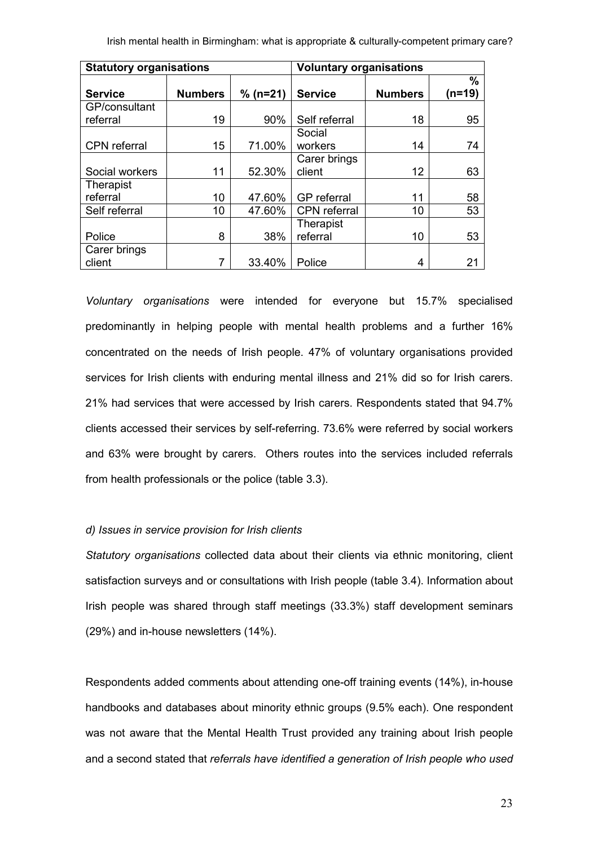| <b>Statutory organisations</b> |                |            | <b>Voluntary organisations</b> |                |                |
|--------------------------------|----------------|------------|--------------------------------|----------------|----------------|
| <b>Service</b>                 | <b>Numbers</b> | $% (n=21)$ | <b>Service</b>                 | <b>Numbers</b> | $\%$<br>(n=19) |
|                                |                |            |                                |                |                |
| GP/consultant                  |                |            |                                |                |                |
| referral                       | 19             | 90%        | Self referral                  | 18             | 95             |
|                                |                |            | Social                         |                |                |
| CPN referral                   | 15             | 71.00%     | workers                        | 14             | 74             |
|                                |                |            | Carer brings                   |                |                |
| Social workers                 | 11             | 52.30%     | client                         | 12             | 63             |
| Therapist                      |                |            |                                |                |                |
| referral                       | 10             | 47.60%     | <b>GP</b> referral             | 11             | 58             |
| Self referral                  | 10             | 47.60%     | <b>CPN</b> referral            | 10             | 53             |
|                                |                |            | Therapist                      |                |                |
| Police                         | 8              | 38%        | referral                       | 10             | 53             |
| Carer brings                   |                |            |                                |                |                |
| client                         | 7              | 33.40%     | Police                         | 4              | 21             |

Voluntary organisations were intended for everyone but 15.7% specialised predominantly in helping people with mental health problems and a further 16% concentrated on the needs of Irish people. 47% of voluntary organisations provided services for Irish clients with enduring mental illness and 21% did so for Irish carers. 21% had services that were accessed by Irish carers. Respondents stated that 94.7% clients accessed their services by self-referring. 73.6% were referred by social workers and 63% were brought by carers. Others routes into the services included referrals from health professionals or the police (table 3.3).

# d) Issues in service provision for Irish clients

Statutory organisations collected data about their clients via ethnic monitoring, client satisfaction surveys and or consultations with Irish people (table 3.4). Information about Irish people was shared through staff meetings (33.3%) staff development seminars (29%) and in-house newsletters (14%).

Respondents added comments about attending one-off training events (14%), in-house handbooks and databases about minority ethnic groups (9.5% each). One respondent was not aware that the Mental Health Trust provided any training about Irish people and a second stated that referrals have identified a generation of Irish people who used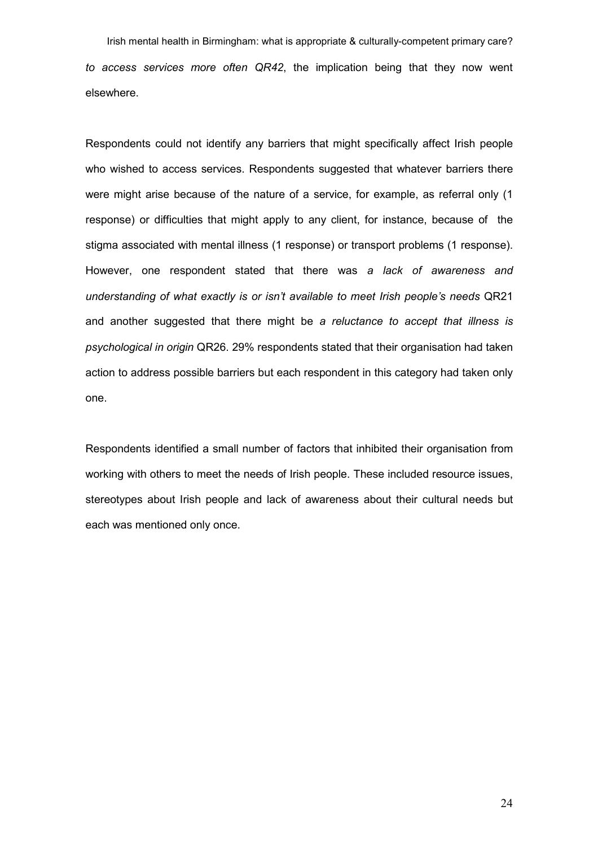Irish mental health in Birmingham: what is appropriate & culturally-competent primary care? to access services more often QR42, the implication being that they now went elsewhere.

Respondents could not identify any barriers that might specifically affect Irish people who wished to access services. Respondents suggested that whatever barriers there were might arise because of the nature of a service, for example, as referral only (1 response) or difficulties that might apply to any client, for instance, because of the stigma associated with mental illness (1 response) or transport problems (1 response). However, one respondent stated that there was a lack of awareness and understanding of what exactly is or isn't available to meet Irish people's needs QR21 and another suggested that there might be a reluctance to accept that illness is psychological in origin QR26. 29% respondents stated that their organisation had taken action to address possible barriers but each respondent in this category had taken only one.

Respondents identified a small number of factors that inhibited their organisation from working with others to meet the needs of Irish people. These included resource issues, stereotypes about Irish people and lack of awareness about their cultural needs but each was mentioned only once.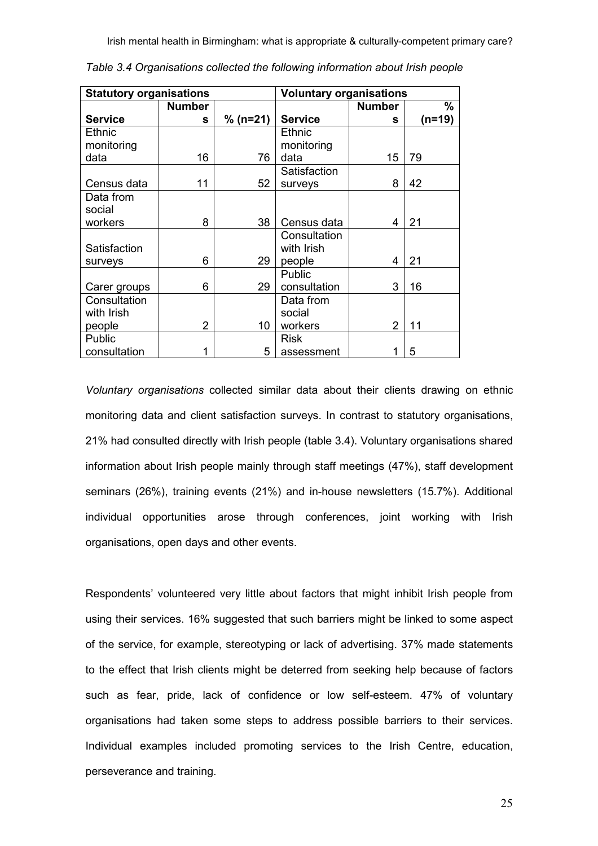| <b>Statutory organisations</b> |                |            | <b>Voluntary organisations</b> |                |        |
|--------------------------------|----------------|------------|--------------------------------|----------------|--------|
|                                | <b>Number</b>  |            |                                | <b>Number</b>  | %      |
| <b>Service</b>                 | s              | $% (n=21)$ | <b>Service</b>                 | s              | (n=19) |
| <b>Ethnic</b>                  |                |            | Ethnic                         |                |        |
| monitoring                     |                |            | monitoring                     |                |        |
| data                           | 16             | 76         | data                           | 15             | 79     |
|                                |                |            | Satisfaction                   |                |        |
| Census data                    | 11             | 52         | surveys                        | 8              | 42     |
| Data from                      |                |            |                                |                |        |
| social                         |                |            |                                |                |        |
| workers                        | 8              | 38         | Census data                    | 4              | 21     |
|                                |                |            | Consultation                   |                |        |
| Satisfaction                   |                |            | with Irish                     |                |        |
| surveys                        | 6              | 29         | people                         | 4              | 21     |
|                                |                |            | Public                         |                |        |
| Carer groups                   | 6              | 29         | consultation                   | 3              | 16     |
| Consultation                   |                |            | Data from                      |                |        |
| with Irish                     |                |            | social                         |                |        |
| people                         | $\overline{2}$ | 10         | workers                        | $\overline{2}$ | 11     |
| Public                         |                |            | <b>Risk</b>                    |                |        |
| consultation                   | 1              | 5          | assessment                     | 1              | 5      |

Table 3.4 Organisations collected the following information about Irish people

Voluntary organisations collected similar data about their clients drawing on ethnic monitoring data and client satisfaction surveys. In contrast to statutory organisations, 21% had consulted directly with Irish people (table 3.4). Voluntary organisations shared information about Irish people mainly through staff meetings (47%), staff development seminars (26%), training events (21%) and in-house newsletters (15.7%). Additional individual opportunities arose through conferences, joint working with Irish organisations, open days and other events.

Respondents' volunteered very little about factors that might inhibit Irish people from using their services. 16% suggested that such barriers might be linked to some aspect of the service, for example, stereotyping or lack of advertising. 37% made statements to the effect that Irish clients might be deterred from seeking help because of factors such as fear, pride, lack of confidence or low self-esteem. 47% of voluntary organisations had taken some steps to address possible barriers to their services. Individual examples included promoting services to the Irish Centre, education, perseverance and training.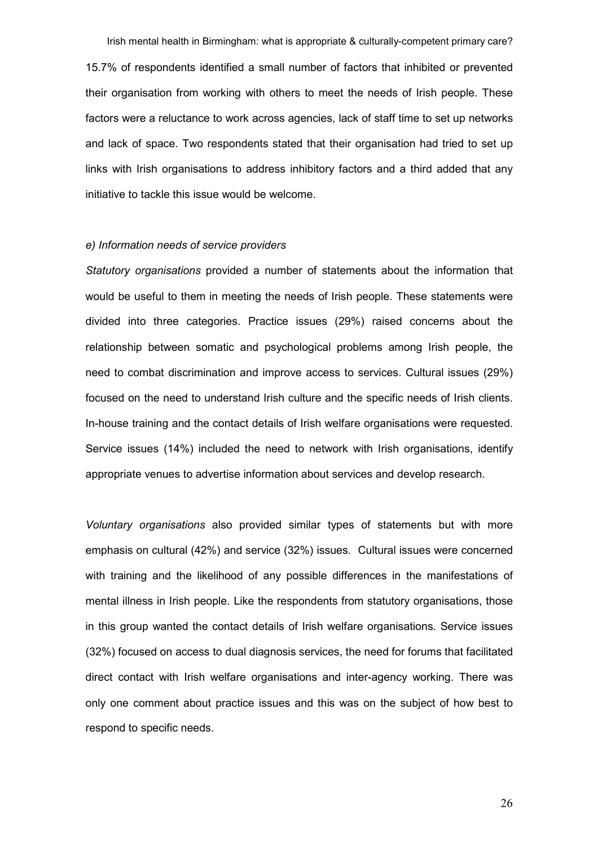Irish mental health in Birmingham: what is appropriate & culturally-competent primary care? 15.7% of respondents identified a small number of factors that inhibited or prevented their organisation from working with others to meet the needs of Irish people. These factors were a reluctance to work across agencies, lack of staff time to set up networks and lack of space. Two respondents stated that their organisation had tried to set up links with Irish organisations to address inhibitory factors and a third added that any initiative to tackle this issue would be welcome.

#### e) Information needs of service providers

Statutory organisations provided a number of statements about the information that would be useful to them in meeting the needs of Irish people. These statements were divided into three categories. Practice issues (29%) raised concerns about the relationship between somatic and psychological problems among Irish people, the need to combat discrimination and improve access to services. Cultural issues (29%) focused on the need to understand Irish culture and the specific needs of Irish clients. In-house training and the contact details of Irish welfare organisations were requested. Service issues (14%) included the need to network with Irish organisations, identify appropriate venues to advertise information about services and develop research.

Voluntary organisations also provided similar types of statements but with more emphasis on cultural (42%) and service (32%) issues. Cultural issues were concerned with training and the likelihood of any possible differences in the manifestations of mental illness in Irish people. Like the respondents from statutory organisations, those in this group wanted the contact details of Irish welfare organisations. Service issues (32%) focused on access to dual diagnosis services, the need for forums that facilitated direct contact with Irish welfare organisations and inter-agency working. There was only one comment about practice issues and this was on the subject of how best to respond to specific needs.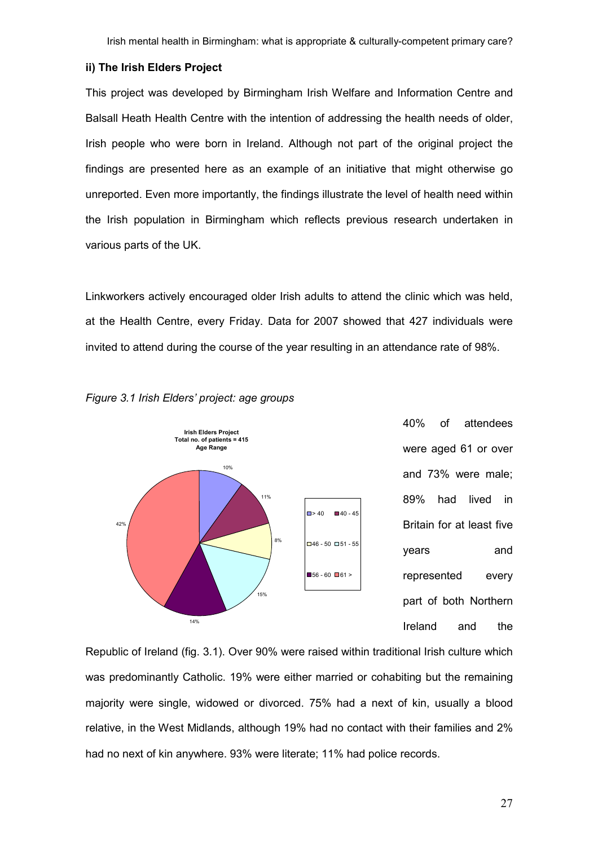#### ii) The Irish Elders Project

This project was developed by Birmingham Irish Welfare and Information Centre and Balsall Heath Health Centre with the intention of addressing the health needs of older, Irish people who were born in Ireland. Although not part of the original project the findings are presented here as an example of an initiative that might otherwise go unreported. Even more importantly, the findings illustrate the level of health need within the Irish population in Birmingham which reflects previous research undertaken in various parts of the UK.

Linkworkers actively encouraged older Irish adults to attend the clinic which was held, at the Health Centre, every Friday. Data for 2007 showed that 427 individuals were invited to attend during the course of the year resulting in an attendance rate of 98%.





40% of attendees were aged 61 or over and 73% were male; 89% had lived in Britain for at least five years and represented every part of both Northern Ireland and the

Republic of Ireland (fig. 3.1). Over 90% were raised within traditional Irish culture which was predominantly Catholic. 19% were either married or cohabiting but the remaining majority were single, widowed or divorced. 75% had a next of kin, usually a blood relative, in the West Midlands, although 19% had no contact with their families and 2% had no next of kin anywhere. 93% were literate; 11% had police records.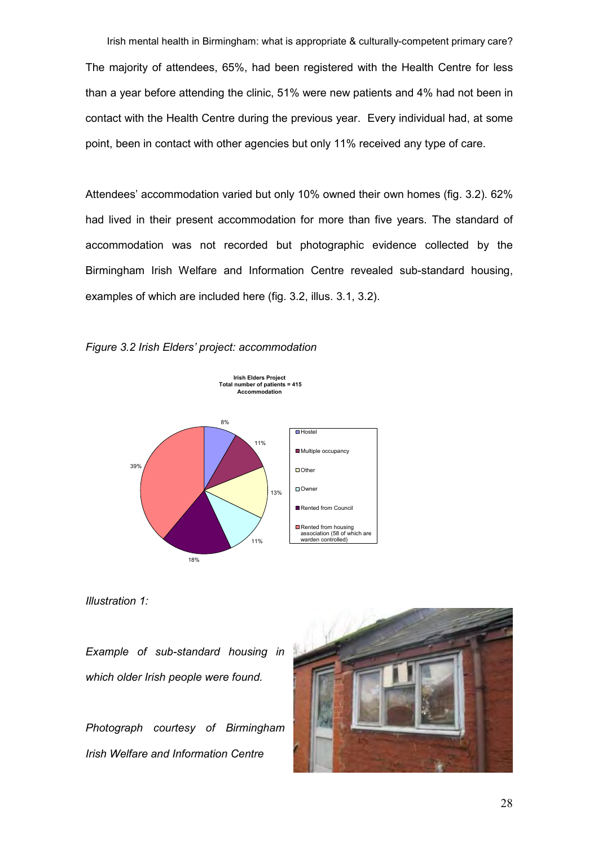Irish mental health in Birmingham: what is appropriate & culturally-competent primary care? The majority of attendees, 65%, had been registered with the Health Centre for less than a year before attending the clinic, 51% were new patients and 4% had not been in contact with the Health Centre during the previous year. Every individual had, at some point, been in contact with other agencies but only 11% received any type of care.

Attendees' accommodation varied but only 10% owned their own homes (fig. 3.2). 62% had lived in their present accommodation for more than five years. The standard of accommodation was not recorded but photographic evidence collected by the Birmingham Irish Welfare and Information Centre revealed sub-standard housing, examples of which are included here (fig. 3.2, illus. 3.1, 3.2).





Illustration 1:

Example of sub-standard housing in which older Irish people were found.

Photograph courtesy of Birmingham Irish Welfare and Information Centre

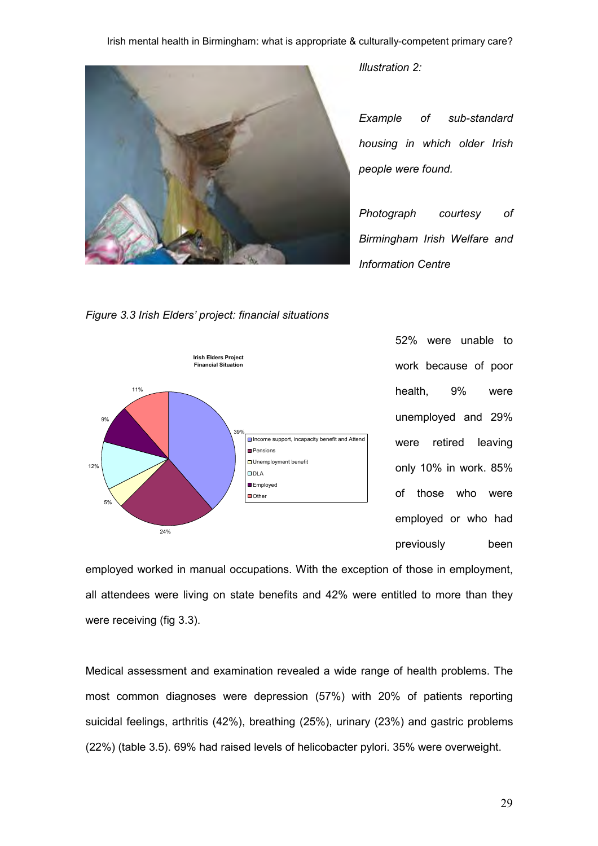

Illustration 2:

Example of sub-standard housing in which older Irish people were found.

Photograph courtesy of Birmingham Irish Welfare and Information Centre

Figure 3.3 Irish Elders' project: financial situations



52% were unable to work because of poor health, 9% were unemployed and 29% were retired leaving only 10% in work. 85% of those who were employed or who had previously been

employed worked in manual occupations. With the exception of those in employment, all attendees were living on state benefits and 42% were entitled to more than they were receiving (fig 3.3).

Medical assessment and examination revealed a wide range of health problems. The most common diagnoses were depression (57%) with 20% of patients reporting suicidal feelings, arthritis (42%), breathing (25%), urinary (23%) and gastric problems (22%) (table 3.5). 69% had raised levels of helicobacter pylori. 35% were overweight.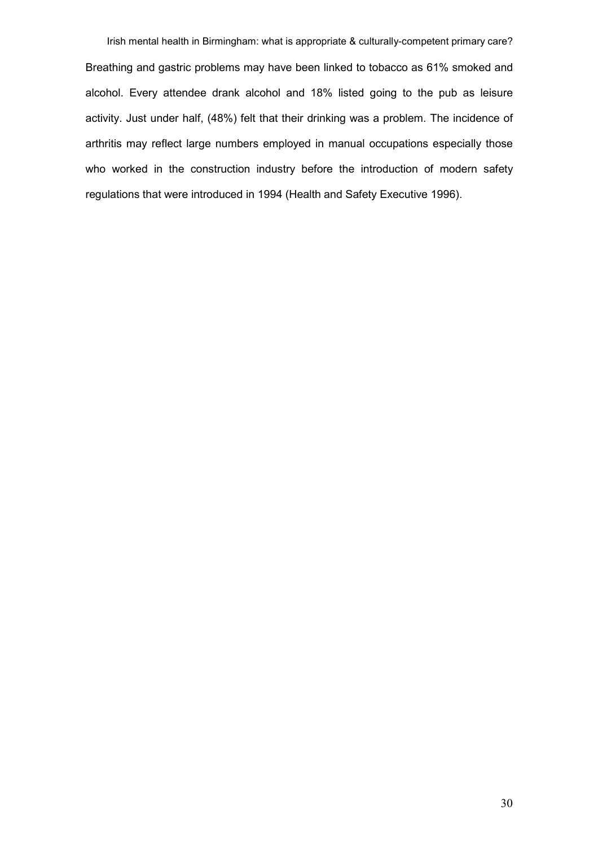Irish mental health in Birmingham: what is appropriate & culturally-competent primary care? Breathing and gastric problems may have been linked to tobacco as 61% smoked and alcohol. Every attendee drank alcohol and 18% listed going to the pub as leisure activity. Just under half, (48%) felt that their drinking was a problem. The incidence of arthritis may reflect large numbers employed in manual occupations especially those who worked in the construction industry before the introduction of modern safety regulations that were introduced in 1994 (Health and Safety Executive 1996).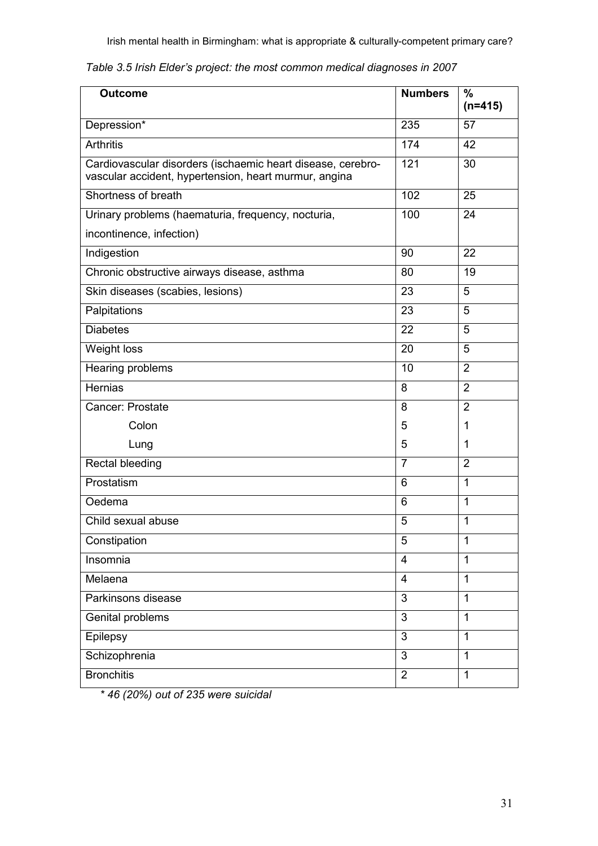| <b>Outcome</b>                                                                                                       | <b>Numbers</b> | $\%$<br>$(n=415)$ |
|----------------------------------------------------------------------------------------------------------------------|----------------|-------------------|
| Depression*                                                                                                          | 235            | 57                |
| <b>Arthritis</b>                                                                                                     | 174            | 42                |
| Cardiovascular disorders (ischaemic heart disease, cerebro-<br>vascular accident, hypertension, heart murmur, angina | 121            | 30                |
| Shortness of breath                                                                                                  | 102            | 25                |
| Urinary problems (haematuria, frequency, nocturia,                                                                   | 100            | 24                |
| incontinence, infection)                                                                                             |                |                   |
| Indigestion                                                                                                          | 90             | 22                |
| Chronic obstructive airways disease, asthma                                                                          | 80             | 19                |
| Skin diseases (scabies, lesions)                                                                                     | 23             | 5                 |
| Palpitations                                                                                                         | 23             | 5                 |
| <b>Diabetes</b>                                                                                                      | 22             | 5                 |
| Weight loss                                                                                                          | 20             | 5                 |
| Hearing problems                                                                                                     | 10             | $\overline{2}$    |
| <b>Hernias</b>                                                                                                       | 8              | $\overline{2}$    |
| <b>Cancer: Prostate</b>                                                                                              | 8              | $\overline{2}$    |
| Colon                                                                                                                | 5              | 1                 |
| Lung                                                                                                                 | 5              | 1                 |
| Rectal bleeding                                                                                                      | $\overline{7}$ | $\overline{2}$    |
| Prostatism                                                                                                           | 6              | $\mathbf{1}$      |
| Oedema                                                                                                               | 6              | $\mathbf{1}$      |
| Child sexual abuse                                                                                                   | 5              | $\mathbf{1}$      |
| Constipation                                                                                                         | 5              | $\mathbf{1}$      |
| Insomnia                                                                                                             | $\overline{4}$ | $\mathbf{1}$      |
| Melaena                                                                                                              | $\overline{4}$ | $\mathbf{1}$      |
| Parkinsons disease                                                                                                   | $\overline{3}$ | $\mathbf{1}$      |
| Genital problems                                                                                                     | 3              | $\mathbf{1}$      |
| Epilepsy                                                                                                             | 3              | $\mathbf{1}$      |
| Schizophrenia                                                                                                        | $\overline{3}$ | $\mathbf{1}$      |
| <b>Bronchitis</b>                                                                                                    | $\overline{2}$ | $\mathbf{1}$      |

\* 46 (20%) out of 235 were suicidal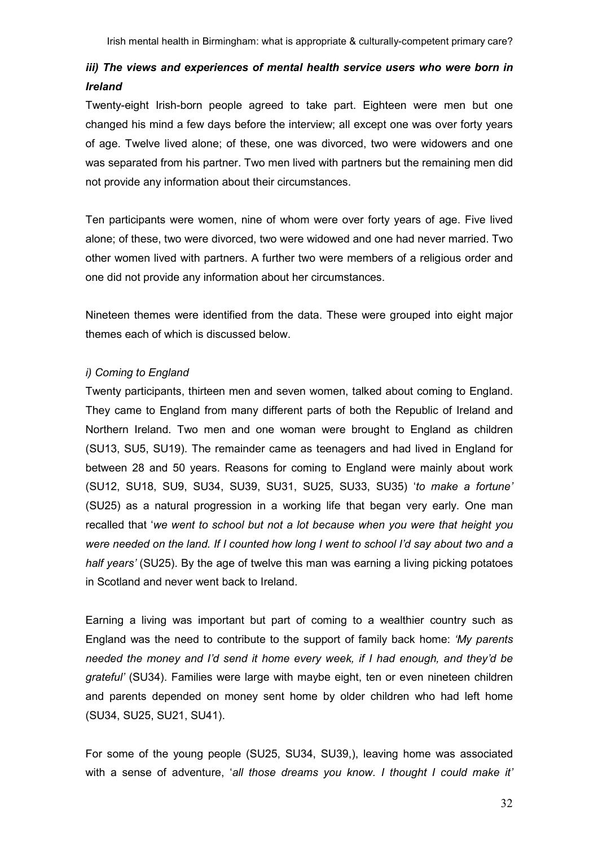# iii) The views and experiences of mental health service users who were born in Ireland

Twenty-eight Irish-born people agreed to take part. Eighteen were men but one changed his mind a few days before the interview; all except one was over forty years of age. Twelve lived alone; of these, one was divorced, two were widowers and one was separated from his partner. Two men lived with partners but the remaining men did not provide any information about their circumstances.

Ten participants were women, nine of whom were over forty years of age. Five lived alone; of these, two were divorced, two were widowed and one had never married. Two other women lived with partners. A further two were members of a religious order and one did not provide any information about her circumstances.

Nineteen themes were identified from the data. These were grouped into eight major themes each of which is discussed below.

# i) Coming to England

Twenty participants, thirteen men and seven women, talked about coming to England. They came to England from many different parts of both the Republic of Ireland and Northern Ireland. Two men and one woman were brought to England as children (SU13, SU5, SU19). The remainder came as teenagers and had lived in England for between 28 and 50 years. Reasons for coming to England were mainly about work (SU12, SU18, SU9, SU34, SU39, SU31, SU25, SU33, SU35) 'to make a fortune' (SU25) as a natural progression in a working life that began very early. One man recalled that 'we went to school but not a lot because when you were that height you were needed on the land. If I counted how long I went to school I'd say about two and a half years' (SU25). By the age of twelve this man was earning a living picking potatoes in Scotland and never went back to Ireland.

Earning a living was important but part of coming to a wealthier country such as England was the need to contribute to the support of family back home: 'My parents needed the money and I'd send it home every week, if I had enough, and they'd be grateful' (SU34). Families were large with maybe eight, ten or even nineteen children and parents depended on money sent home by older children who had left home (SU34, SU25, SU21, SU41).

For some of the young people (SU25, SU34, SU39,), leaving home was associated with a sense of adventure, 'all those dreams you know. I thought I could make it'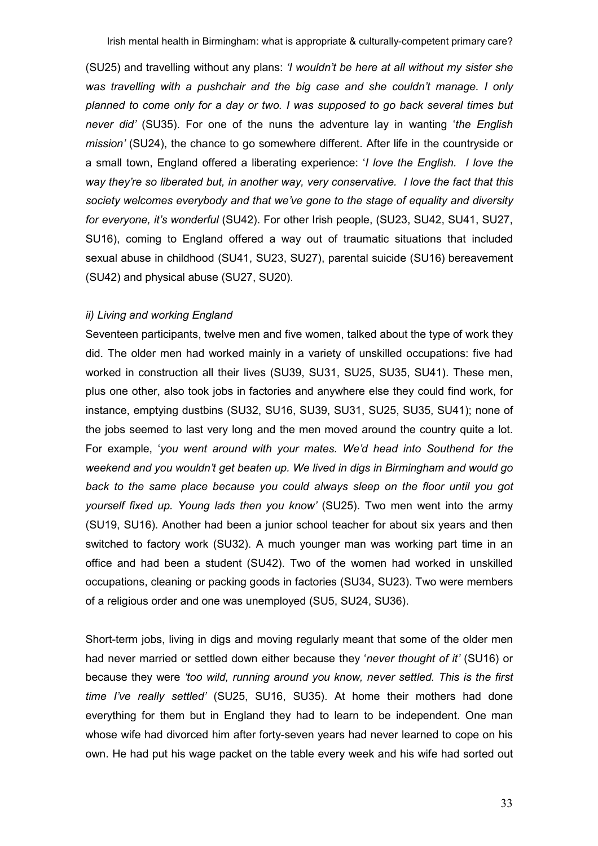(SU25) and travelling without any plans: 'I wouldn't be here at all without my sister she was travelling with a pushchair and the big case and she couldn't manage. I only planned to come only for a day or two. I was supposed to go back several times but never did' (SU35). For one of the nuns the adventure lay in wanting 'the English mission' (SU24), the chance to go somewhere different. After life in the countryside or a small town, England offered a liberating experience: 'I love the English. I love the way they're so liberated but, in another way, very conservative. I love the fact that this society welcomes everybody and that we've gone to the stage of equality and diversity for everyone, it's wonderful (SU42). For other Irish people, (SU23, SU42, SU41, SU27, SU16), coming to England offered a way out of traumatic situations that included sexual abuse in childhood (SU41, SU23, SU27), parental suicide (SU16) bereavement (SU42) and physical abuse (SU27, SU20).

#### ii) Living and working England

Seventeen participants, twelve men and five women, talked about the type of work they did. The older men had worked mainly in a variety of unskilled occupations: five had worked in construction all their lives (SU39, SU31, SU25, SU35, SU41). These men, plus one other, also took jobs in factories and anywhere else they could find work, for instance, emptying dustbins (SU32, SU16, SU39, SU31, SU25, SU35, SU41); none of the jobs seemed to last very long and the men moved around the country quite a lot. For example, 'you went around with your mates. We'd head into Southend for the weekend and you wouldn't get beaten up. We lived in digs in Birmingham and would go back to the same place because you could always sleep on the floor until you got yourself fixed up. Young lads then you know' (SU25). Two men went into the army (SU19, SU16). Another had been a junior school teacher for about six years and then switched to factory work (SU32). A much younger man was working part time in an office and had been a student (SU42). Two of the women had worked in unskilled occupations, cleaning or packing goods in factories (SU34, SU23). Two were members of a religious order and one was unemployed (SU5, SU24, SU36).

Short-term jobs, living in digs and moving regularly meant that some of the older men had never married or settled down either because they 'never thought of it' (SU16) or because they were 'too wild, running around you know, never settled. This is the first time I've really settled' (SU25, SU16, SU35). At home their mothers had done everything for them but in England they had to learn to be independent. One man whose wife had divorced him after forty-seven years had never learned to cope on his own. He had put his wage packet on the table every week and his wife had sorted out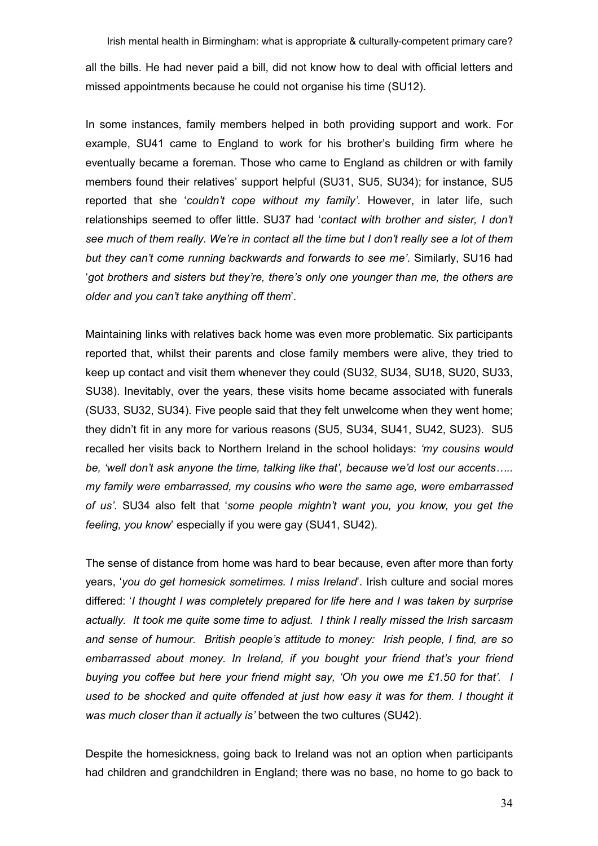all the bills. He had never paid a bill, did not know how to deal with official letters and missed appointments because he could not organise his time (SU12).

In some instances, family members helped in both providing support and work. For example, SU41 came to England to work for his brother's building firm where he eventually became a foreman. Those who came to England as children or with family members found their relatives' support helpful (SU31, SU5, SU34); for instance, SU5 reported that she 'couldn't cope without my family'. However, in later life, such relationships seemed to offer little. SU37 had 'contact with brother and sister, I don't see much of them really. We're in contact all the time but I don't really see a lot of them but they can't come running backwards and forwards to see me'. Similarly, SU16 had 'got brothers and sisters but they're, there's only one younger than me, the others are older and you can't take anything off them'.

Maintaining links with relatives back home was even more problematic. Six participants reported that, whilst their parents and close family members were alive, they tried to keep up contact and visit them whenever they could (SU32, SU34, SU18, SU20, SU33, SU38). Inevitably, over the years, these visits home became associated with funerals (SU33, SU32, SU34). Five people said that they felt unwelcome when they went home; they didn't fit in any more for various reasons (SU5, SU34, SU41, SU42, SU23). SU5 recalled her visits back to Northern Ireland in the school holidays: 'my cousins would be, 'well don't ask anyone the time, talking like that', because we'd lost our accents..... my family were embarrassed, my cousins who were the same age, were embarrassed of us'. SU34 also felt that 'some people mightn't want you, you know, you get the feeling, you know' especially if you were gay (SU41, SU42).

The sense of distance from home was hard to bear because, even after more than forty years, 'you do get homesick sometimes. I miss Ireland'. Irish culture and social mores differed: 'I thought I was completely prepared for life here and I was taken by surprise actually. It took me quite some time to adjust. I think I really missed the Irish sarcasm and sense of humour. British people's attitude to money: Irish people, I find, are so embarrassed about money. In Ireland, if you bought your friend that's your friend buying you coffee but here your friend might say, 'Oh you owe me £1.50 for that'. I used to be shocked and quite offended at just how easy it was for them. I thought it was much closer than it actually is' between the two cultures (SU42).

Despite the homesickness, going back to Ireland was not an option when participants had children and grandchildren in England; there was no base, no home to go back to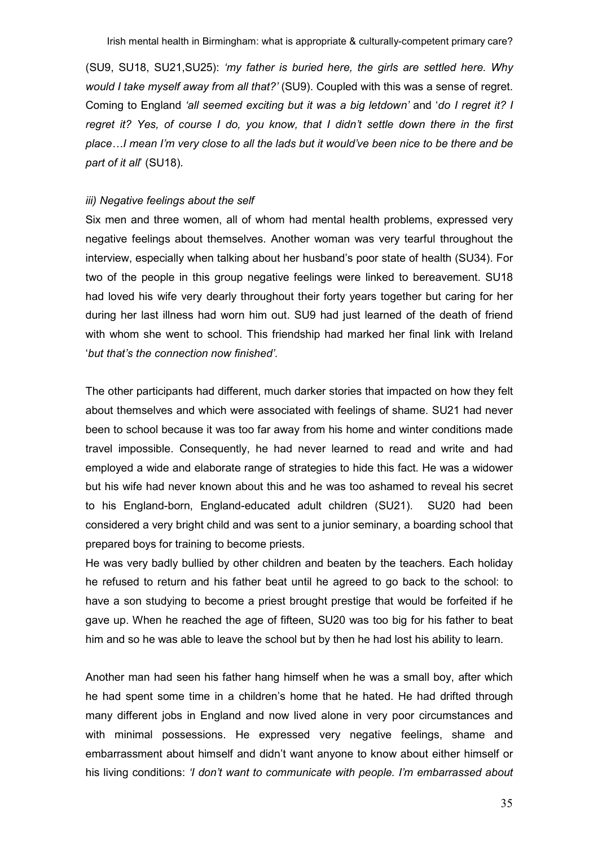(SU9, SU18, SU21,SU25): 'my father is buried here, the girls are settled here. Why would I take myself away from all that?' (SU9). Coupled with this was a sense of regret. Coming to England 'all seemed exciting but it was a big letdown' and 'do I regret it? I regret it? Yes, of course I do, you know, that I didn't settle down there in the first place…I mean I'm very close to all the lads but it would've been nice to be there and be part of it all' (SU18).

#### iii) Negative feelings about the self

Six men and three women, all of whom had mental health problems, expressed very negative feelings about themselves. Another woman was very tearful throughout the interview, especially when talking about her husband's poor state of health (SU34). For two of the people in this group negative feelings were linked to bereavement. SU18 had loved his wife very dearly throughout their forty years together but caring for her during her last illness had worn him out. SU9 had just learned of the death of friend with whom she went to school. This friendship had marked her final link with Ireland 'but that's the connection now finished'.

The other participants had different, much darker stories that impacted on how they felt about themselves and which were associated with feelings of shame. SU21 had never been to school because it was too far away from his home and winter conditions made travel impossible. Consequently, he had never learned to read and write and had employed a wide and elaborate range of strategies to hide this fact. He was a widower but his wife had never known about this and he was too ashamed to reveal his secret to his England-born, England-educated adult children (SU21). SU20 had been considered a very bright child and was sent to a junior seminary, a boarding school that prepared boys for training to become priests.

He was very badly bullied by other children and beaten by the teachers. Each holiday he refused to return and his father beat until he agreed to go back to the school: to have a son studying to become a priest brought prestige that would be forfeited if he gave up. When he reached the age of fifteen, SU20 was too big for his father to beat him and so he was able to leave the school but by then he had lost his ability to learn.

Another man had seen his father hang himself when he was a small boy, after which he had spent some time in a children's home that he hated. He had drifted through many different jobs in England and now lived alone in very poor circumstances and with minimal possessions. He expressed very negative feelings, shame and embarrassment about himself and didn't want anyone to know about either himself or his living conditions: 'I don't want to communicate with people. I'm embarrassed about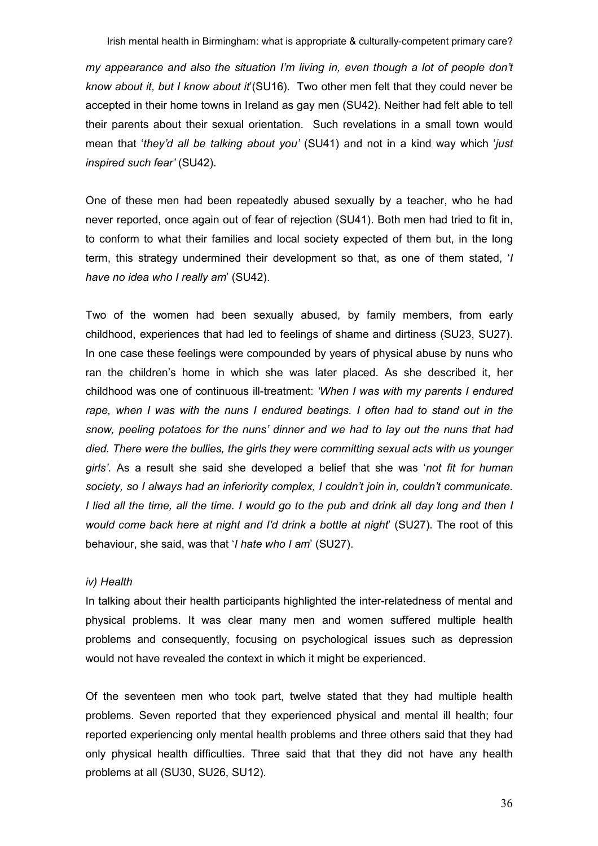my appearance and also the situation I'm living in, even though a lot of people don't know about it, but I know about it  $(SU16)$ . Two other men felt that they could never be accepted in their home towns in Ireland as gay men (SU42). Neither had felt able to tell their parents about their sexual orientation. Such revelations in a small town would mean that 'they'd all be talking about you' (SU41) and not in a kind way which 'just inspired such fear' (SU42).

One of these men had been repeatedly abused sexually by a teacher, who he had never reported, once again out of fear of rejection (SU41). Both men had tried to fit in, to conform to what their families and local society expected of them but, in the long term, this strategy undermined their development so that, as one of them stated, 'I have no idea who I really am' (SU42).

Two of the women had been sexually abused, by family members, from early childhood, experiences that had led to feelings of shame and dirtiness (SU23, SU27). In one case these feelings were compounded by years of physical abuse by nuns who ran the children's home in which she was later placed. As she described it, her childhood was one of continuous ill-treatment: 'When I was with my parents I endured rape, when I was with the nuns I endured beatings. I often had to stand out in the snow, peeling potatoes for the nuns' dinner and we had to lay out the nuns that had died. There were the bullies, the girls they were committing sexual acts with us younger girls'. As a result she said she developed a belief that she was 'not fit for human society, so I always had an inferiority complex, I couldn't join in, couldn't communicate. I lied all the time, all the time. I would go to the pub and drink all day long and then I would come back here at night and I'd drink a bottle at night' (SU27). The root of this behaviour, she said, was that '*I hate who I am'* (SU27).

## iv) Health

In talking about their health participants highlighted the inter-relatedness of mental and physical problems. It was clear many men and women suffered multiple health problems and consequently, focusing on psychological issues such as depression would not have revealed the context in which it might be experienced.

Of the seventeen men who took part, twelve stated that they had multiple health problems. Seven reported that they experienced physical and mental ill health; four reported experiencing only mental health problems and three others said that they had only physical health difficulties. Three said that that they did not have any health problems at all (SU30, SU26, SU12).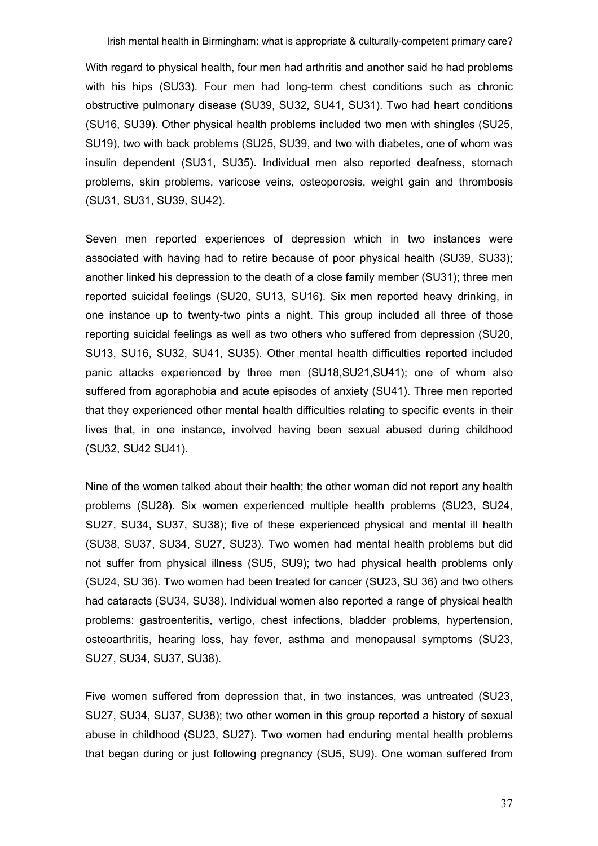With regard to physical health, four men had arthritis and another said he had problems with his hips (SU33). Four men had long-term chest conditions such as chronic obstructive pulmonary disease (SU39, SU32, SU41, SU31). Two had heart conditions (SU16, SU39). Other physical health problems included two men with shingles (SU25, SU19), two with back problems (SU25, SU39, and two with diabetes, one of whom was insulin dependent (SU31, SU35). Individual men also reported deafness, stomach problems, skin problems, varicose veins, osteoporosis, weight gain and thrombosis (SU31, SU31, SU39, SU42).

Seven men reported experiences of depression which in two instances were associated with having had to retire because of poor physical health (SU39, SU33); another linked his depression to the death of a close family member (SU31); three men reported suicidal feelings (SU20, SU13, SU16). Six men reported heavy drinking, in one instance up to twenty-two pints a night. This group included all three of those reporting suicidal feelings as well as two others who suffered from depression (SU20, SU13, SU16, SU32, SU41, SU35). Other mental health difficulties reported included panic attacks experienced by three men (SU18,SU21,SU41); one of whom also suffered from agoraphobia and acute episodes of anxiety (SU41). Three men reported that they experienced other mental health difficulties relating to specific events in their lives that, in one instance, involved having been sexual abused during childhood (SU32, SU42 SU41).

Nine of the women talked about their health; the other woman did not report any health problems (SU28). Six women experienced multiple health problems (SU23, SU24, SU27, SU34, SU37, SU38); five of these experienced physical and mental ill health (SU38, SU37, SU34, SU27, SU23). Two women had mental health problems but did not suffer from physical illness (SU5, SU9); two had physical health problems only (SU24, SU 36). Two women had been treated for cancer (SU23, SU 36) and two others had cataracts (SU34, SU38). Individual women also reported a range of physical health problems: gastroenteritis, vertigo, chest infections, bladder problems, hypertension, osteoarthritis, hearing loss, hay fever, asthma and menopausal symptoms (SU23, SU27, SU34, SU37, SU38).

Five women suffered from depression that, in two instances, was untreated (SU23, SU27, SU34, SU37, SU38); two other women in this group reported a history of sexual abuse in childhood (SU23, SU27). Two women had enduring mental health problems that began during or just following pregnancy (SU5, SU9). One woman suffered from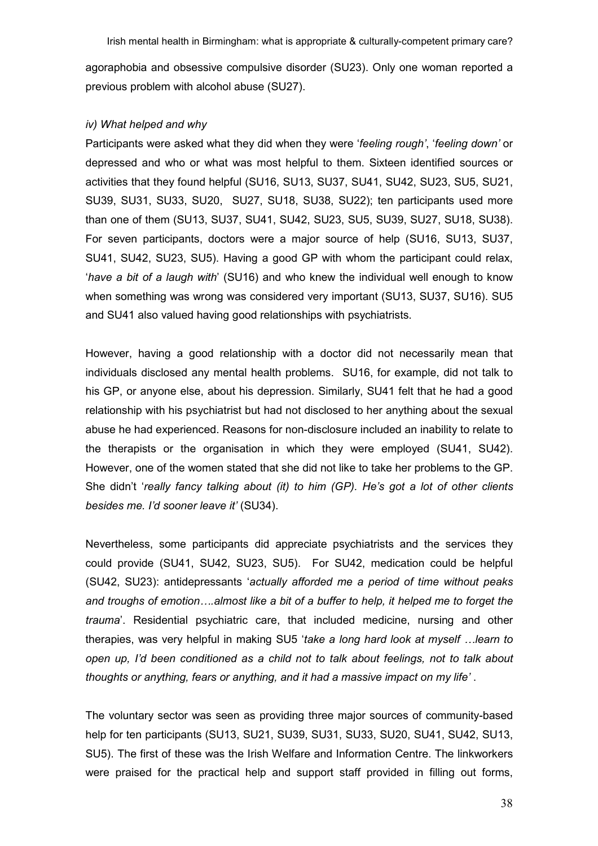agoraphobia and obsessive compulsive disorder (SU23). Only one woman reported a previous problem with alcohol abuse (SU27).

## iv) What helped and why

Participants were asked what they did when they were 'feeling rough', 'feeling down' or depressed and who or what was most helpful to them. Sixteen identified sources or activities that they found helpful (SU16, SU13, SU37, SU41, SU42, SU23, SU5, SU21, SU39, SU31, SU33, SU20, SU27, SU18, SU38, SU22); ten participants used more than one of them (SU13, SU37, SU41, SU42, SU23, SU5, SU39, SU27, SU18, SU38). For seven participants, doctors were a major source of help (SU16, SU13, SU37, SU41, SU42, SU23, SU5). Having a good GP with whom the participant could relax, 'have a bit of a laugh with' (SU16) and who knew the individual well enough to know when something was wrong was considered very important (SU13, SU37, SU16). SU5 and SU41 also valued having good relationships with psychiatrists.

However, having a good relationship with a doctor did not necessarily mean that individuals disclosed any mental health problems. SU16, for example, did not talk to his GP, or anyone else, about his depression. Similarly, SU41 felt that he had a good relationship with his psychiatrist but had not disclosed to her anything about the sexual abuse he had experienced. Reasons for non-disclosure included an inability to relate to the therapists or the organisation in which they were employed (SU41, SU42). However, one of the women stated that she did not like to take her problems to the GP. She didn't 'really fancy talking about (it) to him (GP). He's got a lot of other clients besides me. I'd sooner leave it' (SU34).

Nevertheless, some participants did appreciate psychiatrists and the services they could provide (SU41, SU42, SU23, SU5). For SU42, medication could be helpful (SU42, SU23): antidepressants 'actually afforded me a period of time without peaks and troughs of emotion….almost like a bit of a buffer to help, it helped me to forget the trauma'. Residential psychiatric care, that included medicine, nursing and other therapies, was very helpful in making SU5 'take a long hard look at myself …learn to open up, I'd been conditioned as a child not to talk about feelings, not to talk about thoughts or anything, fears or anything, and it had a massive impact on my life' .

The voluntary sector was seen as providing three major sources of community-based help for ten participants (SU13, SU21, SU39, SU31, SU33, SU20, SU41, SU42, SU13, SU5). The first of these was the Irish Welfare and Information Centre. The linkworkers were praised for the practical help and support staff provided in filling out forms,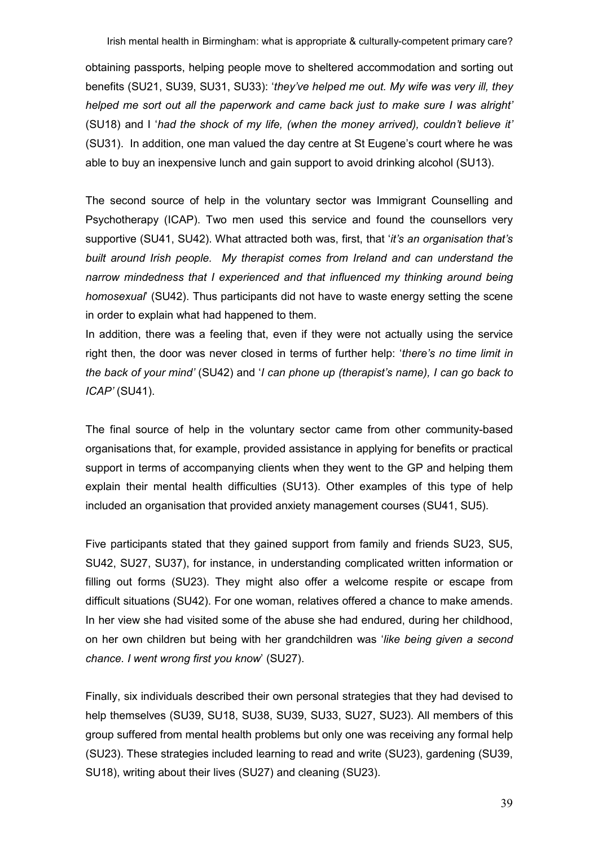obtaining passports, helping people move to sheltered accommodation and sorting out benefits (SU21, SU39, SU31, SU33): 'they've helped me out. My wife was very ill, they helped me sort out all the paperwork and came back just to make sure I was alright' (SU18) and I 'had the shock of my life, (when the money arrived), couldn't believe it' (SU31). In addition, one man valued the day centre at St Eugene's court where he was able to buy an inexpensive lunch and gain support to avoid drinking alcohol (SU13).

The second source of help in the voluntary sector was Immigrant Counselling and Psychotherapy (ICAP). Two men used this service and found the counsellors very supportive (SU41, SU42). What attracted both was, first, that '*it's an organisation that's* built around Irish people. My therapist comes from Ireland and can understand the narrow mindedness that I experienced and that influenced my thinking around being homosexual' (SU42). Thus participants did not have to waste energy setting the scene in order to explain what had happened to them.

In addition, there was a feeling that, even if they were not actually using the service right then, the door was never closed in terms of further help: 'there's no time limit in the back of your mind' (SU42) and 'I can phone up (therapist's name), I can go back to ICAP' (SU41).

The final source of help in the voluntary sector came from other community-based organisations that, for example, provided assistance in applying for benefits or practical support in terms of accompanying clients when they went to the GP and helping them explain their mental health difficulties (SU13). Other examples of this type of help included an organisation that provided anxiety management courses (SU41, SU5).

Five participants stated that they gained support from family and friends SU23, SU5, SU42, SU27, SU37), for instance, in understanding complicated written information or filling out forms (SU23). They might also offer a welcome respite or escape from difficult situations (SU42). For one woman, relatives offered a chance to make amends. In her view she had visited some of the abuse she had endured, during her childhood, on her own children but being with her grandchildren was 'like being given a second chance. I went wrong first you know' (SU27).

Finally, six individuals described their own personal strategies that they had devised to help themselves (SU39, SU18, SU38, SU39, SU33, SU27, SU23). All members of this group suffered from mental health problems but only one was receiving any formal help (SU23). These strategies included learning to read and write (SU23), gardening (SU39, SU18), writing about their lives (SU27) and cleaning (SU23).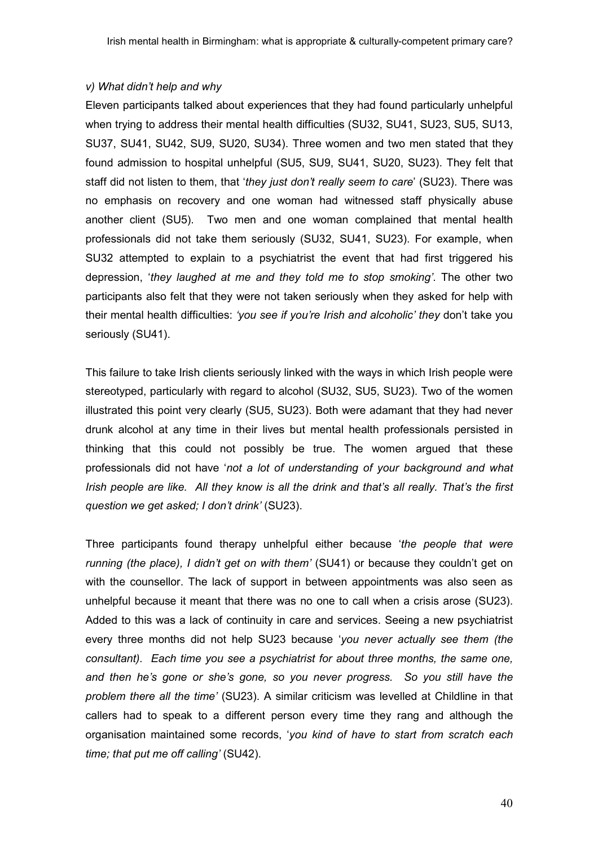# v) What didn't help and why

Eleven participants talked about experiences that they had found particularly unhelpful when trying to address their mental health difficulties (SU32, SU41, SU23, SU5, SU13, SU37, SU41, SU42, SU9, SU20, SU34). Three women and two men stated that they found admission to hospital unhelpful (SU5, SU9, SU41, SU20, SU23). They felt that staff did not listen to them, that 'they just don't really seem to care' (SU23). There was no emphasis on recovery and one woman had witnessed staff physically abuse another client (SU5). Two men and one woman complained that mental health professionals did not take them seriously (SU32, SU41, SU23). For example, when SU32 attempted to explain to a psychiatrist the event that had first triggered his depression, 'they laughed at me and they told me to stop smoking'. The other two participants also felt that they were not taken seriously when they asked for help with their mental health difficulties: 'you see if you're Irish and alcoholic' they don't take you seriously (SU41).

This failure to take Irish clients seriously linked with the ways in which Irish people were stereotyped, particularly with regard to alcohol (SU32, SU5, SU23). Two of the women illustrated this point very clearly (SU5, SU23). Both were adamant that they had never drunk alcohol at any time in their lives but mental health professionals persisted in thinking that this could not possibly be true. The women argued that these professionals did not have 'not a lot of understanding of your background and what Irish people are like. All they know is all the drink and that's all really. That's the first question we get asked; I don't drink' (SU23).

Three participants found therapy unhelpful either because 'the people that were running (the place), I didn't get on with them' (SU41) or because they couldn't get on with the counsellor. The lack of support in between appointments was also seen as unhelpful because it meant that there was no one to call when a crisis arose (SU23). Added to this was a lack of continuity in care and services. Seeing a new psychiatrist every three months did not help SU23 because 'you never actually see them (the consultant). Each time you see a psychiatrist for about three months, the same one, and then he's gone or she's gone, so you never progress. So you still have the problem there all the time' (SU23). A similar criticism was levelled at Childline in that callers had to speak to a different person every time they rang and although the organisation maintained some records, 'you kind of have to start from scratch each time; that put me off calling' (SU42).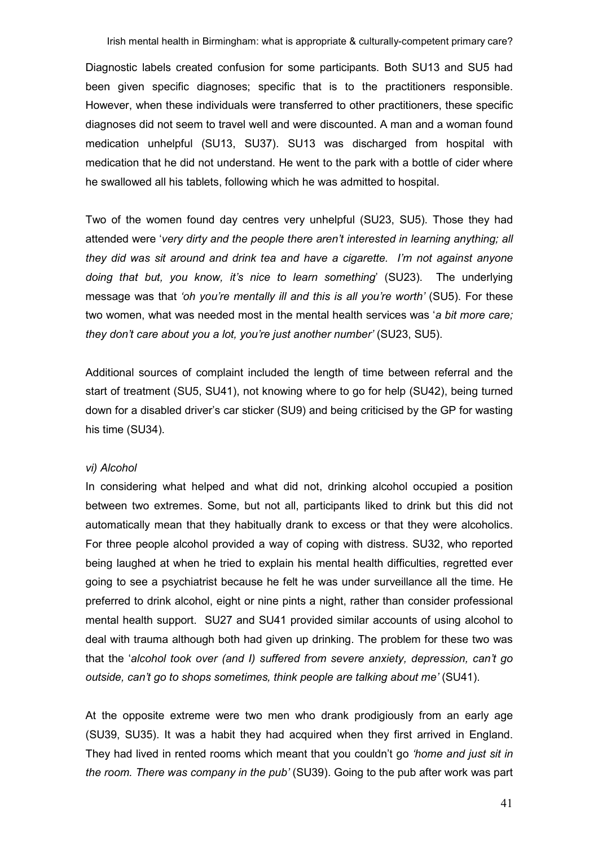Diagnostic labels created confusion for some participants. Both SU13 and SU5 had been given specific diagnoses; specific that is to the practitioners responsible. However, when these individuals were transferred to other practitioners, these specific diagnoses did not seem to travel well and were discounted. A man and a woman found medication unhelpful (SU13, SU37). SU13 was discharged from hospital with medication that he did not understand. He went to the park with a bottle of cider where he swallowed all his tablets, following which he was admitted to hospital.

Two of the women found day centres very unhelpful (SU23, SU5). Those they had attended were 'very dirty and the people there aren't interested in learning anything; all they did was sit around and drink tea and have a cigarette. I'm not against anyone doing that but, you know, it's nice to learn something' (SU23). The underlying message was that 'oh you're mentally ill and this is all you're worth' (SU5). For these two women, what was needed most in the mental health services was 'a bit more care; they don't care about you a lot, you're just another number' (SU23, SU5).

Additional sources of complaint included the length of time between referral and the start of treatment (SU5, SU41), not knowing where to go for help (SU42), being turned down for a disabled driver's car sticker (SU9) and being criticised by the GP for wasting his time (SU34).

#### vi) Alcohol

In considering what helped and what did not, drinking alcohol occupied a position between two extremes. Some, but not all, participants liked to drink but this did not automatically mean that they habitually drank to excess or that they were alcoholics. For three people alcohol provided a way of coping with distress. SU32, who reported being laughed at when he tried to explain his mental health difficulties, regretted ever going to see a psychiatrist because he felt he was under surveillance all the time. He preferred to drink alcohol, eight or nine pints a night, rather than consider professional mental health support. SU27 and SU41 provided similar accounts of using alcohol to deal with trauma although both had given up drinking. The problem for these two was that the 'alcohol took over (and I) suffered from severe anxiety, depression, can't go outside, can't go to shops sometimes, think people are talking about me' (SU41).

At the opposite extreme were two men who drank prodigiously from an early age (SU39, SU35). It was a habit they had acquired when they first arrived in England. They had lived in rented rooms which meant that you couldn't go 'home and just sit in the room. There was company in the pub' (SU39). Going to the pub after work was part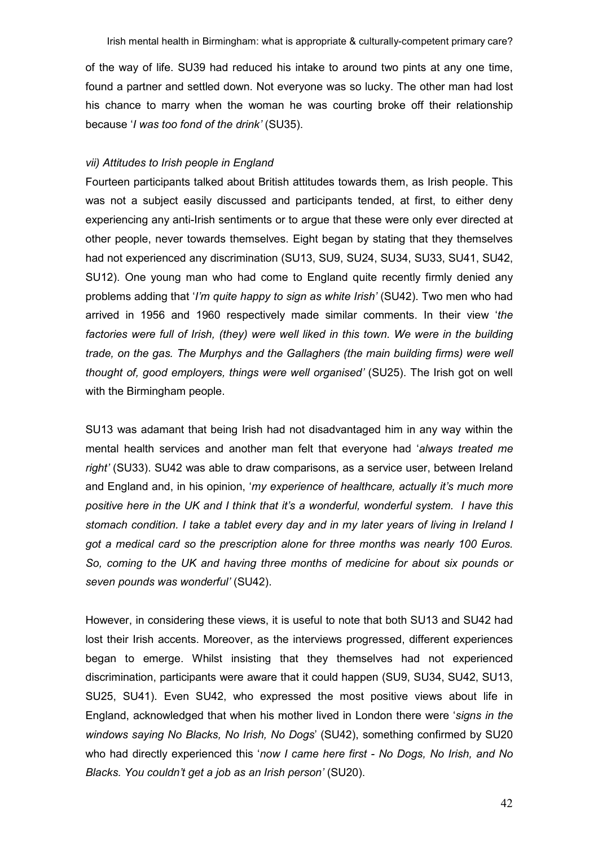of the way of life. SU39 had reduced his intake to around two pints at any one time, found a partner and settled down. Not everyone was so lucky. The other man had lost his chance to marry when the woman he was courting broke off their relationship because 'I was too fond of the drink' (SU35).

# vii) Attitudes to Irish people in England

Fourteen participants talked about British attitudes towards them, as Irish people. This was not a subject easily discussed and participants tended, at first, to either deny experiencing any anti-Irish sentiments or to argue that these were only ever directed at other people, never towards themselves. Eight began by stating that they themselves had not experienced any discrimination (SU13, SU9, SU24, SU34, SU33, SU41, SU42, SU12). One young man who had come to England quite recently firmly denied any problems adding that 'I'm quite happy to sign as white Irish' (SU42). Two men who had arrived in 1956 and 1960 respectively made similar comments. In their view 'the factories were full of Irish, (they) were well liked in this town. We were in the building trade, on the gas. The Murphys and the Gallaghers (the main building firms) were well thought of, good employers, things were well organised' (SU25). The Irish got on well with the Birmingham people.

SU13 was adamant that being Irish had not disadvantaged him in any way within the mental health services and another man felt that everyone had 'always treated me right' (SU33). SU42 was able to draw comparisons, as a service user, between Ireland and England and, in his opinion, 'my experience of healthcare, actually it's much more positive here in the UK and I think that it's a wonderful, wonderful system. I have this stomach condition. I take a tablet every day and in my later years of living in Ireland I got a medical card so the prescription alone for three months was nearly 100 Euros. So, coming to the UK and having three months of medicine for about six pounds or seven pounds was wonderful' (SU42).

However, in considering these views, it is useful to note that both SU13 and SU42 had lost their Irish accents. Moreover, as the interviews progressed, different experiences began to emerge. Whilst insisting that they themselves had not experienced discrimination, participants were aware that it could happen (SU9, SU34, SU42, SU13, SU25, SU41). Even SU42, who expressed the most positive views about life in England, acknowledged that when his mother lived in London there were 'signs in the windows saying No Blacks, No Irish, No Dogs' (SU42), something confirmed by SU20 who had directly experienced this 'now I came here first - No Dogs, No Irish, and No Blacks. You couldn't get a job as an Irish person' (SU20).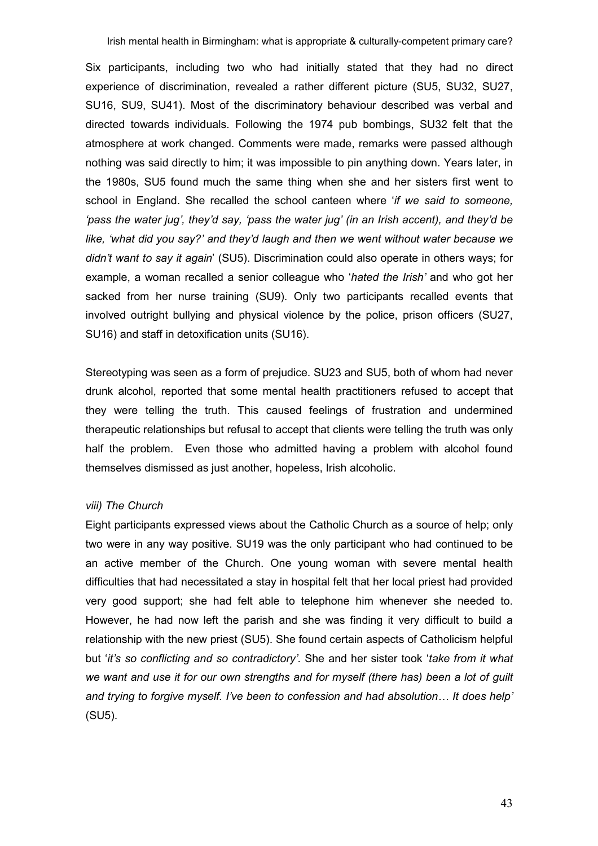Six participants, including two who had initially stated that they had no direct experience of discrimination, revealed a rather different picture (SU5, SU32, SU27, SU16, SU9, SU41). Most of the discriminatory behaviour described was verbal and directed towards individuals. Following the 1974 pub bombings, SU32 felt that the atmosphere at work changed. Comments were made, remarks were passed although nothing was said directly to him; it was impossible to pin anything down. Years later, in the 1980s, SU5 found much the same thing when she and her sisters first went to school in England. She recalled the school canteen where 'if we said to someone, 'pass the water jug', they'd say, 'pass the water jug' (in an Irish accent), and they'd be like, 'what did you say?' and they'd laugh and then we went without water because we didn't want to say it again' (SU5). Discrimination could also operate in others ways; for example, a woman recalled a senior colleague who 'hated the Irish' and who got her sacked from her nurse training (SU9). Only two participants recalled events that involved outright bullying and physical violence by the police, prison officers (SU27, SU16) and staff in detoxification units (SU16).

Stereotyping was seen as a form of prejudice. SU23 and SU5, both of whom had never drunk alcohol, reported that some mental health practitioners refused to accept that they were telling the truth. This caused feelings of frustration and undermined therapeutic relationships but refusal to accept that clients were telling the truth was only half the problem. Even those who admitted having a problem with alcohol found themselves dismissed as just another, hopeless, Irish alcoholic.

# viii) The Church

Eight participants expressed views about the Catholic Church as a source of help; only two were in any way positive. SU19 was the only participant who had continued to be an active member of the Church. One young woman with severe mental health difficulties that had necessitated a stay in hospital felt that her local priest had provided very good support; she had felt able to telephone him whenever she needed to. However, he had now left the parish and she was finding it very difficult to build a relationship with the new priest (SU5). She found certain aspects of Catholicism helpful but 'it's so conflicting and so contradictory'. She and her sister took 'take from it what we want and use it for our own strengths and for myself (there has) been a lot of guilt and trying to forgive myself. I've been to confession and had absolution… It does help' (SU5).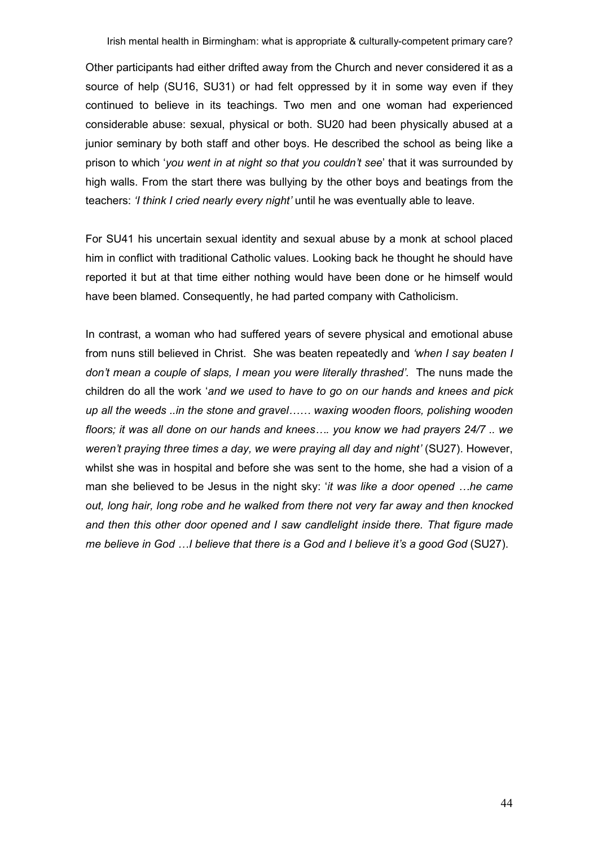Other participants had either drifted away from the Church and never considered it as a source of help (SU16, SU31) or had felt oppressed by it in some way even if they continued to believe in its teachings. Two men and one woman had experienced considerable abuse: sexual, physical or both. SU20 had been physically abused at a junior seminary by both staff and other boys. He described the school as being like a prison to which 'you went in at night so that you couldn't see' that it was surrounded by high walls. From the start there was bullying by the other boys and beatings from the teachers: 'I think I cried nearly every night' until he was eventually able to leave.

For SU41 his uncertain sexual identity and sexual abuse by a monk at school placed him in conflict with traditional Catholic values. Looking back he thought he should have reported it but at that time either nothing would have been done or he himself would have been blamed. Consequently, he had parted company with Catholicism.

In contrast, a woman who had suffered years of severe physical and emotional abuse from nuns still believed in Christ. She was beaten repeatedly and 'when I say beaten I don't mean a couple of slaps, I mean you were literally thrashed'. The nuns made the children do all the work 'and we used to have to go on our hands and knees and pick up all the weeds ..in the stone and gravel…… waxing wooden floors, polishing wooden floors; it was all done on our hands and knees…. you know we had prayers 24/7 .. we weren't praying three times a day, we were praying all day and night' (SU27). However, whilst she was in hospital and before she was sent to the home, she had a vision of a man she believed to be Jesus in the night sky: 'it was like a door opened ... he came out, long hair, long robe and he walked from there not very far away and then knocked and then this other door opened and I saw candlelight inside there. That figure made me believe in God …I believe that there is a God and I believe it's a good God (SU27).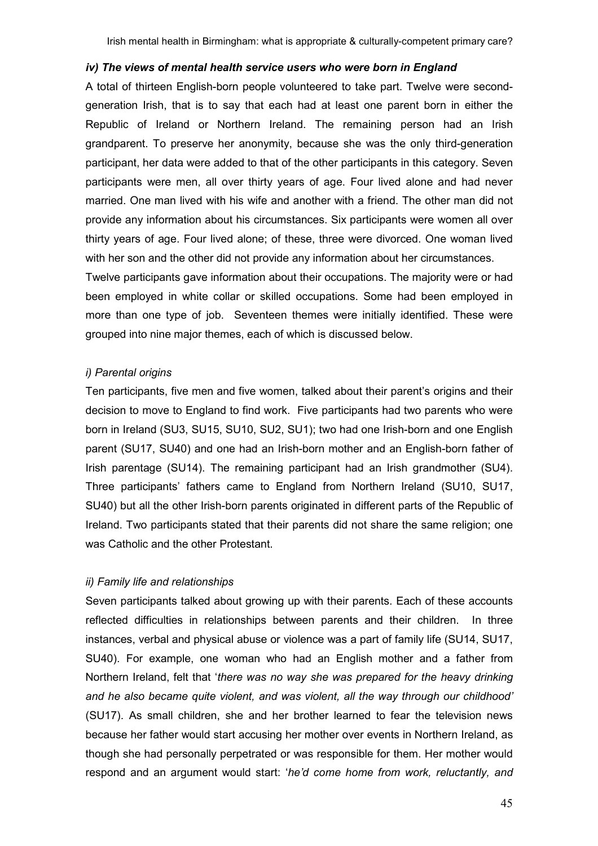## iv) The views of mental health service users who were born in England

A total of thirteen English-born people volunteered to take part. Twelve were secondgeneration Irish, that is to say that each had at least one parent born in either the Republic of Ireland or Northern Ireland. The remaining person had an Irish grandparent. To preserve her anonymity, because she was the only third-generation participant, her data were added to that of the other participants in this category. Seven participants were men, all over thirty years of age. Four lived alone and had never married. One man lived with his wife and another with a friend. The other man did not provide any information about his circumstances. Six participants were women all over thirty years of age. Four lived alone; of these, three were divorced. One woman lived with her son and the other did not provide any information about her circumstances.

Twelve participants gave information about their occupations. The majority were or had been employed in white collar or skilled occupations. Some had been employed in more than one type of job. Seventeen themes were initially identified. These were grouped into nine major themes, each of which is discussed below.

#### i) Parental origins

Ten participants, five men and five women, talked about their parent's origins and their decision to move to England to find work. Five participants had two parents who were born in Ireland (SU3, SU15, SU10, SU2, SU1); two had one Irish-born and one English parent (SU17, SU40) and one had an Irish-born mother and an English-born father of Irish parentage (SU14). The remaining participant had an Irish grandmother (SU4). Three participants' fathers came to England from Northern Ireland (SU10, SU17, SU40) but all the other Irish-born parents originated in different parts of the Republic of Ireland. Two participants stated that their parents did not share the same religion; one was Catholic and the other Protestant.

# ii) Family life and relationships

Seven participants talked about growing up with their parents. Each of these accounts reflected difficulties in relationships between parents and their children. In three instances, verbal and physical abuse or violence was a part of family life (SU14, SU17, SU40). For example, one woman who had an English mother and a father from Northern Ireland, felt that 'there was no way she was prepared for the heavy drinking and he also became quite violent, and was violent, all the way through our childhood' (SU17). As small children, she and her brother learned to fear the television news because her father would start accusing her mother over events in Northern Ireland, as though she had personally perpetrated or was responsible for them. Her mother would respond and an argument would start: 'he'd come home from work, reluctantly, and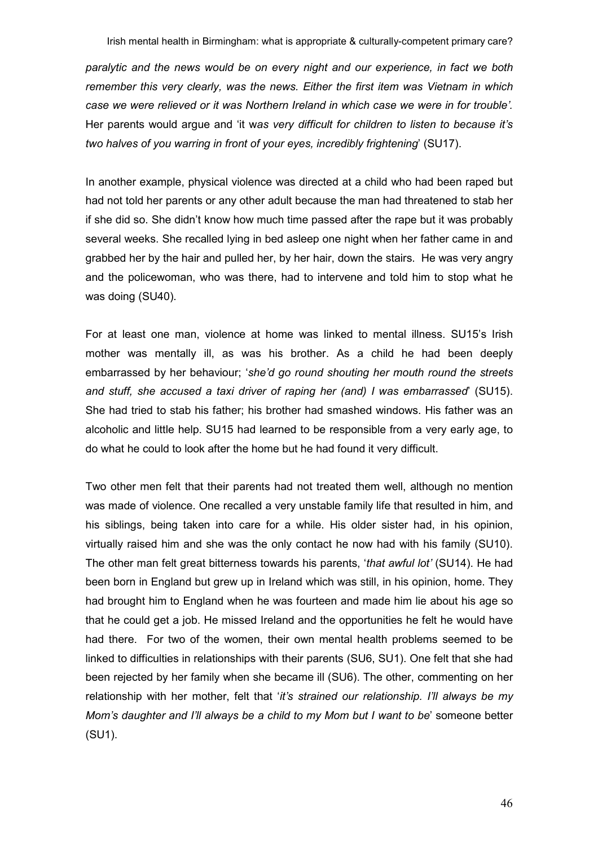paralytic and the news would be on every night and our experience, in fact we both remember this very clearly, was the news. Either the first item was Vietnam in which case we were relieved or it was Northern Ireland in which case we were in for trouble'. Her parents would argue and 'it was very difficult for children to listen to because it's two halves of you warring in front of your eyes, incredibly frightening' (SU17).

In another example, physical violence was directed at a child who had been raped but had not told her parents or any other adult because the man had threatened to stab her if she did so. She didn't know how much time passed after the rape but it was probably several weeks. She recalled lying in bed asleep one night when her father came in and grabbed her by the hair and pulled her, by her hair, down the stairs. He was very angry and the policewoman, who was there, had to intervene and told him to stop what he was doing (SU40).

For at least one man, violence at home was linked to mental illness. SU15's Irish mother was mentally ill, as was his brother. As a child he had been deeply embarrassed by her behaviour; 'she'd go round shouting her mouth round the streets and stuff, she accused a taxi driver of raping her (and) I was embarrassed' (SU15). She had tried to stab his father; his brother had smashed windows. His father was an alcoholic and little help. SU15 had learned to be responsible from a very early age, to do what he could to look after the home but he had found it very difficult.

Two other men felt that their parents had not treated them well, although no mention was made of violence. One recalled a very unstable family life that resulted in him, and his siblings, being taken into care for a while. His older sister had, in his opinion, virtually raised him and she was the only contact he now had with his family (SU10). The other man felt great bitterness towards his parents, 'that awful lot' (SU14). He had been born in England but grew up in Ireland which was still, in his opinion, home. They had brought him to England when he was fourteen and made him lie about his age so that he could get a job. He missed Ireland and the opportunities he felt he would have had there. For two of the women, their own mental health problems seemed to be linked to difficulties in relationships with their parents (SU6, SU1). One felt that she had been rejected by her family when she became ill (SU6). The other, commenting on her relationship with her mother, felt that 'it's strained our relationship. I'll always be my Mom's daughter and I'll always be a child to my Mom but I want to be' someone better (SU1).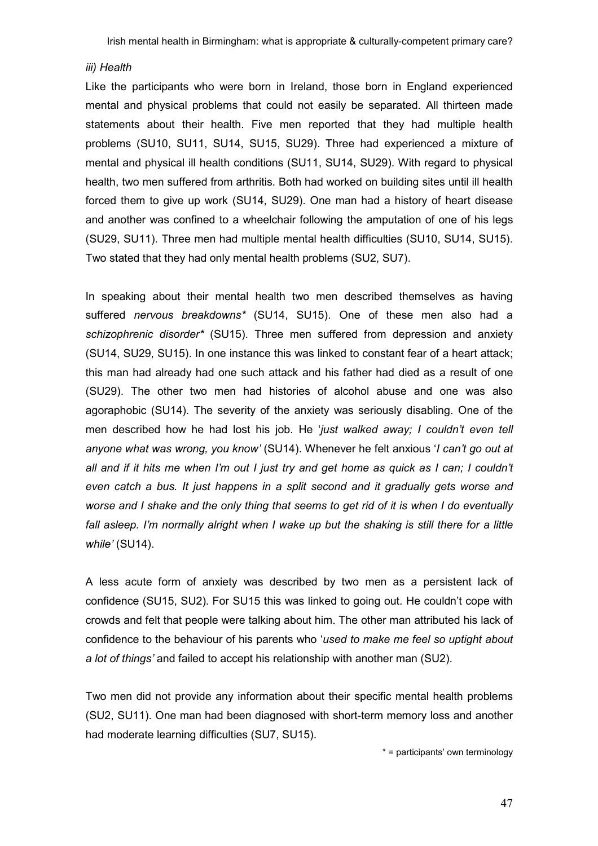#### iii) Health

Like the participants who were born in Ireland, those born in England experienced mental and physical problems that could not easily be separated. All thirteen made statements about their health. Five men reported that they had multiple health problems (SU10, SU11, SU14, SU15, SU29). Three had experienced a mixture of mental and physical ill health conditions (SU11, SU14, SU29). With regard to physical health, two men suffered from arthritis. Both had worked on building sites until ill health forced them to give up work (SU14, SU29). One man had a history of heart disease and another was confined to a wheelchair following the amputation of one of his legs (SU29, SU11). Three men had multiple mental health difficulties (SU10, SU14, SU15). Two stated that they had only mental health problems (SU2, SU7).

In speaking about their mental health two men described themselves as having suffered nervous breakdowns\* (SU14, SU15). One of these men also had a schizophrenic disorder\* (SU15). Three men suffered from depression and anxiety (SU14, SU29, SU15). In one instance this was linked to constant fear of a heart attack; this man had already had one such attack and his father had died as a result of one (SU29). The other two men had histories of alcohol abuse and one was also agoraphobic (SU14). The severity of the anxiety was seriously disabling. One of the men described how he had lost his job. He 'just walked away; I couldn't even tell anyone what was wrong, you know' (SU14). Whenever he felt anxious 'I can't go out at all and if it hits me when I'm out I just try and get home as quick as I can; I couldn't even catch a bus. It just happens in a split second and it gradually gets worse and worse and I shake and the only thing that seems to get rid of it is when I do eventually fall asleep. I'm normally alright when I wake up but the shaking is still there for a little while' (SU14).

A less acute form of anxiety was described by two men as a persistent lack of confidence (SU15, SU2). For SU15 this was linked to going out. He couldn't cope with crowds and felt that people were talking about him. The other man attributed his lack of confidence to the behaviour of his parents who 'used to make me feel so uptight about a lot of things' and failed to accept his relationship with another man (SU2).

Two men did not provide any information about their specific mental health problems (SU2, SU11). One man had been diagnosed with short-term memory loss and another had moderate learning difficulties (SU7, SU15).

\* = participants' own terminology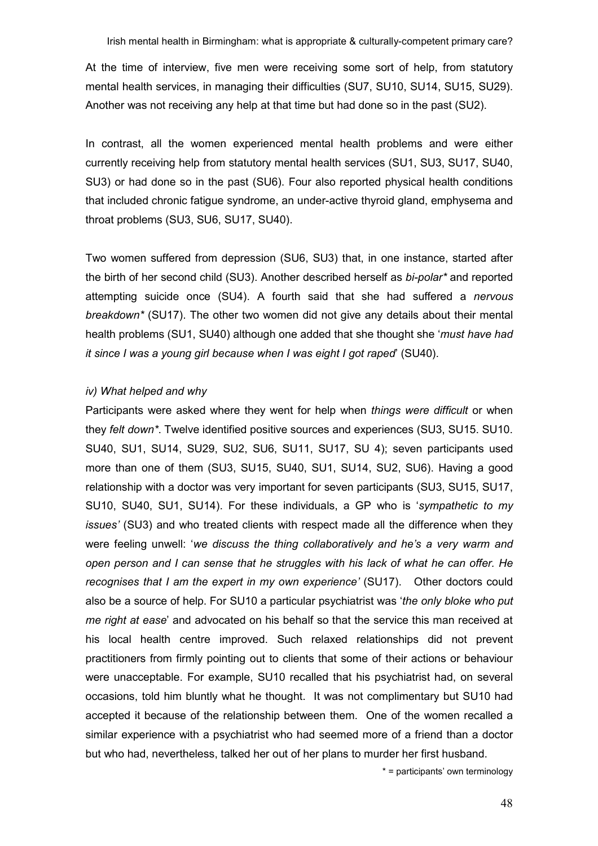At the time of interview, five men were receiving some sort of help, from statutory mental health services, in managing their difficulties (SU7, SU10, SU14, SU15, SU29). Another was not receiving any help at that time but had done so in the past (SU2).

In contrast, all the women experienced mental health problems and were either currently receiving help from statutory mental health services (SU1, SU3, SU17, SU40, SU3) or had done so in the past (SU6). Four also reported physical health conditions that included chronic fatigue syndrome, an under-active thyroid gland, emphysema and throat problems (SU3, SU6, SU17, SU40).

Two women suffered from depression (SU6, SU3) that, in one instance, started after the birth of her second child (SU3). Another described herself as *bi-polar*<sup>\*</sup> and reported attempting suicide once (SU4). A fourth said that she had suffered a nervous breakdown\* (SU17). The other two women did not give any details about their mental health problems (SU1, SU40) although one added that she thought she 'must have had it since I was a young girl because when I was eight I got raped' (SU40).

# iv) What helped and why

Participants were asked where they went for help when things were difficult or when they felt down\*. Twelve identified positive sources and experiences (SU3, SU15. SU10. SU40, SU1, SU14, SU29, SU2, SU6, SU11, SU17, SU 4); seven participants used more than one of them (SU3, SU15, SU40, SU1, SU14, SU2, SU6). Having a good relationship with a doctor was very important for seven participants (SU3, SU15, SU17, SU10, SU40, SU1, SU14). For these individuals, a GP who is 'sympathetic to my issues' (SU3) and who treated clients with respect made all the difference when they were feeling unwell: 'we discuss the thing collaboratively and he's a very warm and open person and I can sense that he struggles with his lack of what he can offer. He recognises that I am the expert in my own experience' (SU17). Other doctors could also be a source of help. For SU10 a particular psychiatrist was 'the only bloke who put me right at ease' and advocated on his behalf so that the service this man received at his local health centre improved. Such relaxed relationships did not prevent practitioners from firmly pointing out to clients that some of their actions or behaviour were unacceptable. For example, SU10 recalled that his psychiatrist had, on several occasions, told him bluntly what he thought. It was not complimentary but SU10 had accepted it because of the relationship between them. One of the women recalled a similar experience with a psychiatrist who had seemed more of a friend than a doctor but who had, nevertheless, talked her out of her plans to murder her first husband.

\* = participants' own terminology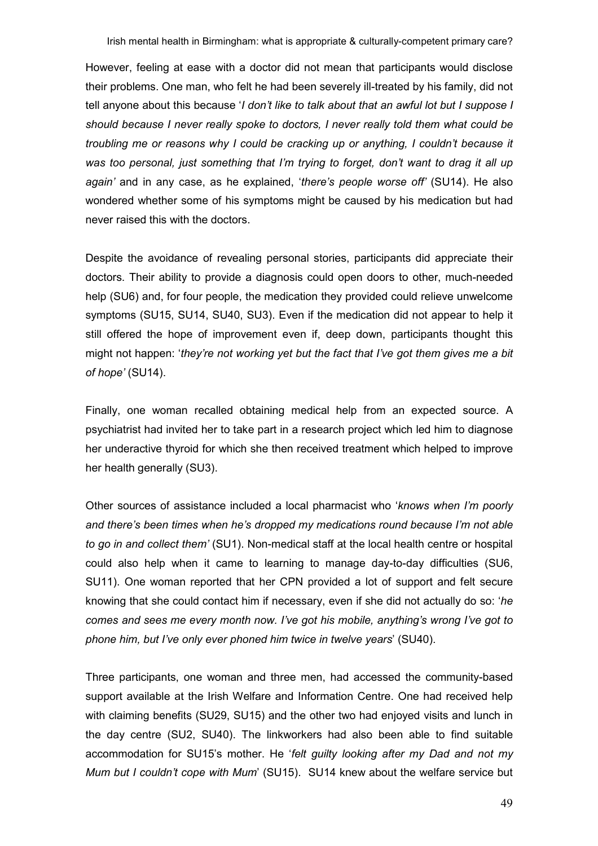However, feeling at ease with a doctor did not mean that participants would disclose their problems. One man, who felt he had been severely ill-treated by his family, did not tell anyone about this because '*I don't like to talk about that an awful lot but I suppose I* should because I never really spoke to doctors, I never really told them what could be troubling me or reasons why I could be cracking up or anything, I couldn't because it was too personal, just something that I'm trying to forget, don't want to drag it all up again' and in any case, as he explained, 'there's people worse off' (SU14). He also wondered whether some of his symptoms might be caused by his medication but had never raised this with the doctors.

Despite the avoidance of revealing personal stories, participants did appreciate their doctors. Their ability to provide a diagnosis could open doors to other, much-needed help (SU6) and, for four people, the medication they provided could relieve unwelcome symptoms (SU15, SU14, SU40, SU3). Even if the medication did not appear to help it still offered the hope of improvement even if, deep down, participants thought this might not happen: 'they're not working yet but the fact that I've got them gives me a bit of hope' (SU14).

Finally, one woman recalled obtaining medical help from an expected source. A psychiatrist had invited her to take part in a research project which led him to diagnose her underactive thyroid for which she then received treatment which helped to improve her health generally (SU3).

Other sources of assistance included a local pharmacist who 'knows when I'm poorly and there's been times when he's dropped my medications round because I'm not able to go in and collect them' (SU1). Non-medical staff at the local health centre or hospital could also help when it came to learning to manage day-to-day difficulties (SU6, SU11). One woman reported that her CPN provided a lot of support and felt secure knowing that she could contact him if necessary, even if she did not actually do so: 'he comes and sees me every month now. I've got his mobile, anything's wrong I've got to phone him, but I've only ever phoned him twice in twelve years' (SU40).

Three participants, one woman and three men, had accessed the community-based support available at the Irish Welfare and Information Centre. One had received help with claiming benefits (SU29, SU15) and the other two had enjoyed visits and lunch in the day centre (SU2, SU40). The linkworkers had also been able to find suitable accommodation for SU15's mother. He 'felt guilty looking after my Dad and not my Mum but I couldn't cope with Mum' (SU15). SU14 knew about the welfare service but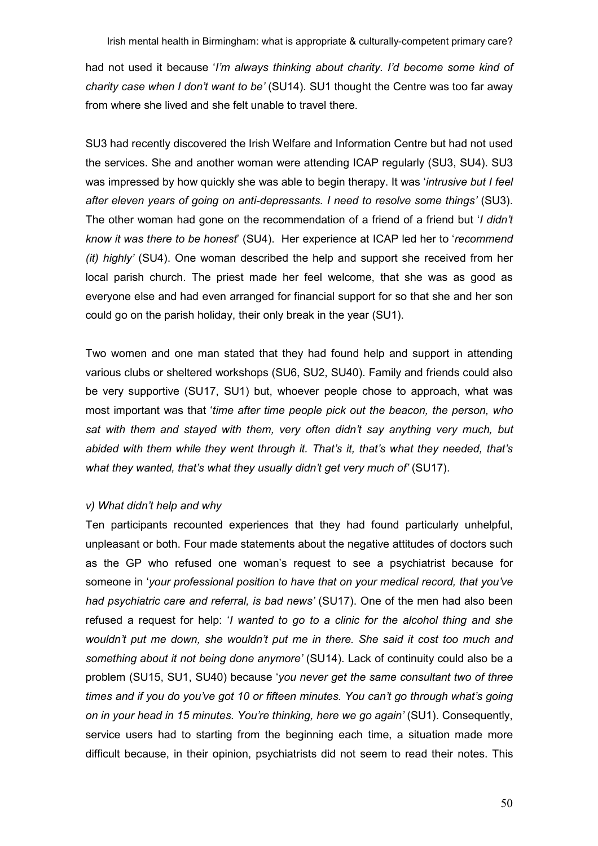had not used it because 'I'm always thinking about charity. I'd become some kind of charity case when I don't want to be' (SU14). SU1 thought the Centre was too far away from where she lived and she felt unable to travel there.

SU3 had recently discovered the Irish Welfare and Information Centre but had not used the services. She and another woman were attending ICAP regularly (SU3, SU4). SU3 was impressed by how quickly she was able to begin therapy. It was 'intrusive but I feel after eleven years of going on anti-depressants. I need to resolve some things' (SU3). The other woman had gone on the recommendation of a friend of a friend but '*I didn't* know it was there to be honest' (SU4). Her experience at ICAP led her to 'recommend (it) highly' (SU4). One woman described the help and support she received from her local parish church. The priest made her feel welcome, that she was as good as everyone else and had even arranged for financial support for so that she and her son could go on the parish holiday, their only break in the year (SU1).

Two women and one man stated that they had found help and support in attending various clubs or sheltered workshops (SU6, SU2, SU40). Family and friends could also be very supportive (SU17, SU1) but, whoever people chose to approach, what was most important was that 'time after time people pick out the beacon, the person, who sat with them and stayed with them, very often didn't say anything very much, but abided with them while they went through it. That's it, that's what they needed, that's what they wanted, that's what they usually didn't get very much of' (SU17).

# v) What didn't help and why

Ten participants recounted experiences that they had found particularly unhelpful, unpleasant or both. Four made statements about the negative attitudes of doctors such as the GP who refused one woman's request to see a psychiatrist because for someone in 'your professional position to have that on your medical record, that you've had psychiatric care and referral, is bad news' (SU17). One of the men had also been refused a request for help: 'I wanted to go to a clinic for the alcohol thing and she wouldn't put me down, she wouldn't put me in there. She said it cost too much and something about it not being done anymore' (SU14). Lack of continuity could also be a problem (SU15, SU1, SU40) because 'you never get the same consultant two of three times and if you do you've got 10 or fifteen minutes. You can't go through what's going on in your head in 15 minutes. You're thinking, here we go again' (SU1). Consequently, service users had to starting from the beginning each time, a situation made more difficult because, in their opinion, psychiatrists did not seem to read their notes. This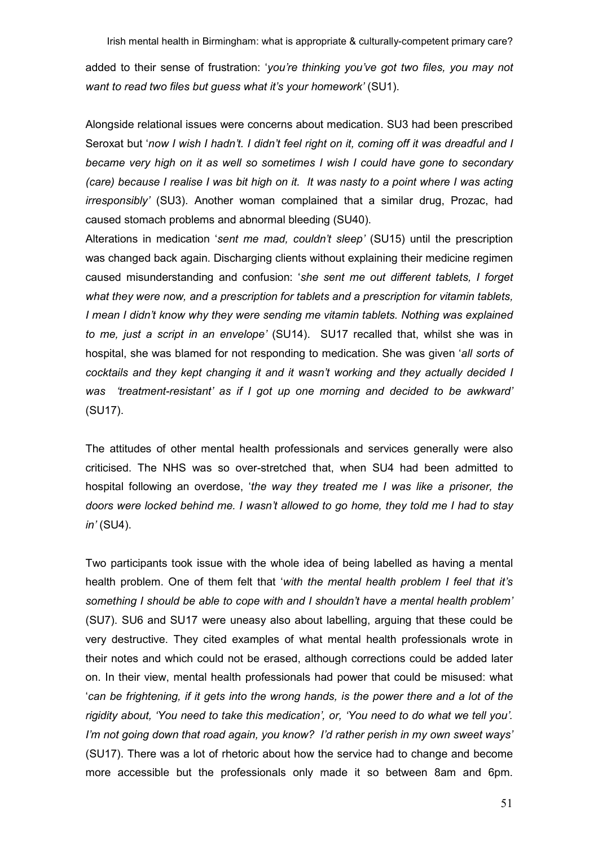added to their sense of frustration: 'you're thinking you've got two files, you may not want to read two files but quess what it's your homework' (SU1).

Alongside relational issues were concerns about medication. SU3 had been prescribed Seroxat but 'now I wish I hadn't. I didn't feel right on it, coming off it was dreadful and I became very high on it as well so sometimes I wish I could have gone to secondary (care) because I realise I was bit high on it. It was nasty to a point where I was acting irresponsibly' (SU3). Another woman complained that a similar drug, Prozac, had caused stomach problems and abnormal bleeding (SU40).

Alterations in medication 'sent me mad, couldn't sleep' (SU15) until the prescription was changed back again. Discharging clients without explaining their medicine regimen caused misunderstanding and confusion: 'she sent me out different tablets, I forget what they were now, and a prescription for tablets and a prescription for vitamin tablets, I mean I didn't know why they were sending me vitamin tablets. Nothing was explained to me, just a script in an envelope' (SU14). SU17 recalled that, whilst she was in hospital, she was blamed for not responding to medication. She was given 'all sorts of cocktails and they kept changing it and it wasn't working and they actually decided I was 'treatment-resistant' as if I got up one morning and decided to be awkward' (SU17).

The attitudes of other mental health professionals and services generally were also criticised. The NHS was so over-stretched that, when SU4 had been admitted to hospital following an overdose, 'the way they treated me I was like a prisoner, the doors were locked behind me. I wasn't allowed to go home, they told me I had to stay in' (SU4).

Two participants took issue with the whole idea of being labelled as having a mental health problem. One of them felt that 'with the mental health problem I feel that it's something I should be able to cope with and I shouldn't have a mental health problem' (SU7). SU6 and SU17 were uneasy also about labelling, arguing that these could be very destructive. They cited examples of what mental health professionals wrote in their notes and which could not be erased, although corrections could be added later on. In their view, mental health professionals had power that could be misused: what 'can be frightening, if it gets into the wrong hands, is the power there and a lot of the rigidity about, 'You need to take this medication', or, 'You need to do what we tell you'. I'm not going down that road again, you know? I'd rather perish in my own sweet ways' (SU17). There was a lot of rhetoric about how the service had to change and become more accessible but the professionals only made it so between 8am and 6pm.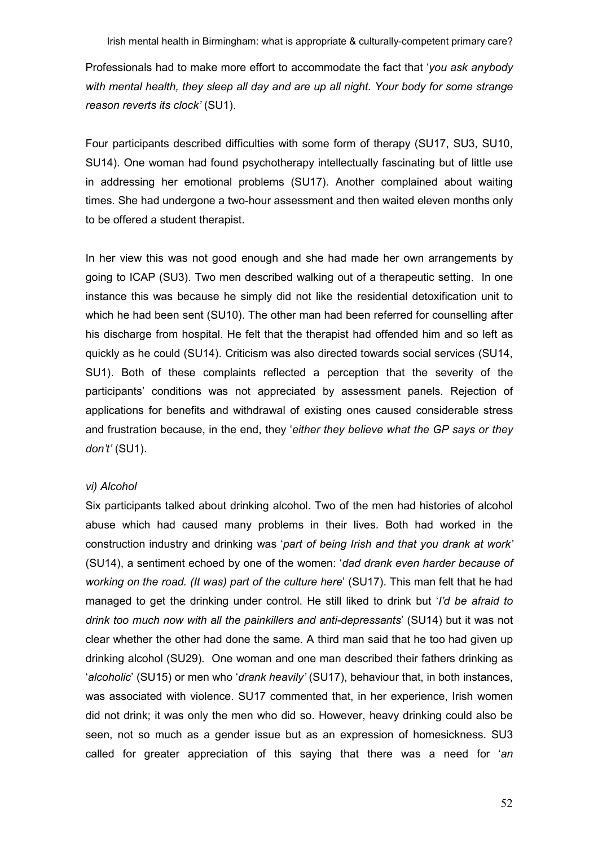Professionals had to make more effort to accommodate the fact that 'you ask anybody with mental health, they sleep all day and are up all night. Your body for some strange reason reverts its clock' (SU1).

Four participants described difficulties with some form of therapy (SU17, SU3, SU10, SU14). One woman had found psychotherapy intellectually fascinating but of little use in addressing her emotional problems (SU17). Another complained about waiting times. She had undergone a two-hour assessment and then waited eleven months only to be offered a student therapist.

In her view this was not good enough and she had made her own arrangements by going to ICAP (SU3). Two men described walking out of a therapeutic setting. In one instance this was because he simply did not like the residential detoxification unit to which he had been sent (SU10). The other man had been referred for counselling after his discharge from hospital. He felt that the therapist had offended him and so left as quickly as he could (SU14). Criticism was also directed towards social services (SU14, SU1). Both of these complaints reflected a perception that the severity of the participants' conditions was not appreciated by assessment panels. Rejection of applications for benefits and withdrawal of existing ones caused considerable stress and frustration because, in the end, they 'either they believe what the GP says or they don't' (SU1).

## vi) Alcohol

Six participants talked about drinking alcohol. Two of the men had histories of alcohol abuse which had caused many problems in their lives. Both had worked in the construction industry and drinking was 'part of being Irish and that you drank at work' (SU14), a sentiment echoed by one of the women: 'dad drank even harder because of working on the road. (It was) part of the culture here' (SU17). This man felt that he had managed to get the drinking under control. He still liked to drink but '*I'd be afraid to* drink too much now with all the painkillers and anti-depressants' (SU14) but it was not clear whether the other had done the same. A third man said that he too had given up drinking alcohol (SU29). One woman and one man described their fathers drinking as 'alcoholic' (SU15) or men who 'drank heavily' (SU17), behaviour that, in both instances, was associated with violence. SU17 commented that, in her experience, Irish women did not drink; it was only the men who did so. However, heavy drinking could also be seen, not so much as a gender issue but as an expression of homesickness. SU3 called for greater appreciation of this saying that there was a need for 'an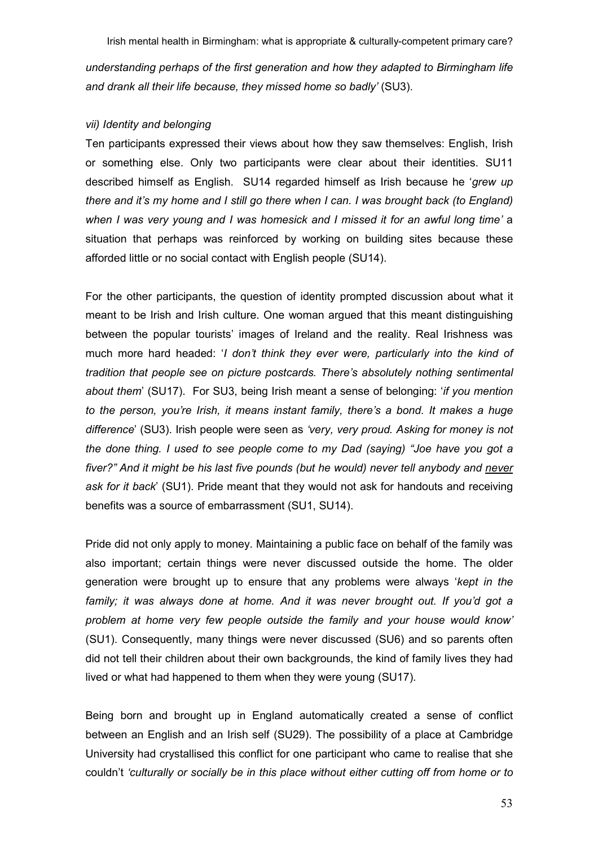understanding perhaps of the first generation and how they adapted to Birmingham life and drank all their life because, they missed home so badly' (SU3).

## vii) Identity and belonging

Ten participants expressed their views about how they saw themselves: English, Irish or something else. Only two participants were clear about their identities. SU11 described himself as English. SU14 regarded himself as Irish because he 'grew up there and it's my home and I still go there when I can. I was brought back (to England) when I was very young and I was homesick and I missed it for an awful long time' a situation that perhaps was reinforced by working on building sites because these afforded little or no social contact with English people (SU14).

For the other participants, the question of identity prompted discussion about what it meant to be Irish and Irish culture. One woman argued that this meant distinguishing between the popular tourists' images of Ireland and the reality. Real Irishness was much more hard headed: 'I don't think they ever were, particularly into the kind of tradition that people see on picture postcards. There's absolutely nothing sentimental about them' (SU17). For SU3, being Irish meant a sense of belonging: 'if you mention to the person, you're Irish, it means instant family, there's a bond. It makes a huge difference' (SU3). Irish people were seen as 'very, very proud. Asking for money is not the done thing. I used to see people come to my Dad (saying) "Joe have you got a fiver?" And it might be his last five pounds (but he would) never tell anybody and never ask for it back' (SU1). Pride meant that they would not ask for handouts and receiving benefits was a source of embarrassment (SU1, SU14).

Pride did not only apply to money. Maintaining a public face on behalf of the family was also important; certain things were never discussed outside the home. The older generation were brought up to ensure that any problems were always 'kept in the family; it was always done at home. And it was never brought out. If you'd got a problem at home very few people outside the family and your house would know' (SU1). Consequently, many things were never discussed (SU6) and so parents often did not tell their children about their own backgrounds, the kind of family lives they had lived or what had happened to them when they were young (SU17).

Being born and brought up in England automatically created a sense of conflict between an English and an Irish self (SU29). The possibility of a place at Cambridge University had crystallised this conflict for one participant who came to realise that she couldn't 'culturally or socially be in this place without either cutting off from home or to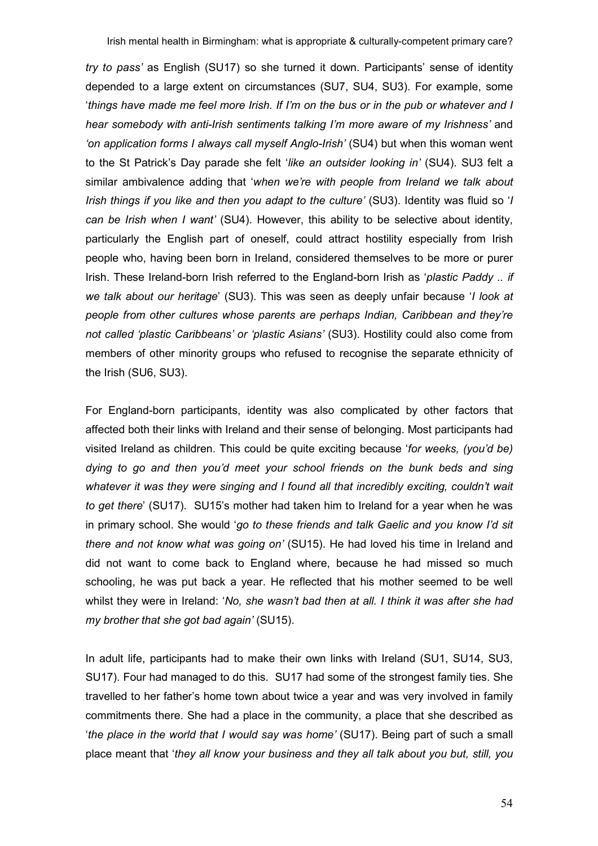try to pass' as English (SU17) so she turned it down. Participants' sense of identity depended to a large extent on circumstances (SU7, SU4, SU3). For example, some 'things have made me feel more Irish. If I'm on the bus or in the pub or whatever and I hear somebody with anti-Irish sentiments talking I'm more aware of my Irishness' and 'on application forms I always call myself Anglo-Irish' (SU4) but when this woman went to the St Patrick's Day parade she felt 'like an outsider looking in' (SU4). SU3 felt a similar ambivalence adding that 'when we're with people from Ireland we talk about Irish things if you like and then you adapt to the culture' (SU3). Identity was fluid so 'I can be Irish when I want' (SU4). However, this ability to be selective about identity, particularly the English part of oneself, could attract hostility especially from Irish people who, having been born in Ireland, considered themselves to be more or purer Irish. These Ireland-born Irish referred to the England-born Irish as 'plastic Paddy .. if we talk about our heritage' (SU3). This was seen as deeply unfair because 'I look at people from other cultures whose parents are perhaps Indian, Caribbean and they're not called 'plastic Caribbeans' or 'plastic Asians' (SU3). Hostility could also come from members of other minority groups who refused to recognise the separate ethnicity of the Irish (SU6, SU3).

For England-born participants, identity was also complicated by other factors that affected both their links with Ireland and their sense of belonging. Most participants had visited Ireland as children. This could be quite exciting because 'for weeks, (you'd be) dying to go and then you'd meet your school friends on the bunk beds and sing whatever it was they were singing and I found all that incredibly exciting, couldn't wait to get there' (SU17). SU15's mother had taken him to Ireland for a year when he was in primary school. She would 'go to these friends and talk Gaelic and you know I'd sit there and not know what was going on' (SU15). He had loved his time in Ireland and did not want to come back to England where, because he had missed so much schooling, he was put back a year. He reflected that his mother seemed to be well whilst they were in Ireland: 'No, she wasn't bad then at all. I think it was after she had my brother that she got bad again' (SU15).

In adult life, participants had to make their own links with Ireland (SU1, SU14, SU3, SU17). Four had managed to do this. SU17 had some of the strongest family ties. She travelled to her father's home town about twice a year and was very involved in family commitments there. She had a place in the community, a place that she described as 'the place in the world that I would say was home' (SU17). Being part of such a small place meant that 'they all know your business and they all talk about you but, still, you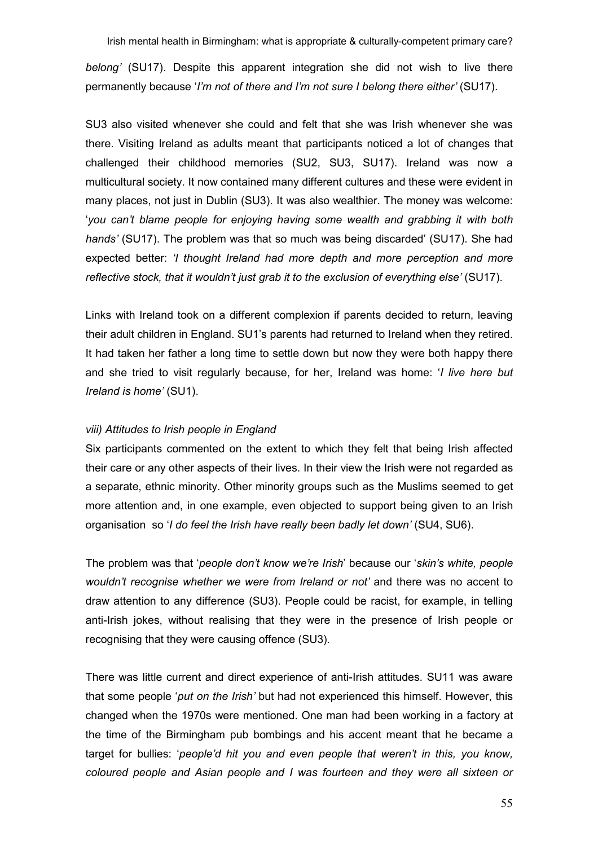belong' (SU17). Despite this apparent integration she did not wish to live there permanently because '*I'm not of there and I'm not sure I belong there either'* (SU17).

SU3 also visited whenever she could and felt that she was Irish whenever she was there. Visiting Ireland as adults meant that participants noticed a lot of changes that challenged their childhood memories (SU2, SU3, SU17). Ireland was now a multicultural society. It now contained many different cultures and these were evident in many places, not just in Dublin (SU3). It was also wealthier. The money was welcome: 'you can't blame people for enjoying having some wealth and grabbing it with both hands' (SU17). The problem was that so much was being discarded' (SU17). She had expected better: 'I thought Ireland had more depth and more perception and more reflective stock, that it wouldn't just grab it to the exclusion of everything else' (SU17).

Links with Ireland took on a different complexion if parents decided to return, leaving their adult children in England. SU1's parents had returned to Ireland when they retired. It had taken her father a long time to settle down but now they were both happy there and she tried to visit regularly because, for her, Ireland was home: 'I live here but Ireland is home' (SU1).

# viii) Attitudes to Irish people in England

Six participants commented on the extent to which they felt that being Irish affected their care or any other aspects of their lives. In their view the Irish were not regarded as a separate, ethnic minority. Other minority groups such as the Muslims seemed to get more attention and, in one example, even objected to support being given to an Irish organisation so 'I do feel the Irish have really been badly let down' (SU4, SU6).

The problem was that 'people don't know we're Irish' because our 'skin's white, people wouldn't recognise whether we were from Ireland or not' and there was no accent to draw attention to any difference (SU3). People could be racist, for example, in telling anti-Irish jokes, without realising that they were in the presence of Irish people or recognising that they were causing offence (SU3).

There was little current and direct experience of anti-Irish attitudes. SU11 was aware that some people 'put on the Irish' but had not experienced this himself. However, this changed when the 1970s were mentioned. One man had been working in a factory at the time of the Birmingham pub bombings and his accent meant that he became a target for bullies: 'people'd hit you and even people that weren't in this, you know, coloured people and Asian people and I was fourteen and they were all sixteen or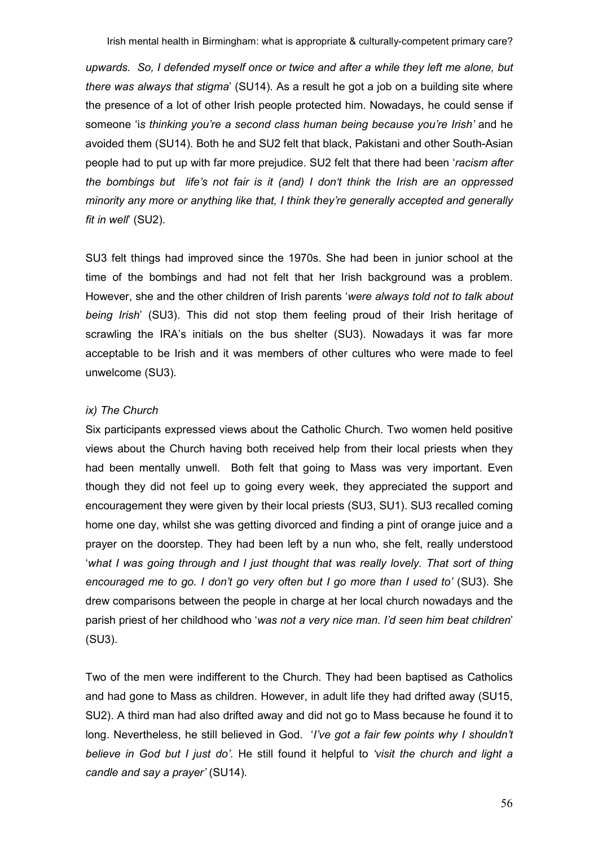upwards. So, I defended myself once or twice and after a while they left me alone, but there was always that stigma' (SU14). As a result he got a job on a building site where the presence of a lot of other Irish people protected him. Nowadays, he could sense if someone 'is thinking you're a second class human being because you're Irish' and he avoided them (SU14). Both he and SU2 felt that black, Pakistani and other South-Asian people had to put up with far more prejudice. SU2 felt that there had been 'racism after the bombings but life's not fair is it (and) I don't think the Irish are an oppressed minority any more or anything like that, I think they're generally accepted and generally fit in well' (SU2).

SU3 felt things had improved since the 1970s. She had been in junior school at the time of the bombings and had not felt that her Irish background was a problem. However, she and the other children of Irish parents 'were always told not to talk about being Irish' (SU3). This did not stop them feeling proud of their Irish heritage of scrawling the IRA's initials on the bus shelter (SU3). Nowadays it was far more acceptable to be Irish and it was members of other cultures who were made to feel unwelcome (SU3).

# ix) The Church

Six participants expressed views about the Catholic Church. Two women held positive views about the Church having both received help from their local priests when they had been mentally unwell. Both felt that going to Mass was very important. Even though they did not feel up to going every week, they appreciated the support and encouragement they were given by their local priests (SU3, SU1). SU3 recalled coming home one day, whilst she was getting divorced and finding a pint of orange juice and a prayer on the doorstep. They had been left by a nun who, she felt, really understood 'what I was going through and I just thought that was really lovely. That sort of thing encouraged me to go. I don't go very often but I go more than I used to' (SU3). She drew comparisons between the people in charge at her local church nowadays and the parish priest of her childhood who 'was not a very nice man. I'd seen him beat children' (SU3).

Two of the men were indifferent to the Church. They had been baptised as Catholics and had gone to Mass as children. However, in adult life they had drifted away (SU15, SU2). A third man had also drifted away and did not go to Mass because he found it to long. Nevertheless, he still believed in God. '*I've got a fair few points why I shouldn't* believe in God but I just do'. He still found it helpful to 'visit the church and light a candle and say a prayer' (SU14).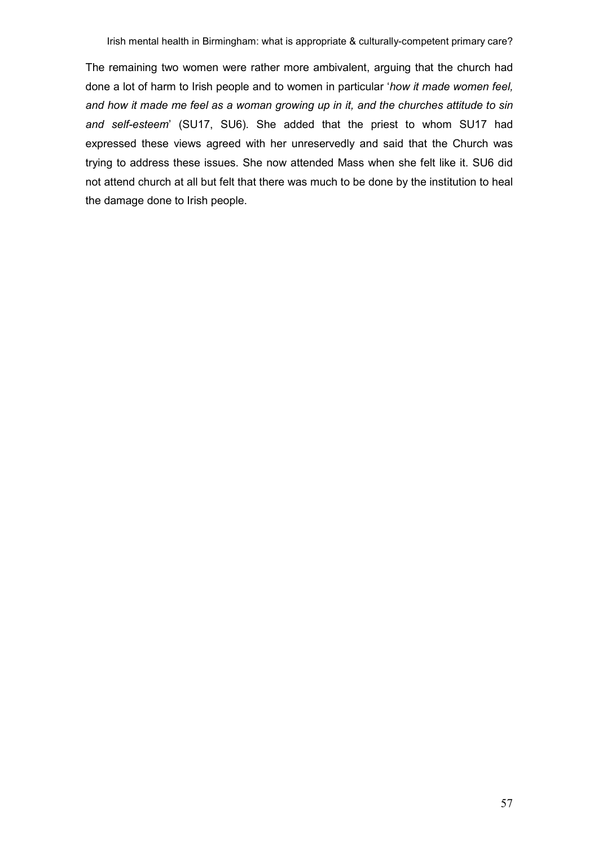The remaining two women were rather more ambivalent, arguing that the church had done a lot of harm to Irish people and to women in particular 'how it made women feel, and how it made me feel as a woman growing up in it, and the churches attitude to sin and self-esteem' (SU17, SU6). She added that the priest to whom SU17 had expressed these views agreed with her unreservedly and said that the Church was trying to address these issues. She now attended Mass when she felt like it. SU6 did not attend church at all but felt that there was much to be done by the institution to heal the damage done to Irish people.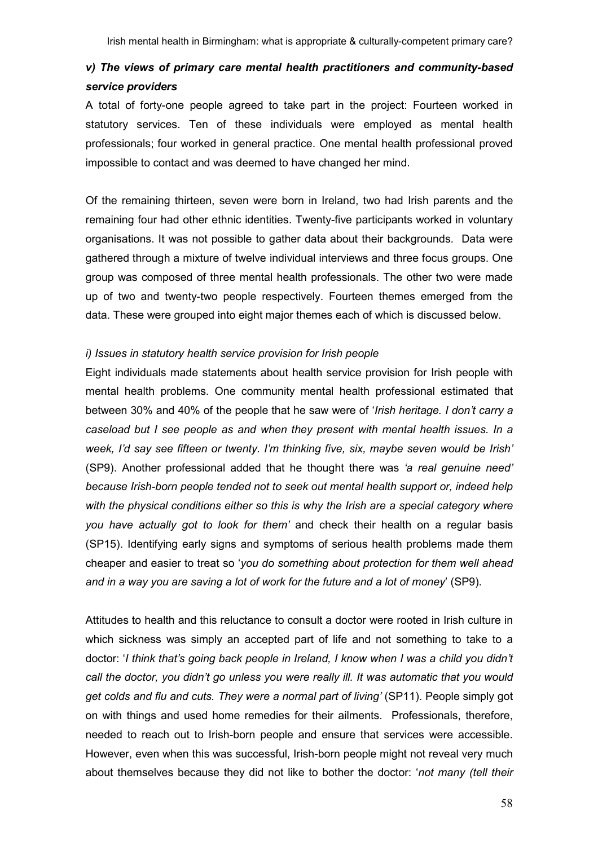# v) The views of primary care mental health practitioners and community-based service providers

A total of forty-one people agreed to take part in the project: Fourteen worked in statutory services. Ten of these individuals were employed as mental health professionals; four worked in general practice. One mental health professional proved impossible to contact and was deemed to have changed her mind.

Of the remaining thirteen, seven were born in Ireland, two had Irish parents and the remaining four had other ethnic identities. Twenty-five participants worked in voluntary organisations. It was not possible to gather data about their backgrounds. Data were gathered through a mixture of twelve individual interviews and three focus groups. One group was composed of three mental health professionals. The other two were made up of two and twenty-two people respectively. Fourteen themes emerged from the data. These were grouped into eight major themes each of which is discussed below.

## i) Issues in statutory health service provision for Irish people

Eight individuals made statements about health service provision for Irish people with mental health problems. One community mental health professional estimated that between 30% and 40% of the people that he saw were of 'Irish heritage. I don't carry a caseload but I see people as and when they present with mental health issues. In a week, I'd say see fifteen or twenty. I'm thinking five, six, maybe seven would be Irish' (SP9). Another professional added that he thought there was 'a real genuine need' because Irish-born people tended not to seek out mental health support or, indeed help with the physical conditions either so this is why the Irish are a special category where you have actually got to look for them' and check their health on a regular basis (SP15). Identifying early signs and symptoms of serious health problems made them cheaper and easier to treat so 'you do something about protection for them well ahead and in a way you are saving a lot of work for the future and a lot of money' (SP9).

Attitudes to health and this reluctance to consult a doctor were rooted in Irish culture in which sickness was simply an accepted part of life and not something to take to a doctor: 'I think that's going back people in Ireland, I know when I was a child you didn't call the doctor, you didn't go unless you were really ill. It was automatic that you would get colds and flu and cuts. They were a normal part of living' (SP11). People simply got on with things and used home remedies for their ailments. Professionals, therefore, needed to reach out to Irish-born people and ensure that services were accessible. However, even when this was successful, Irish-born people might not reveal very much about themselves because they did not like to bother the doctor: 'not many (tell their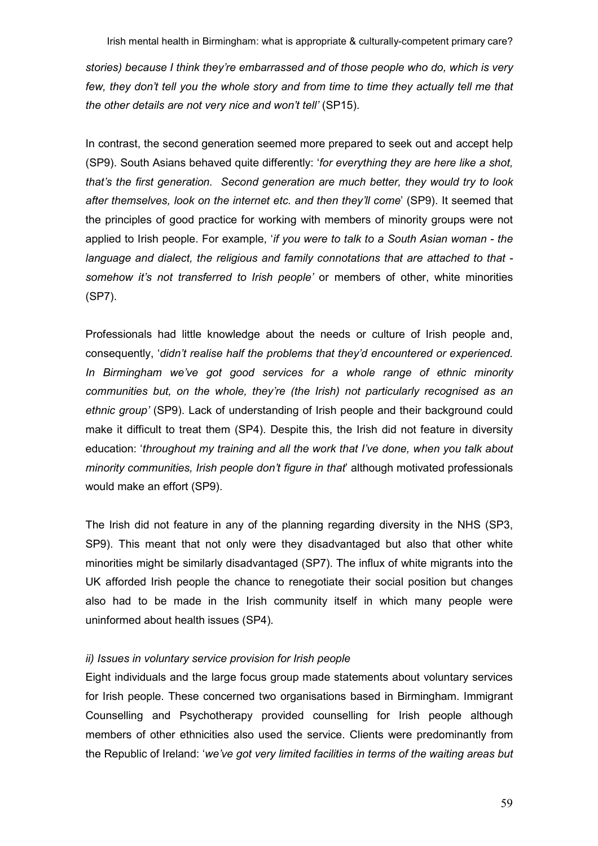stories) because I think they're embarrassed and of those people who do, which is very few, they don't tell you the whole story and from time to time they actually tell me that the other details are not very nice and won't tell' (SP15).

In contrast, the second generation seemed more prepared to seek out and accept help (SP9). South Asians behaved quite differently: 'for everything they are here like a shot, that's the first generation. Second generation are much better, they would try to look after themselves, look on the internet etc. and then they'll come' (SP9). It seemed that the principles of good practice for working with members of minority groups were not applied to Irish people. For example, 'if you were to talk to a South Asian woman - the language and dialect, the religious and family connotations that are attached to that somehow it's not transferred to Irish people' or members of other, white minorities (SP7).

Professionals had little knowledge about the needs or culture of Irish people and, consequently, 'didn't realise half the problems that they'd encountered or experienced. In Birmingham we've got good services for a whole range of ethnic minority communities but, on the whole, they're (the Irish) not particularly recognised as an ethnic group' (SP9). Lack of understanding of Irish people and their background could make it difficult to treat them (SP4). Despite this, the Irish did not feature in diversity education: 'throughout my training and all the work that I've done, when you talk about minority communities, Irish people don't figure in that' although motivated professionals would make an effort (SP9).

The Irish did not feature in any of the planning regarding diversity in the NHS (SP3, SP9). This meant that not only were they disadvantaged but also that other white minorities might be similarly disadvantaged (SP7). The influx of white migrants into the UK afforded Irish people the chance to renegotiate their social position but changes also had to be made in the Irish community itself in which many people were uninformed about health issues (SP4).

# ii) Issues in voluntary service provision for Irish people

Eight individuals and the large focus group made statements about voluntary services for Irish people. These concerned two organisations based in Birmingham. Immigrant Counselling and Psychotherapy provided counselling for Irish people although members of other ethnicities also used the service. Clients were predominantly from the Republic of Ireland: 'we've got very limited facilities in terms of the waiting areas but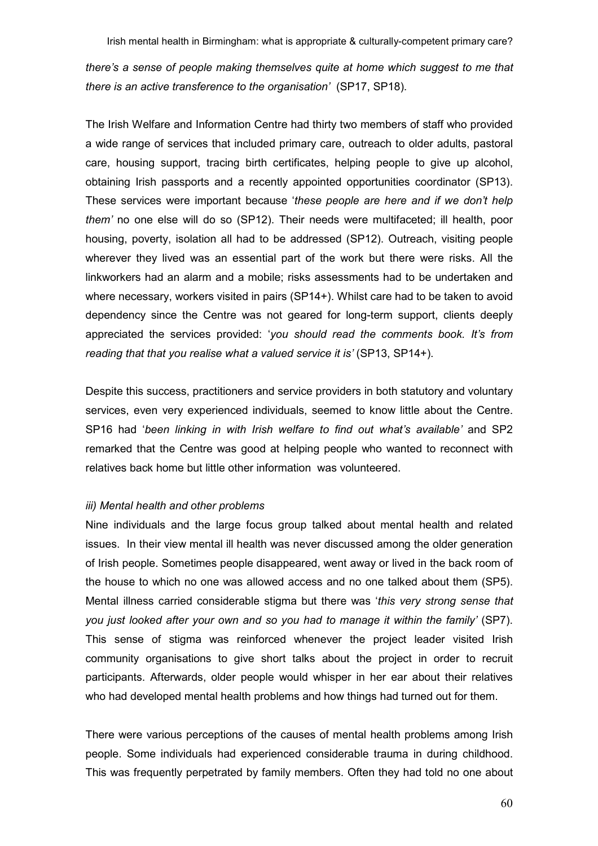there's a sense of people making themselves quite at home which suggest to me that there is an active transference to the organisation' (SP17, SP18).

The Irish Welfare and Information Centre had thirty two members of staff who provided a wide range of services that included primary care, outreach to older adults, pastoral care, housing support, tracing birth certificates, helping people to give up alcohol, obtaining Irish passports and a recently appointed opportunities coordinator (SP13). These services were important because 'these people are here and if we don't help them' no one else will do so (SP12). Their needs were multifaceted; ill health, poor housing, poverty, isolation all had to be addressed (SP12). Outreach, visiting people wherever they lived was an essential part of the work but there were risks. All the linkworkers had an alarm and a mobile; risks assessments had to be undertaken and where necessary, workers visited in pairs (SP14+). Whilst care had to be taken to avoid dependency since the Centre was not geared for long-term support, clients deeply appreciated the services provided: 'you should read the comments book. It's from reading that that you realise what a valued service it is' (SP13, SP14+).

Despite this success, practitioners and service providers in both statutory and voluntary services, even very experienced individuals, seemed to know little about the Centre. SP16 had 'been linking in with Irish welfare to find out what's available' and SP2 remarked that the Centre was good at helping people who wanted to reconnect with relatives back home but little other information was volunteered.

# iii) Mental health and other problems

Nine individuals and the large focus group talked about mental health and related issues. In their view mental ill health was never discussed among the older generation of Irish people. Sometimes people disappeared, went away or lived in the back room of the house to which no one was allowed access and no one talked about them (SP5). Mental illness carried considerable stigma but there was 'this very strong sense that you just looked after your own and so you had to manage it within the family' (SP7). This sense of stigma was reinforced whenever the project leader visited Irish community organisations to give short talks about the project in order to recruit participants. Afterwards, older people would whisper in her ear about their relatives who had developed mental health problems and how things had turned out for them.

There were various perceptions of the causes of mental health problems among Irish people. Some individuals had experienced considerable trauma in during childhood. This was frequently perpetrated by family members. Often they had told no one about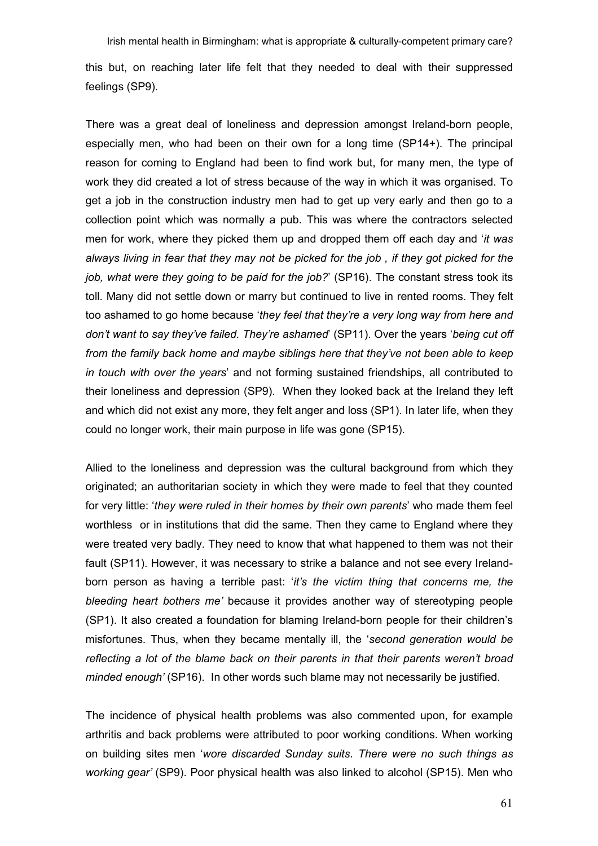Irish mental health in Birmingham: what is appropriate & culturally-competent primary care? this but, on reaching later life felt that they needed to deal with their suppressed feelings (SP9).

There was a great deal of loneliness and depression amongst Ireland-born people, especially men, who had been on their own for a long time (SP14+). The principal reason for coming to England had been to find work but, for many men, the type of work they did created a lot of stress because of the way in which it was organised. To get a job in the construction industry men had to get up very early and then go to a collection point which was normally a pub. This was where the contractors selected men for work, where they picked them up and dropped them off each day and 'it was always living in fear that they may not be picked for the job , if they got picked for the job, what were they going to be paid for the job?' (SP16). The constant stress took its toll. Many did not settle down or marry but continued to live in rented rooms. They felt too ashamed to go home because 'they feel that they're a very long way from here and don't want to say they've failed. They're ashamed' (SP11). Over the years 'being cut off from the family back home and maybe siblings here that they've not been able to keep in touch with over the years' and not forming sustained friendships, all contributed to their loneliness and depression (SP9). When they looked back at the Ireland they left and which did not exist any more, they felt anger and loss (SP1). In later life, when they could no longer work, their main purpose in life was gone (SP15).

Allied to the loneliness and depression was the cultural background from which they originated; an authoritarian society in which they were made to feel that they counted for very little: 'they were ruled in their homes by their own parents' who made them feel worthless or in institutions that did the same. Then they came to England where they were treated very badly. They need to know that what happened to them was not their fault (SP11). However, it was necessary to strike a balance and not see every Irelandborn person as having a terrible past: '*it's the victim thing that concerns me*, the bleeding heart bothers me' because it provides another way of stereotyping people (SP1). It also created a foundation for blaming Ireland-born people for their children's misfortunes. Thus, when they became mentally ill, the 'second generation would be reflecting a lot of the blame back on their parents in that their parents weren't broad minded enough' (SP16). In other words such blame may not necessarily be justified.

The incidence of physical health problems was also commented upon, for example arthritis and back problems were attributed to poor working conditions. When working on building sites men 'wore discarded Sunday suits. There were no such things as working gear' (SP9). Poor physical health was also linked to alcohol (SP15). Men who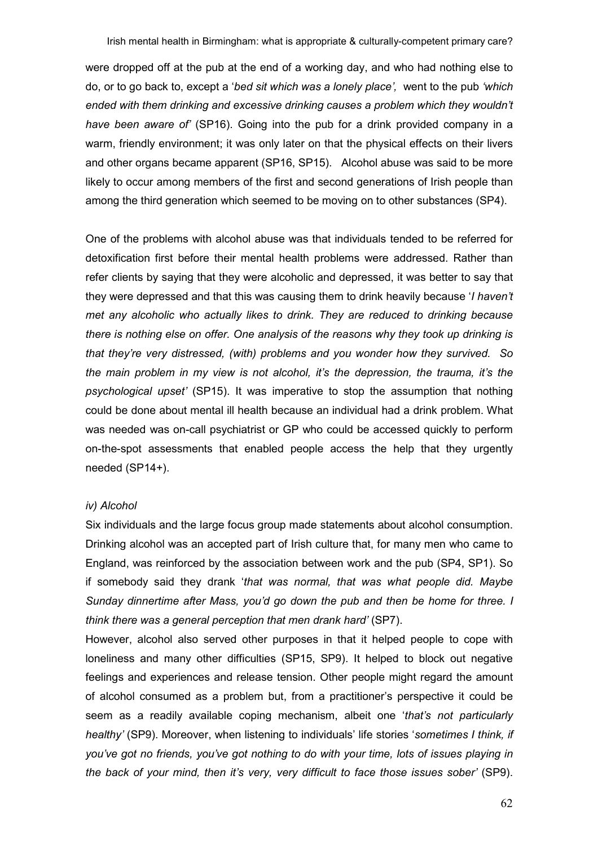were dropped off at the pub at the end of a working day, and who had nothing else to do, or to go back to, except a 'bed sit which was a lonely place', went to the pub 'which ended with them drinking and excessive drinking causes a problem which they wouldn't have been aware of' (SP16). Going into the pub for a drink provided company in a warm, friendly environment; it was only later on that the physical effects on their livers and other organs became apparent (SP16, SP15). Alcohol abuse was said to be more likely to occur among members of the first and second generations of Irish people than among the third generation which seemed to be moving on to other substances (SP4).

One of the problems with alcohol abuse was that individuals tended to be referred for detoxification first before their mental health problems were addressed. Rather than refer clients by saying that they were alcoholic and depressed, it was better to say that they were depressed and that this was causing them to drink heavily because 'I haven't met any alcoholic who actually likes to drink. They are reduced to drinking because there is nothing else on offer. One analysis of the reasons why they took up drinking is that they're very distressed, (with) problems and you wonder how they survived. So the main problem in my view is not alcohol, it's the depression, the trauma, it's the psychological upset' (SP15). It was imperative to stop the assumption that nothing could be done about mental ill health because an individual had a drink problem. What was needed was on-call psychiatrist or GP who could be accessed quickly to perform on-the-spot assessments that enabled people access the help that they urgently needed (SP14+).

# iv) Alcohol

Six individuals and the large focus group made statements about alcohol consumption. Drinking alcohol was an accepted part of Irish culture that, for many men who came to England, was reinforced by the association between work and the pub (SP4, SP1). So if somebody said they drank 'that was normal, that was what people did. Maybe Sunday dinnertime after Mass, you'd go down the pub and then be home for three. I think there was a general perception that men drank hard' (SP7).

However, alcohol also served other purposes in that it helped people to cope with loneliness and many other difficulties (SP15, SP9). It helped to block out negative feelings and experiences and release tension. Other people might regard the amount of alcohol consumed as a problem but, from a practitioner's perspective it could be seem as a readily available coping mechanism, albeit one 'that's not particularly healthy' (SP9). Moreover, when listening to individuals' life stories 'sometimes I think, if you've got no friends, you've got nothing to do with your time, lots of issues playing in the back of your mind, then it's very, very difficult to face those issues sober' (SP9).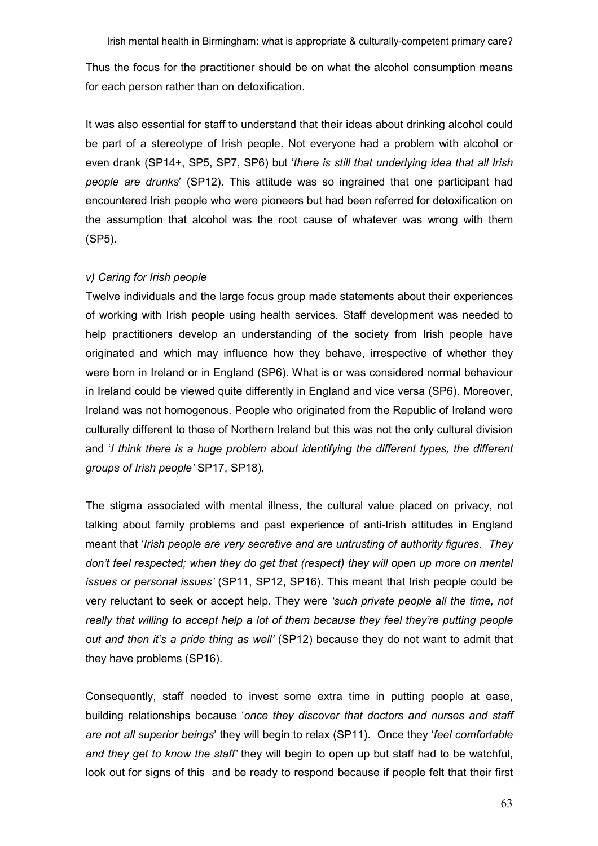Thus the focus for the practitioner should be on what the alcohol consumption means for each person rather than on detoxification.

It was also essential for staff to understand that their ideas about drinking alcohol could be part of a stereotype of Irish people. Not everyone had a problem with alcohol or even drank (SP14+, SP5, SP7, SP6) but 'there is still that underlying idea that all Irish people are drunks' (SP12). This attitude was so ingrained that one participant had encountered Irish people who were pioneers but had been referred for detoxification on the assumption that alcohol was the root cause of whatever was wrong with them (SP5).

# v) Caring for Irish people

Twelve individuals and the large focus group made statements about their experiences of working with Irish people using health services. Staff development was needed to help practitioners develop an understanding of the society from Irish people have originated and which may influence how they behave, irrespective of whether they were born in Ireland or in England (SP6). What is or was considered normal behaviour in Ireland could be viewed quite differently in England and vice versa (SP6). Moreover, Ireland was not homogenous. People who originated from the Republic of Ireland were culturally different to those of Northern Ireland but this was not the only cultural division and 'I think there is a huge problem about identifying the different types, the different groups of Irish people' SP17, SP18).

The stigma associated with mental illness, the cultural value placed on privacy, not talking about family problems and past experience of anti-Irish attitudes in England meant that 'Irish people are very secretive and are untrusting of authority figures. They don't feel respected; when they do get that (respect) they will open up more on mental issues or personal issues' (SP11, SP12, SP16). This meant that Irish people could be very reluctant to seek or accept help. They were 'such private people all the time, not really that willing to accept help a lot of them because they feel they're putting people out and then it's a pride thing as well' (SP12) because they do not want to admit that they have problems (SP16).

Consequently, staff needed to invest some extra time in putting people at ease, building relationships because 'once they discover that doctors and nurses and staff are not all superior beings' they will begin to relax (SP11). Once they 'feel comfortable and they get to know the staff' they will begin to open up but staff had to be watchful. look out for signs of this and be ready to respond because if people felt that their first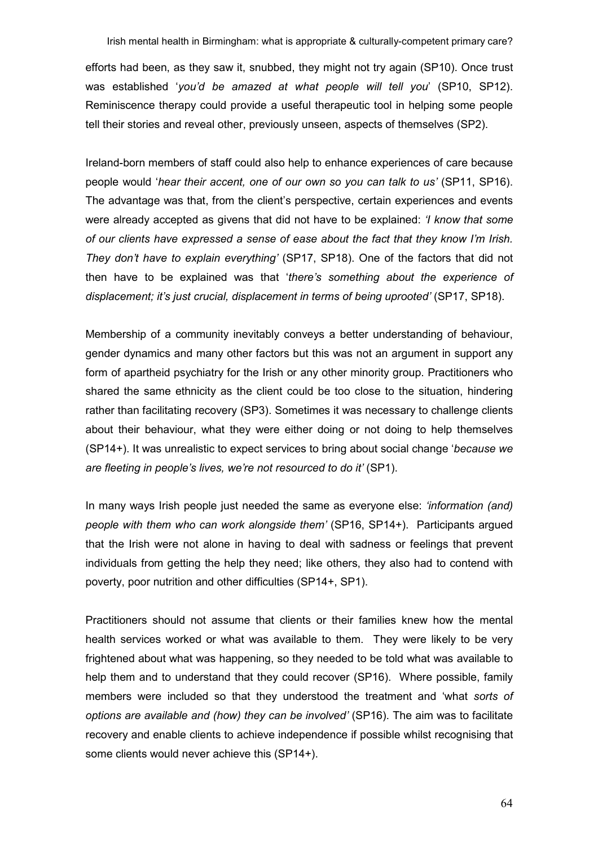efforts had been, as they saw it, snubbed, they might not try again (SP10). Once trust was established 'you'd be amazed at what people will tell you' (SP10, SP12). Reminiscence therapy could provide a useful therapeutic tool in helping some people tell their stories and reveal other, previously unseen, aspects of themselves (SP2).

Ireland-born members of staff could also help to enhance experiences of care because people would 'hear their accent, one of our own so you can talk to us' (SP11, SP16). The advantage was that, from the client's perspective, certain experiences and events were already accepted as givens that did not have to be explained: '*I know that some* of our clients have expressed a sense of ease about the fact that they know I'm Irish. They don't have to explain everything' (SP17, SP18). One of the factors that did not then have to be explained was that 'there's something about the experience of displacement; it's just crucial, displacement in terms of being uprooted' (SP17, SP18).

Membership of a community inevitably conveys a better understanding of behaviour, gender dynamics and many other factors but this was not an argument in support any form of apartheid psychiatry for the Irish or any other minority group. Practitioners who shared the same ethnicity as the client could be too close to the situation, hindering rather than facilitating recovery (SP3). Sometimes it was necessary to challenge clients about their behaviour, what they were either doing or not doing to help themselves (SP14+). It was unrealistic to expect services to bring about social change 'because we are fleeting in people's lives, we're not resourced to do it' (SP1).

In many ways Irish people just needed the same as everyone else: 'information (and) people with them who can work alongside them' (SP16, SP14+). Participants argued that the Irish were not alone in having to deal with sadness or feelings that prevent individuals from getting the help they need; like others, they also had to contend with poverty, poor nutrition and other difficulties (SP14+, SP1).

Practitioners should not assume that clients or their families knew how the mental health services worked or what was available to them. They were likely to be very frightened about what was happening, so they needed to be told what was available to help them and to understand that they could recover (SP16). Where possible, family members were included so that they understood the treatment and 'what sorts of options are available and (how) they can be involved' (SP16). The aim was to facilitate recovery and enable clients to achieve independence if possible whilst recognising that some clients would never achieve this (SP14+).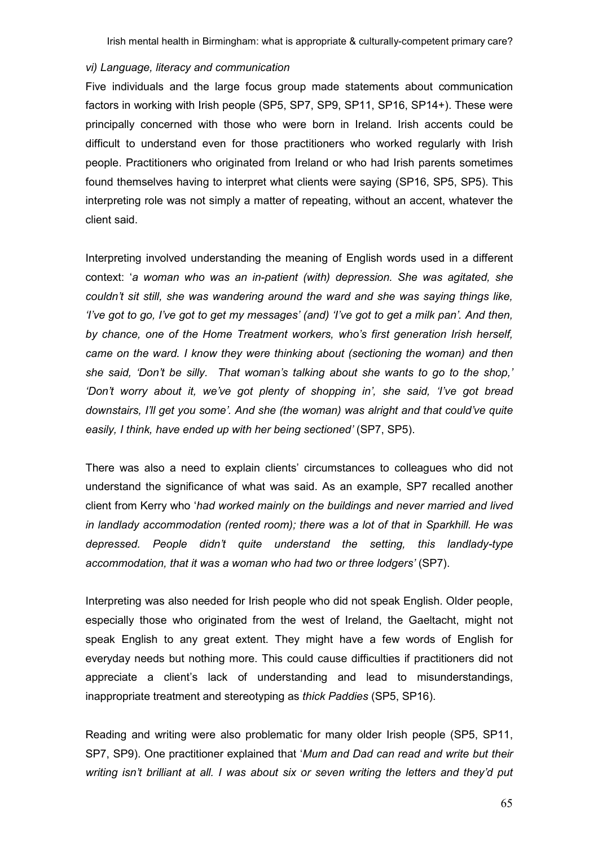#### vi) Language, literacy and communication

Five individuals and the large focus group made statements about communication factors in working with Irish people (SP5, SP7, SP9, SP11, SP16, SP14+). These were principally concerned with those who were born in Ireland. Irish accents could be difficult to understand even for those practitioners who worked regularly with Irish people. Practitioners who originated from Ireland or who had Irish parents sometimes found themselves having to interpret what clients were saying (SP16, SP5, SP5). This interpreting role was not simply a matter of repeating, without an accent, whatever the client said.

Interpreting involved understanding the meaning of English words used in a different context: 'a woman who was an in-patient (with) depression. She was agitated, she couldn't sit still, she was wandering around the ward and she was saying things like, 'I've got to go, I've got to get my messages' (and) 'I've got to get a milk pan'. And then, by chance, one of the Home Treatment workers, who's first generation Irish herself, came on the ward. I know they were thinking about (sectioning the woman) and then she said, 'Don't be silly. That woman's talking about she wants to go to the shop,' 'Don't worry about it, we've got plenty of shopping in', she said, 'I've got bread downstairs, I'll get you some'. And she (the woman) was alright and that could've quite easily, I think, have ended up with her being sectioned' (SP7, SP5).

There was also a need to explain clients' circumstances to colleagues who did not understand the significance of what was said. As an example, SP7 recalled another client from Kerry who 'had worked mainly on the buildings and never married and lived in landlady accommodation (rented room); there was a lot of that in Sparkhill. He was depressed. People didn't quite understand the setting, this landlady-type accommodation, that it was a woman who had two or three lodgers' (SP7).

Interpreting was also needed for Irish people who did not speak English. Older people, especially those who originated from the west of Ireland, the Gaeltacht, might not speak English to any great extent. They might have a few words of English for everyday needs but nothing more. This could cause difficulties if practitioners did not appreciate a client's lack of understanding and lead to misunderstandings, inappropriate treatment and stereotyping as thick Paddies (SP5, SP16).

Reading and writing were also problematic for many older Irish people (SP5, SP11, SP7, SP9). One practitioner explained that 'Mum and Dad can read and write but their writing isn't brilliant at all. I was about six or seven writing the letters and they'd put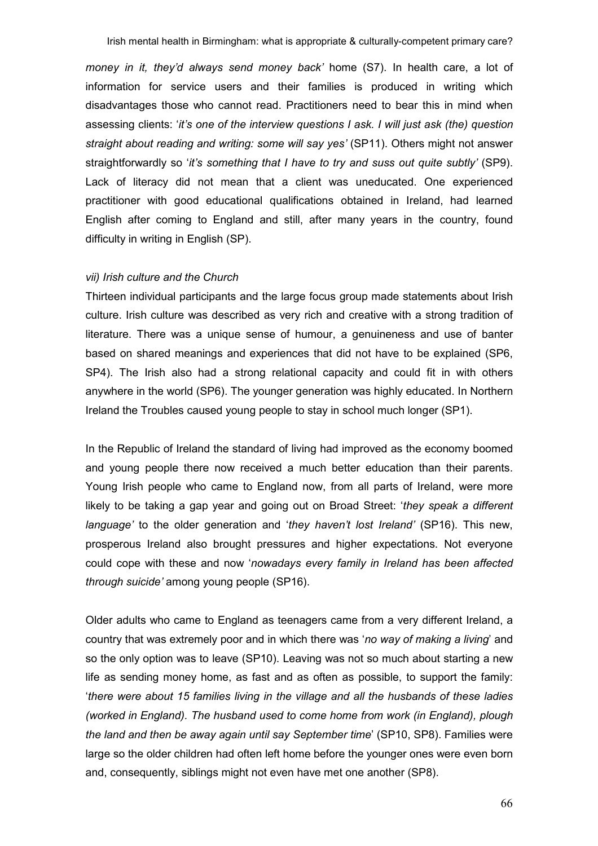money in it, they'd always send money back' home (S7). In health care, a lot of information for service users and their families is produced in writing which disadvantages those who cannot read. Practitioners need to bear this in mind when assessing clients: 'it's one of the interview questions I ask. I will just ask (the) question straight about reading and writing: some will say yes' (SP11). Others might not answer straightforwardly so 'it's something that I have to try and suss out quite subtly' (SP9). Lack of literacy did not mean that a client was uneducated. One experienced practitioner with good educational qualifications obtained in Ireland, had learned English after coming to England and still, after many years in the country, found difficulty in writing in English (SP).

## vii) Irish culture and the Church

Thirteen individual participants and the large focus group made statements about Irish culture. Irish culture was described as very rich and creative with a strong tradition of literature. There was a unique sense of humour, a genuineness and use of banter based on shared meanings and experiences that did not have to be explained (SP6, SP4). The Irish also had a strong relational capacity and could fit in with others anywhere in the world (SP6). The younger generation was highly educated. In Northern Ireland the Troubles caused young people to stay in school much longer (SP1).

In the Republic of Ireland the standard of living had improved as the economy boomed and young people there now received a much better education than their parents. Young Irish people who came to England now, from all parts of Ireland, were more likely to be taking a gap year and going out on Broad Street: 'they speak a different language' to the older generation and 'they haven't lost Ireland' (SP16). This new, prosperous Ireland also brought pressures and higher expectations. Not everyone could cope with these and now 'nowadays every family in Ireland has been affected through suicide' among young people (SP16).

Older adults who came to England as teenagers came from a very different Ireland, a country that was extremely poor and in which there was 'no way of making a living' and so the only option was to leave (SP10). Leaving was not so much about starting a new life as sending money home, as fast and as often as possible, to support the family: 'there were about 15 families living in the village and all the husbands of these ladies (worked in England). The husband used to come home from work (in England), plough the land and then be away again until say September time' (SP10, SP8). Families were large so the older children had often left home before the younger ones were even born and, consequently, siblings might not even have met one another (SP8).

66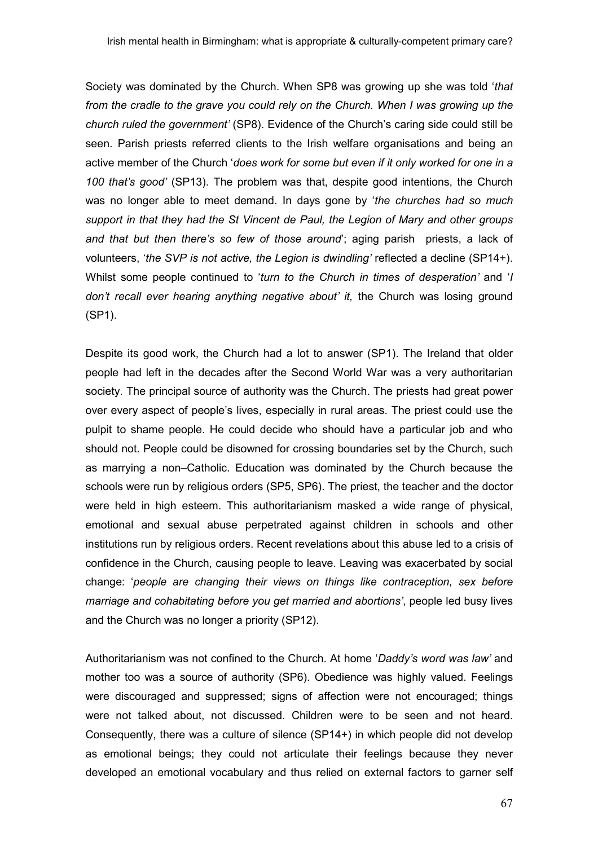Society was dominated by the Church. When SP8 was growing up she was told 'that from the cradle to the grave you could rely on the Church. When I was growing up the church ruled the government' (SP8). Evidence of the Church's caring side could still be seen. Parish priests referred clients to the Irish welfare organisations and being an active member of the Church 'does work for some but even if it only worked for one in a 100 that's good' (SP13). The problem was that, despite good intentions, the Church was no longer able to meet demand. In days gone by 'the churches had so much support in that they had the St Vincent de Paul, the Legion of Mary and other groups and that but then there's so few of those around'; aging parish priests, a lack of volunteers, 'the SVP is not active, the Legion is dwindling' reflected a decline (SP14+). Whilst some people continued to 'turn to the Church in times of desperation' and 'I don't recall ever hearing anything negative about' it, the Church was losing ground (SP1).

Despite its good work, the Church had a lot to answer (SP1). The Ireland that older people had left in the decades after the Second World War was a very authoritarian society. The principal source of authority was the Church. The priests had great power over every aspect of people's lives, especially in rural areas. The priest could use the pulpit to shame people. He could decide who should have a particular job and who should not. People could be disowned for crossing boundaries set by the Church, such as marrying a non–Catholic. Education was dominated by the Church because the schools were run by religious orders (SP5, SP6). The priest, the teacher and the doctor were held in high esteem. This authoritarianism masked a wide range of physical, emotional and sexual abuse perpetrated against children in schools and other institutions run by religious orders. Recent revelations about this abuse led to a crisis of confidence in the Church, causing people to leave. Leaving was exacerbated by social change: 'people are changing their views on things like contraception, sex before marriage and cohabitating before you get married and abortions', people led busy lives and the Church was no longer a priority (SP12).

Authoritarianism was not confined to the Church. At home 'Daddy's word was law' and mother too was a source of authority (SP6). Obedience was highly valued. Feelings were discouraged and suppressed; signs of affection were not encouraged; things were not talked about, not discussed. Children were to be seen and not heard. Consequently, there was a culture of silence (SP14+) in which people did not develop as emotional beings; they could not articulate their feelings because they never developed an emotional vocabulary and thus relied on external factors to garner self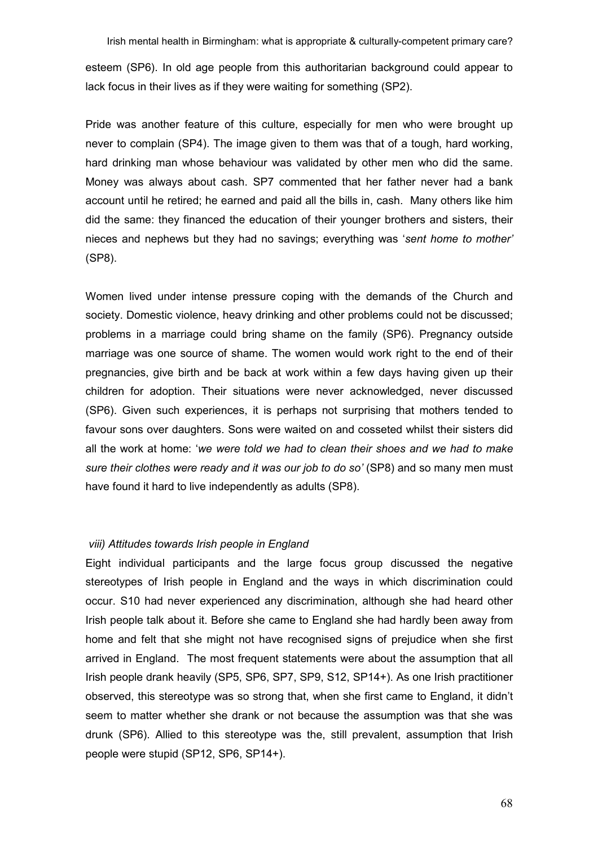Irish mental health in Birmingham: what is appropriate & culturally-competent primary care? esteem (SP6). In old age people from this authoritarian background could appear to lack focus in their lives as if they were waiting for something (SP2).

Pride was another feature of this culture, especially for men who were brought up never to complain (SP4). The image given to them was that of a tough, hard working, hard drinking man whose behaviour was validated by other men who did the same. Money was always about cash. SP7 commented that her father never had a bank account until he retired; he earned and paid all the bills in, cash. Many others like him did the same: they financed the education of their younger brothers and sisters, their nieces and nephews but they had no savings; everything was 'sent home to mother' (SP8).

Women lived under intense pressure coping with the demands of the Church and society. Domestic violence, heavy drinking and other problems could not be discussed; problems in a marriage could bring shame on the family (SP6). Pregnancy outside marriage was one source of shame. The women would work right to the end of their pregnancies, give birth and be back at work within a few days having given up their children for adoption. Their situations were never acknowledged, never discussed (SP6). Given such experiences, it is perhaps not surprising that mothers tended to favour sons over daughters. Sons were waited on and cosseted whilst their sisters did all the work at home: 'we were told we had to clean their shoes and we had to make sure their clothes were ready and it was our job to do so' (SP8) and so many men must have found it hard to live independently as adults (SP8).

# viii) Attitudes towards Irish people in England

Eight individual participants and the large focus group discussed the negative stereotypes of Irish people in England and the ways in which discrimination could occur. S10 had never experienced any discrimination, although she had heard other Irish people talk about it. Before she came to England she had hardly been away from home and felt that she might not have recognised signs of prejudice when she first arrived in England. The most frequent statements were about the assumption that all Irish people drank heavily (SP5, SP6, SP7, SP9, S12, SP14+). As one Irish practitioner observed, this stereotype was so strong that, when she first came to England, it didn't seem to matter whether she drank or not because the assumption was that she was drunk (SP6). Allied to this stereotype was the, still prevalent, assumption that Irish people were stupid (SP12, SP6, SP14+).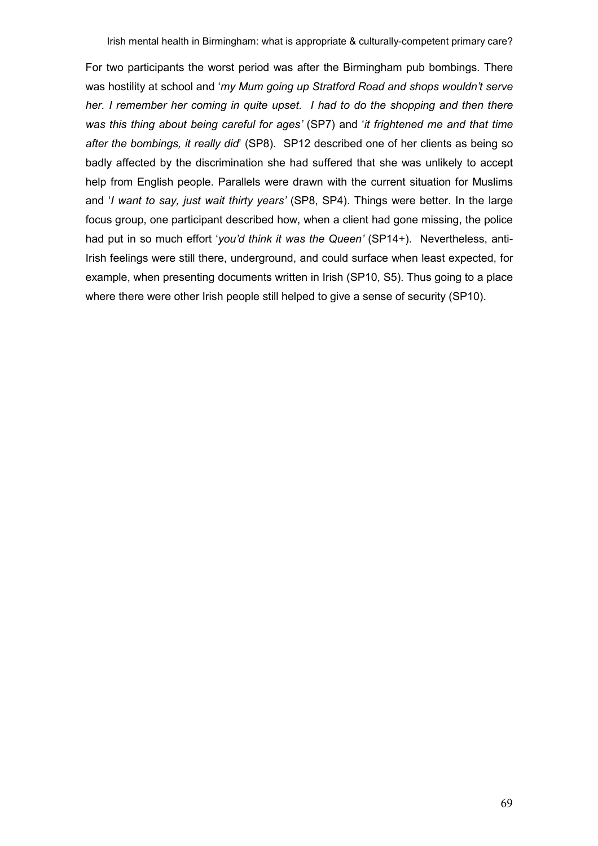For two participants the worst period was after the Birmingham pub bombings. There was hostility at school and 'my Mum going up Stratford Road and shops wouldn't serve her. I remember her coming in quite upset. I had to do the shopping and then there was this thing about being careful for ages' (SP7) and 'it frightened me and that time after the bombings, it really did' (SP8). SP12 described one of her clients as being so badly affected by the discrimination she had suffered that she was unlikely to accept help from English people. Parallels were drawn with the current situation for Muslims and 'I want to say, just wait thirty years' (SP8, SP4). Things were better. In the large focus group, one participant described how, when a client had gone missing, the police had put in so much effort 'you'd think it was the Queen' (SP14+). Nevertheless, anti-Irish feelings were still there, underground, and could surface when least expected, for example, when presenting documents written in Irish (SP10, S5). Thus going to a place where there were other Irish people still helped to give a sense of security (SP10).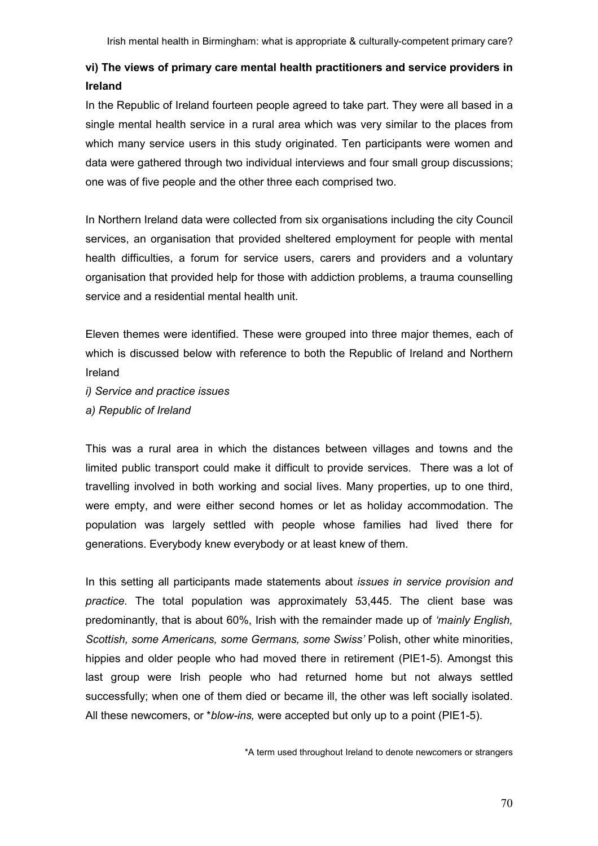# vi) The views of primary care mental health practitioners and service providers in Ireland

In the Republic of Ireland fourteen people agreed to take part. They were all based in a single mental health service in a rural area which was very similar to the places from which many service users in this study originated. Ten participants were women and data were gathered through two individual interviews and four small group discussions; one was of five people and the other three each comprised two.

In Northern Ireland data were collected from six organisations including the city Council services, an organisation that provided sheltered employment for people with mental health difficulties, a forum for service users, carers and providers and a voluntary organisation that provided help for those with addiction problems, a trauma counselling service and a residential mental health unit.

Eleven themes were identified. These were grouped into three major themes, each of which is discussed below with reference to both the Republic of Ireland and Northern Ireland

i) Service and practice issues a) Republic of Ireland

This was a rural area in which the distances between villages and towns and the limited public transport could make it difficult to provide services. There was a lot of travelling involved in both working and social lives. Many properties, up to one third, were empty, and were either second homes or let as holiday accommodation. The population was largely settled with people whose families had lived there for generations. Everybody knew everybody or at least knew of them.

In this setting all participants made statements about *issues in service provision and* practice. The total population was approximately 53,445. The client base was predominantly, that is about 60%, Irish with the remainder made up of 'mainly English, Scottish, some Americans, some Germans, some Swiss' Polish, other white minorities, hippies and older people who had moved there in retirement (PIE1-5). Amongst this last group were Irish people who had returned home but not always settled successfully; when one of them died or became ill, the other was left socially isolated. All these newcomers, or \*blow-ins, were accepted but only up to a point (PIE1-5).

\*A term used throughout Ireland to denote newcomers or strangers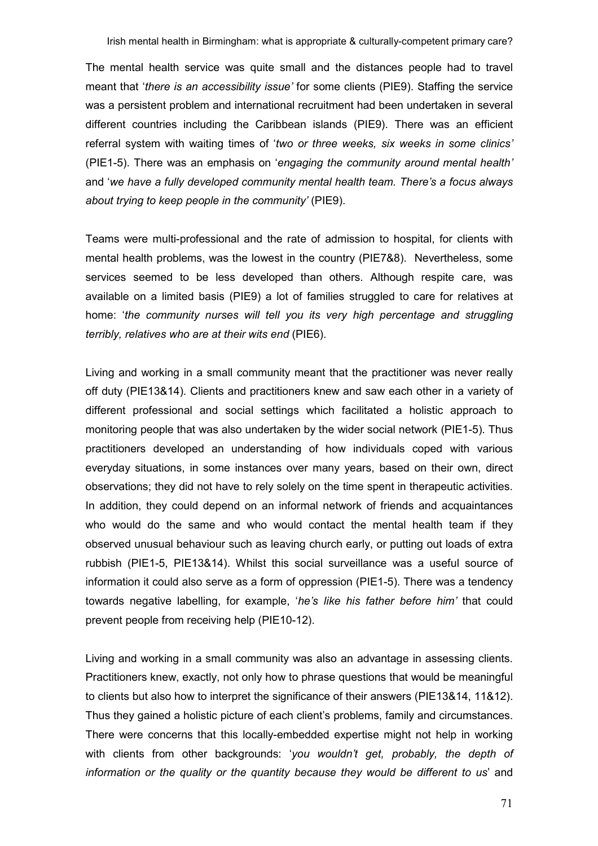The mental health service was quite small and the distances people had to travel meant that 'there is an accessibility issue' for some clients (PIE9). Staffing the service was a persistent problem and international recruitment had been undertaken in several different countries including the Caribbean islands (PIE9). There was an efficient referral system with waiting times of 'two or three weeks, six weeks in some clinics' (PIE1-5). There was an emphasis on 'engaging the community around mental health' and 'we have a fully developed community mental health team. There's a focus always about trying to keep people in the community' (PIE9).

Teams were multi-professional and the rate of admission to hospital, for clients with mental health problems, was the lowest in the country (PIE7&8). Nevertheless, some services seemed to be less developed than others. Although respite care, was available on a limited basis (PIE9) a lot of families struggled to care for relatives at home: 'the community nurses will tell you its very high percentage and struggling terribly, relatives who are at their wits end (PIE6).

Living and working in a small community meant that the practitioner was never really off duty (PIE13&14). Clients and practitioners knew and saw each other in a variety of different professional and social settings which facilitated a holistic approach to monitoring people that was also undertaken by the wider social network (PIE1-5). Thus practitioners developed an understanding of how individuals coped with various everyday situations, in some instances over many years, based on their own, direct observations; they did not have to rely solely on the time spent in therapeutic activities. In addition, they could depend on an informal network of friends and acquaintances who would do the same and who would contact the mental health team if they observed unusual behaviour such as leaving church early, or putting out loads of extra rubbish (PIE1-5, PIE13&14). Whilst this social surveillance was a useful source of information it could also serve as a form of oppression (PIE1-5). There was a tendency towards negative labelling, for example, 'he's like his father before him' that could prevent people from receiving help (PIE10-12).

Living and working in a small community was also an advantage in assessing clients. Practitioners knew, exactly, not only how to phrase questions that would be meaningful to clients but also how to interpret the significance of their answers (PIE13&14, 11&12). Thus they gained a holistic picture of each client's problems, family and circumstances. There were concerns that this locally-embedded expertise might not help in working with clients from other backgrounds: 'you wouldn't get, probably, the depth of information or the quality or the quantity because they would be different to us' and

71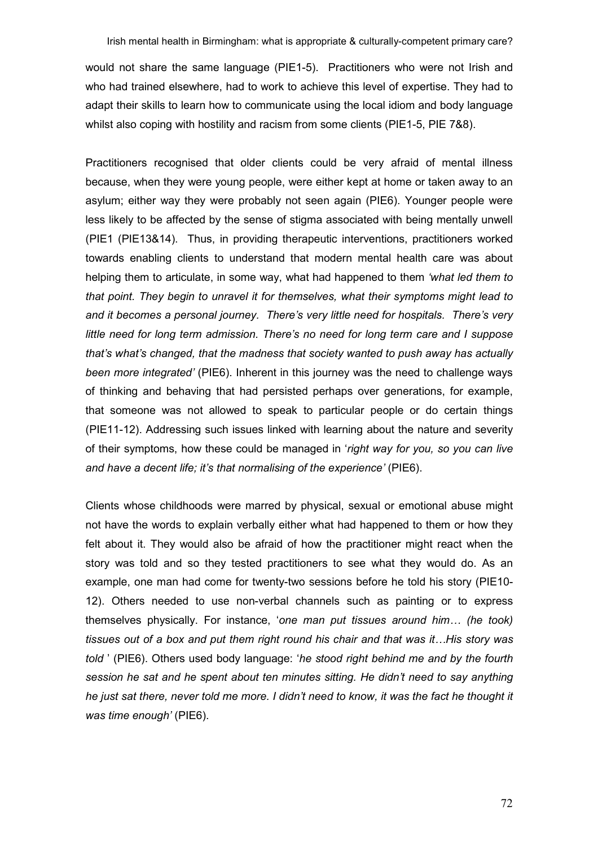would not share the same language (PIE1-5). Practitioners who were not Irish and who had trained elsewhere, had to work to achieve this level of expertise. They had to adapt their skills to learn how to communicate using the local idiom and body language whilst also coping with hostility and racism from some clients (PIE1-5, PIE 7&8).

Practitioners recognised that older clients could be very afraid of mental illness because, when they were young people, were either kept at home or taken away to an asylum; either way they were probably not seen again (PIE6). Younger people were less likely to be affected by the sense of stigma associated with being mentally unwell (PIE1 (PIE13&14). Thus, in providing therapeutic interventions, practitioners worked towards enabling clients to understand that modern mental health care was about helping them to articulate, in some way, what had happened to them 'what led them to that point. They begin to unravel it for themselves, what their symptoms might lead to and it becomes a personal journey. There's very little need for hospitals. There's very little need for long term admission. There's no need for long term care and I suppose that's what's changed, that the madness that society wanted to push away has actually been more integrated' (PIE6). Inherent in this journey was the need to challenge ways of thinking and behaving that had persisted perhaps over generations, for example, that someone was not allowed to speak to particular people or do certain things (PIE11-12). Addressing such issues linked with learning about the nature and severity of their symptoms, how these could be managed in 'right way for you, so you can live and have a decent life; it's that normalising of the experience' (PIE6).

Clients whose childhoods were marred by physical, sexual or emotional abuse might not have the words to explain verbally either what had happened to them or how they felt about it. They would also be afraid of how the practitioner might react when the story was told and so they tested practitioners to see what they would do. As an example, one man had come for twenty-two sessions before he told his story (PIE10- 12). Others needed to use non-verbal channels such as painting or to express themselves physically. For instance, 'one man put tissues around him… (he took) tissues out of a box and put them right round his chair and that was it…His story was told ' (PIE6). Others used body language: 'he stood right behind me and by the fourth session he sat and he spent about ten minutes sitting. He didn't need to say anything he just sat there, never told me more. I didn't need to know, it was the fact he thought it was time enough' (PIE6).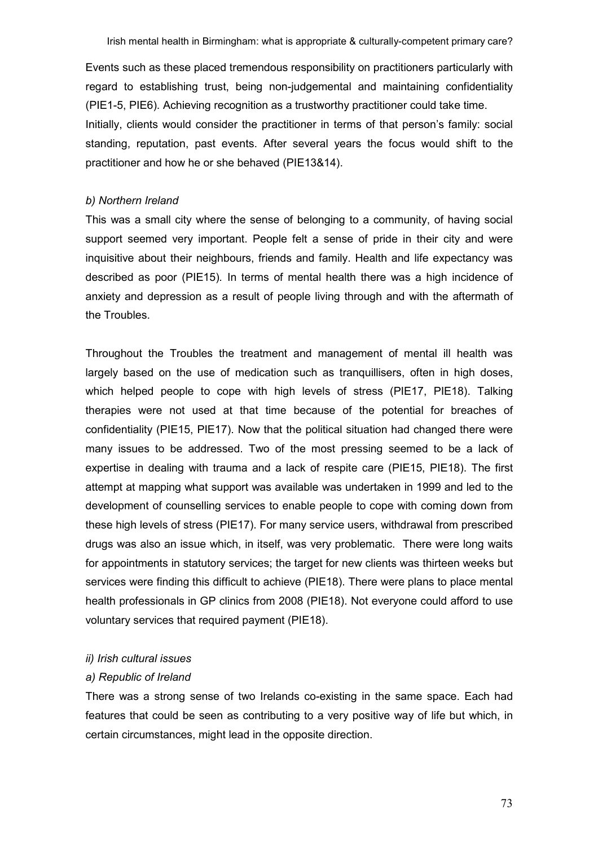Events such as these placed tremendous responsibility on practitioners particularly with regard to establishing trust, being non-judgemental and maintaining confidentiality (PIE1-5, PIE6). Achieving recognition as a trustworthy practitioner could take time.

Initially, clients would consider the practitioner in terms of that person's family: social standing, reputation, past events. After several years the focus would shift to the practitioner and how he or she behaved (PIE13&14).

#### b) Northern Ireland

This was a small city where the sense of belonging to a community, of having social support seemed very important. People felt a sense of pride in their city and were inquisitive about their neighbours, friends and family. Health and life expectancy was described as poor (PIE15). In terms of mental health there was a high incidence of anxiety and depression as a result of people living through and with the aftermath of the Troubles.

Throughout the Troubles the treatment and management of mental ill health was largely based on the use of medication such as tranquillisers, often in high doses, which helped people to cope with high levels of stress (PIE17, PIE18). Talking therapies were not used at that time because of the potential for breaches of confidentiality (PIE15, PIE17). Now that the political situation had changed there were many issues to be addressed. Two of the most pressing seemed to be a lack of expertise in dealing with trauma and a lack of respite care (PIE15, PIE18). The first attempt at mapping what support was available was undertaken in 1999 and led to the development of counselling services to enable people to cope with coming down from these high levels of stress (PIE17). For many service users, withdrawal from prescribed drugs was also an issue which, in itself, was very problematic. There were long waits for appointments in statutory services; the target for new clients was thirteen weeks but services were finding this difficult to achieve (PIE18). There were plans to place mental health professionals in GP clinics from 2008 (PIE18). Not everyone could afford to use voluntary services that required payment (PIE18).

## ii) Irish cultural issues

### a) Republic of Ireland

There was a strong sense of two Irelands co-existing in the same space. Each had features that could be seen as contributing to a very positive way of life but which, in certain circumstances, might lead in the opposite direction.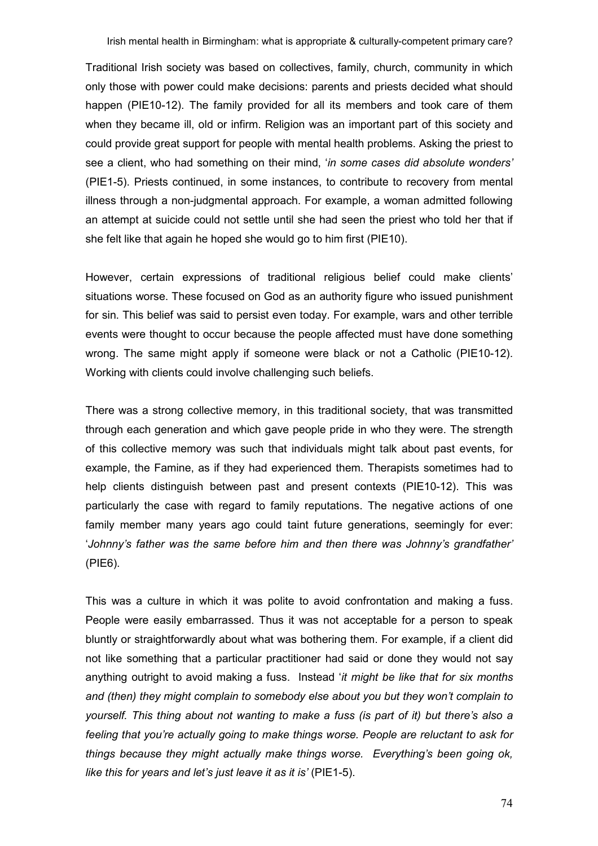Traditional Irish society was based on collectives, family, church, community in which only those with power could make decisions: parents and priests decided what should happen (PIE10-12). The family provided for all its members and took care of them when they became ill, old or infirm. Religion was an important part of this society and could provide great support for people with mental health problems. Asking the priest to see a client, who had something on their mind, 'in some cases did absolute wonders' (PIE1-5). Priests continued, in some instances, to contribute to recovery from mental illness through a non-judgmental approach. For example, a woman admitted following an attempt at suicide could not settle until she had seen the priest who told her that if she felt like that again he hoped she would go to him first (PIE10).

However, certain expressions of traditional religious belief could make clients' situations worse. These focused on God as an authority figure who issued punishment for sin. This belief was said to persist even today. For example, wars and other terrible events were thought to occur because the people affected must have done something wrong. The same might apply if someone were black or not a Catholic (PIE10-12). Working with clients could involve challenging such beliefs.

There was a strong collective memory, in this traditional society, that was transmitted through each generation and which gave people pride in who they were. The strength of this collective memory was such that individuals might talk about past events, for example, the Famine, as if they had experienced them. Therapists sometimes had to help clients distinguish between past and present contexts (PIE10-12). This was particularly the case with regard to family reputations. The negative actions of one family member many years ago could taint future generations, seemingly for ever: 'Johnny's father was the same before him and then there was Johnny's grandfather' (PIE6).

This was a culture in which it was polite to avoid confrontation and making a fuss. People were easily embarrassed. Thus it was not acceptable for a person to speak bluntly or straightforwardly about what was bothering them. For example, if a client did not like something that a particular practitioner had said or done they would not say anything outright to avoid making a fuss. Instead 'it might be like that for six months and (then) they might complain to somebody else about you but they won't complain to yourself. This thing about not wanting to make a fuss (is part of it) but there's also a feeling that you're actually going to make things worse. People are reluctant to ask for things because they might actually make things worse. Everything's been going ok, like this for years and let's just leave it as it is' (PIE1-5).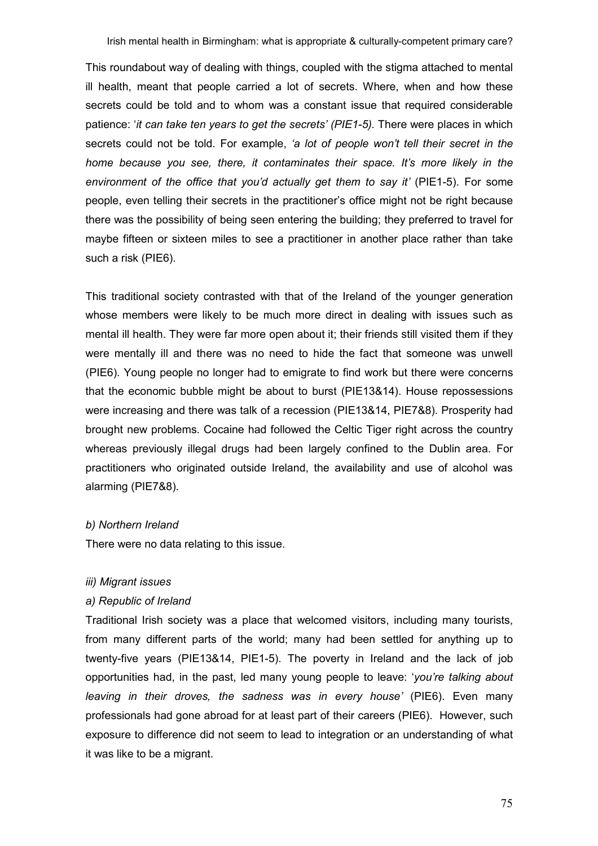This roundabout way of dealing with things, coupled with the stigma attached to mental ill health, meant that people carried a lot of secrets. Where, when and how these secrets could be told and to whom was a constant issue that required considerable patience: 'it can take ten years to get the secrets' (PIE1-5). There were places in which secrets could not be told. For example, 'a lot of people won't tell their secret in the home because you see, there, it contaminates their space. It's more likely in the environment of the office that you'd actually get them to say it' (PIE1-5). For some people, even telling their secrets in the practitioner's office might not be right because there was the possibility of being seen entering the building; they preferred to travel for maybe fifteen or sixteen miles to see a practitioner in another place rather than take such a risk (PIE6).

This traditional society contrasted with that of the Ireland of the younger generation whose members were likely to be much more direct in dealing with issues such as mental ill health. They were far more open about it; their friends still visited them if they were mentally ill and there was no need to hide the fact that someone was unwell (PIE6). Young people no longer had to emigrate to find work but there were concerns that the economic bubble might be about to burst (PIE13&14). House repossessions were increasing and there was talk of a recession (PIE13&14, PIE7&8). Prosperity had brought new problems. Cocaine had followed the Celtic Tiger right across the country whereas previously illegal drugs had been largely confined to the Dublin area. For practitioners who originated outside Ireland, the availability and use of alcohol was alarming (PIE7&8).

### b) Northern Ireland

There were no data relating to this issue.

### iii) Migrant issues

### a) Republic of Ireland

Traditional Irish society was a place that welcomed visitors, including many tourists, from many different parts of the world; many had been settled for anything up to twenty-five years (PIE13&14, PIE1-5). The poverty in Ireland and the lack of job opportunities had, in the past, led many young people to leave: 'you're talking about leaving in their droves, the sadness was in every house' (PIE6). Even many professionals had gone abroad for at least part of their careers (PIE6). However, such exposure to difference did not seem to lead to integration or an understanding of what it was like to be a migrant.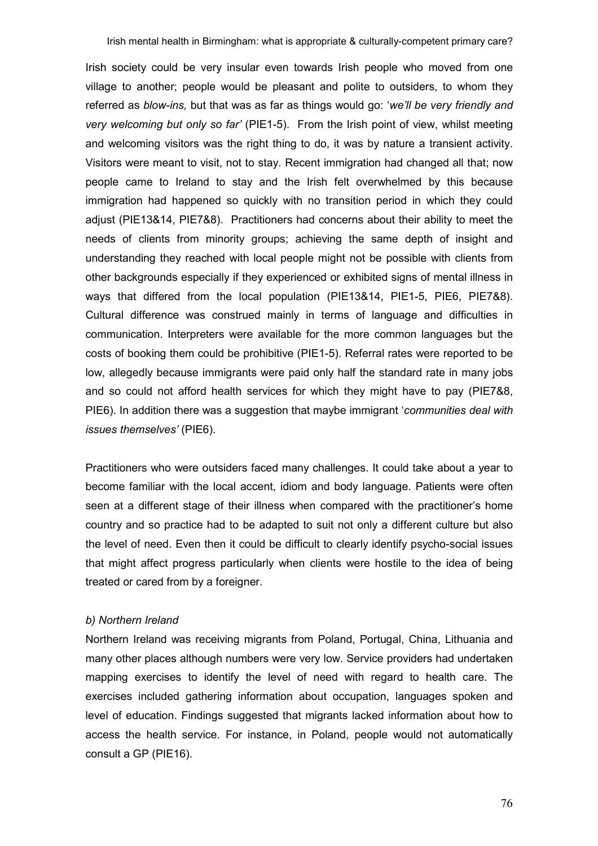Irish society could be very insular even towards Irish people who moved from one village to another; people would be pleasant and polite to outsiders, to whom they referred as *blow-ins*, but that was as far as things would go: 'we'll be very friendly and very welcoming but only so far' (PIE1-5). From the Irish point of view, whilst meeting and welcoming visitors was the right thing to do, it was by nature a transient activity. Visitors were meant to visit, not to stay. Recent immigration had changed all that; now people came to Ireland to stay and the Irish felt overwhelmed by this because immigration had happened so quickly with no transition period in which they could adjust (PIE13&14, PIE7&8). Practitioners had concerns about their ability to meet the needs of clients from minority groups; achieving the same depth of insight and understanding they reached with local people might not be possible with clients from other backgrounds especially if they experienced or exhibited signs of mental illness in ways that differed from the local population (PIE13&14, PIE1-5, PIE6, PIE7&8). Cultural difference was construed mainly in terms of language and difficulties in communication. Interpreters were available for the more common languages but the costs of booking them could be prohibitive (PIE1-5). Referral rates were reported to be low, allegedly because immigrants were paid only half the standard rate in many jobs and so could not afford health services for which they might have to pay (PIE7&8, PIE6). In addition there was a suggestion that maybe immigrant 'communities deal with issues themselves' (PIE6).

Practitioners who were outsiders faced many challenges. It could take about a year to become familiar with the local accent, idiom and body language. Patients were often seen at a different stage of their illness when compared with the practitioner's home country and so practice had to be adapted to suit not only a different culture but also the level of need. Even then it could be difficult to clearly identify psycho-social issues that might affect progress particularly when clients were hostile to the idea of being treated or cared from by a foreigner.

## b) Northern Ireland

Northern Ireland was receiving migrants from Poland, Portugal, China, Lithuania and many other places although numbers were very low. Service providers had undertaken mapping exercises to identify the level of need with regard to health care. The exercises included gathering information about occupation, languages spoken and level of education. Findings suggested that migrants lacked information about how to access the health service. For instance, in Poland, people would not automatically consult a GP (PIE16).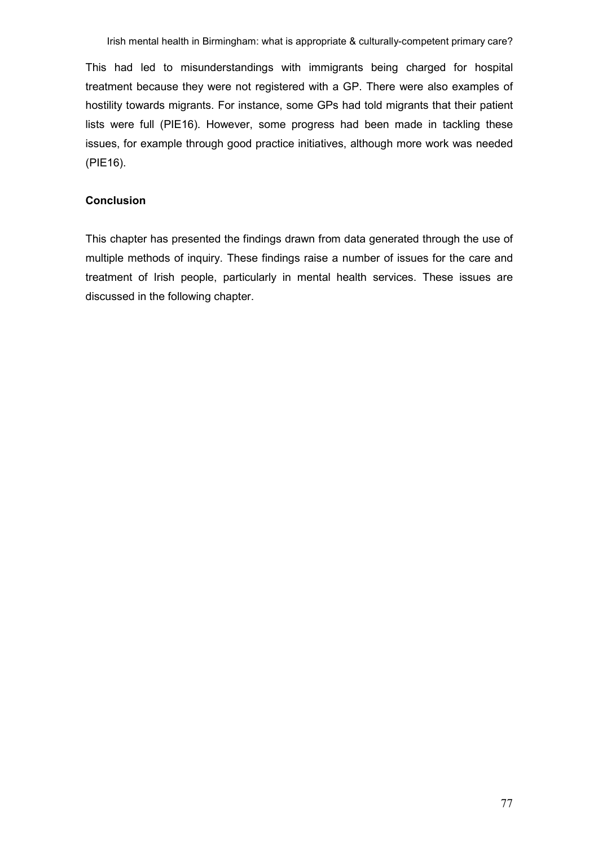This had led to misunderstandings with immigrants being charged for hospital treatment because they were not registered with a GP. There were also examples of hostility towards migrants. For instance, some GPs had told migrants that their patient lists were full (PIE16). However, some progress had been made in tackling these issues, for example through good practice initiatives, although more work was needed (PIE16).

## Conclusion

This chapter has presented the findings drawn from data generated through the use of multiple methods of inquiry. These findings raise a number of issues for the care and treatment of Irish people, particularly in mental health services. These issues are discussed in the following chapter.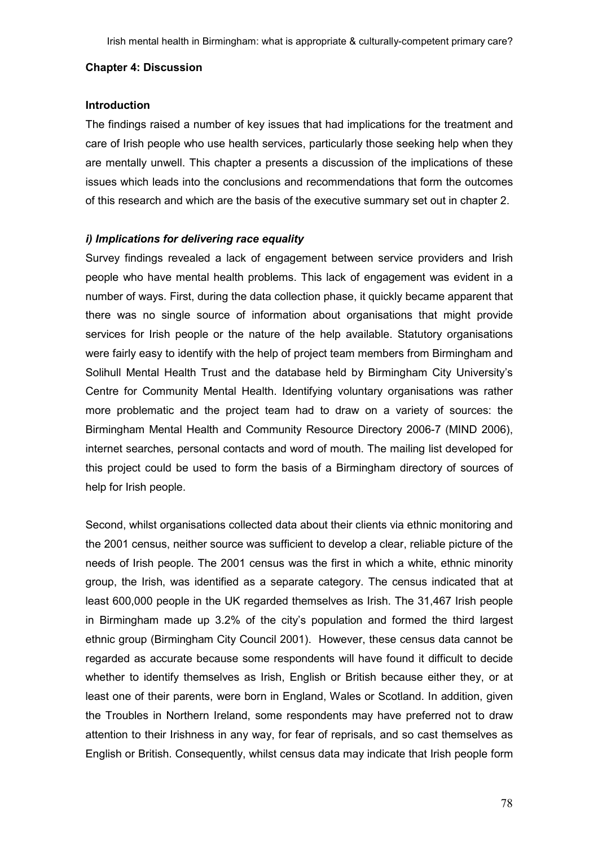#### Chapter 4: Discussion

## Introduction

The findings raised a number of key issues that had implications for the treatment and care of Irish people who use health services, particularly those seeking help when they are mentally unwell. This chapter a presents a discussion of the implications of these issues which leads into the conclusions and recommendations that form the outcomes of this research and which are the basis of the executive summary set out in chapter 2.

## i) Implications for delivering race equality

Survey findings revealed a lack of engagement between service providers and Irish people who have mental health problems. This lack of engagement was evident in a number of ways. First, during the data collection phase, it quickly became apparent that there was no single source of information about organisations that might provide services for Irish people or the nature of the help available. Statutory organisations were fairly easy to identify with the help of project team members from Birmingham and Solihull Mental Health Trust and the database held by Birmingham City University's Centre for Community Mental Health. Identifying voluntary organisations was rather more problematic and the project team had to draw on a variety of sources: the Birmingham Mental Health and Community Resource Directory 2006-7 (MIND 2006), internet searches, personal contacts and word of mouth. The mailing list developed for this project could be used to form the basis of a Birmingham directory of sources of help for Irish people.

Second, whilst organisations collected data about their clients via ethnic monitoring and the 2001 census, neither source was sufficient to develop a clear, reliable picture of the needs of Irish people. The 2001 census was the first in which a white, ethnic minority group, the Irish, was identified as a separate category. The census indicated that at least 600,000 people in the UK regarded themselves as Irish. The 31,467 Irish people in Birmingham made up 3.2% of the city's population and formed the third largest ethnic group (Birmingham City Council 2001). However, these census data cannot be regarded as accurate because some respondents will have found it difficult to decide whether to identify themselves as Irish, English or British because either they, or at least one of their parents, were born in England, Wales or Scotland. In addition, given the Troubles in Northern Ireland, some respondents may have preferred not to draw attention to their Irishness in any way, for fear of reprisals, and so cast themselves as English or British. Consequently, whilst census data may indicate that Irish people form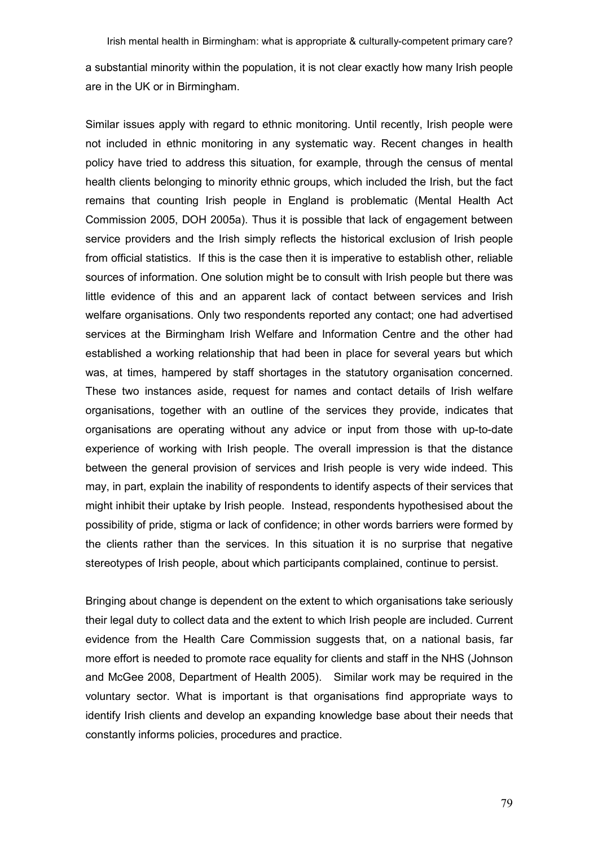a substantial minority within the population, it is not clear exactly how many Irish people are in the UK or in Birmingham.

Similar issues apply with regard to ethnic monitoring. Until recently, Irish people were not included in ethnic monitoring in any systematic way. Recent changes in health policy have tried to address this situation, for example, through the census of mental health clients belonging to minority ethnic groups, which included the Irish, but the fact remains that counting Irish people in England is problematic (Mental Health Act Commission 2005, DOH 2005a). Thus it is possible that lack of engagement between service providers and the Irish simply reflects the historical exclusion of Irish people from official statistics. If this is the case then it is imperative to establish other, reliable sources of information. One solution might be to consult with Irish people but there was little evidence of this and an apparent lack of contact between services and Irish welfare organisations. Only two respondents reported any contact; one had advertised services at the Birmingham Irish Welfare and Information Centre and the other had established a working relationship that had been in place for several years but which was, at times, hampered by staff shortages in the statutory organisation concerned. These two instances aside, request for names and contact details of Irish welfare organisations, together with an outline of the services they provide, indicates that organisations are operating without any advice or input from those with up-to-date experience of working with Irish people. The overall impression is that the distance between the general provision of services and Irish people is very wide indeed. This may, in part, explain the inability of respondents to identify aspects of their services that might inhibit their uptake by Irish people. Instead, respondents hypothesised about the possibility of pride, stigma or lack of confidence; in other words barriers were formed by the clients rather than the services. In this situation it is no surprise that negative stereotypes of Irish people, about which participants complained, continue to persist.

Bringing about change is dependent on the extent to which organisations take seriously their legal duty to collect data and the extent to which Irish people are included. Current evidence from the Health Care Commission suggests that, on a national basis, far more effort is needed to promote race equality for clients and staff in the NHS (Johnson and McGee 2008, Department of Health 2005). Similar work may be required in the voluntary sector. What is important is that organisations find appropriate ways to identify Irish clients and develop an expanding knowledge base about their needs that constantly informs policies, procedures and practice.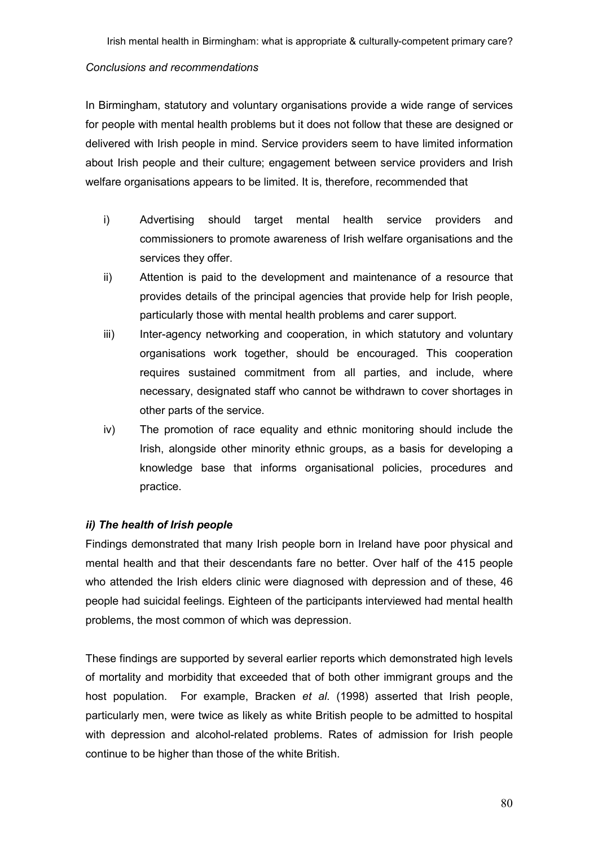## Conclusions and recommendations

In Birmingham, statutory and voluntary organisations provide a wide range of services for people with mental health problems but it does not follow that these are designed or delivered with Irish people in mind. Service providers seem to have limited information about Irish people and their culture; engagement between service providers and Irish welfare organisations appears to be limited. It is, therefore, recommended that

- i) Advertising should target mental health service providers and commissioners to promote awareness of Irish welfare organisations and the services they offer.
- ii) Attention is paid to the development and maintenance of a resource that provides details of the principal agencies that provide help for Irish people, particularly those with mental health problems and carer support.
- iii) Inter-agency networking and cooperation, in which statutory and voluntary organisations work together, should be encouraged. This cooperation requires sustained commitment from all parties, and include, where necessary, designated staff who cannot be withdrawn to cover shortages in other parts of the service.
- iv) The promotion of race equality and ethnic monitoring should include the Irish, alongside other minority ethnic groups, as a basis for developing a knowledge base that informs organisational policies, procedures and practice.

# ii) The health of Irish people

Findings demonstrated that many Irish people born in Ireland have poor physical and mental health and that their descendants fare no better. Over half of the 415 people who attended the Irish elders clinic were diagnosed with depression and of these, 46 people had suicidal feelings. Eighteen of the participants interviewed had mental health problems, the most common of which was depression.

These findings are supported by several earlier reports which demonstrated high levels of mortality and morbidity that exceeded that of both other immigrant groups and the host population. For example, Bracken et al. (1998) asserted that Irish people, particularly men, were twice as likely as white British people to be admitted to hospital with depression and alcohol-related problems. Rates of admission for Irish people continue to be higher than those of the white British.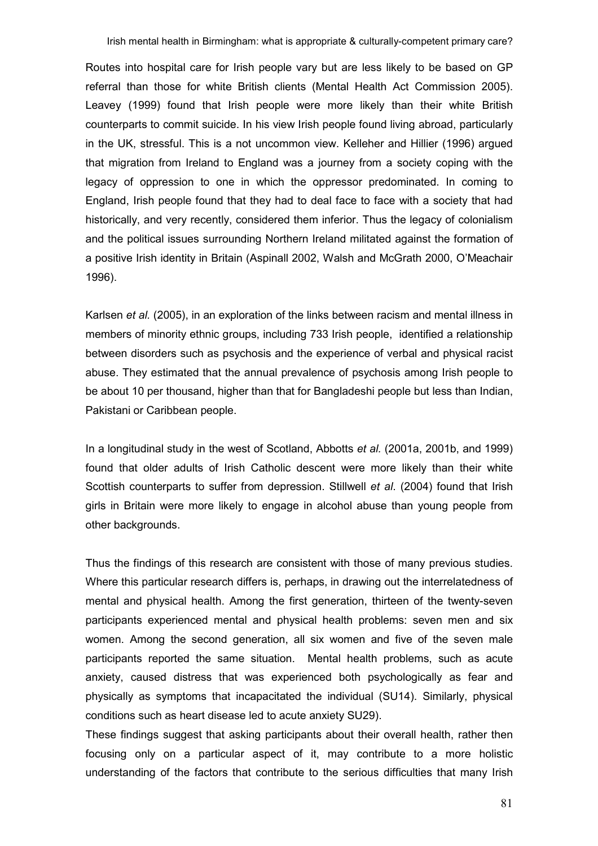Routes into hospital care for Irish people vary but are less likely to be based on GP referral than those for white British clients (Mental Health Act Commission 2005). Leavey (1999) found that Irish people were more likely than their white British counterparts to commit suicide. In his view Irish people found living abroad, particularly in the UK, stressful. This is a not uncommon view. Kelleher and Hillier (1996) argued that migration from Ireland to England was a journey from a society coping with the legacy of oppression to one in which the oppressor predominated. In coming to England, Irish people found that they had to deal face to face with a society that had historically, and very recently, considered them inferior. Thus the legacy of colonialism and the political issues surrounding Northern Ireland militated against the formation of a positive Irish identity in Britain (Aspinall 2002, Walsh and McGrath 2000, O'Meachair 1996).

Karlsen et al. (2005), in an exploration of the links between racism and mental illness in members of minority ethnic groups, including 733 Irish people, identified a relationship between disorders such as psychosis and the experience of verbal and physical racist abuse. They estimated that the annual prevalence of psychosis among Irish people to be about 10 per thousand, higher than that for Bangladeshi people but less than Indian, Pakistani or Caribbean people.

In a longitudinal study in the west of Scotland, Abbotts et al. (2001a, 2001b, and 1999) found that older adults of Irish Catholic descent were more likely than their white Scottish counterparts to suffer from depression. Stillwell et al. (2004) found that Irish girls in Britain were more likely to engage in alcohol abuse than young people from other backgrounds.

Thus the findings of this research are consistent with those of many previous studies. Where this particular research differs is, perhaps, in drawing out the interrelatedness of mental and physical health. Among the first generation, thirteen of the twenty-seven participants experienced mental and physical health problems: seven men and six women. Among the second generation, all six women and five of the seven male participants reported the same situation. Mental health problems, such as acute anxiety, caused distress that was experienced both psychologically as fear and physically as symptoms that incapacitated the individual (SU14). Similarly, physical conditions such as heart disease led to acute anxiety SU29).

These findings suggest that asking participants about their overall health, rather then focusing only on a particular aspect of it, may contribute to a more holistic understanding of the factors that contribute to the serious difficulties that many Irish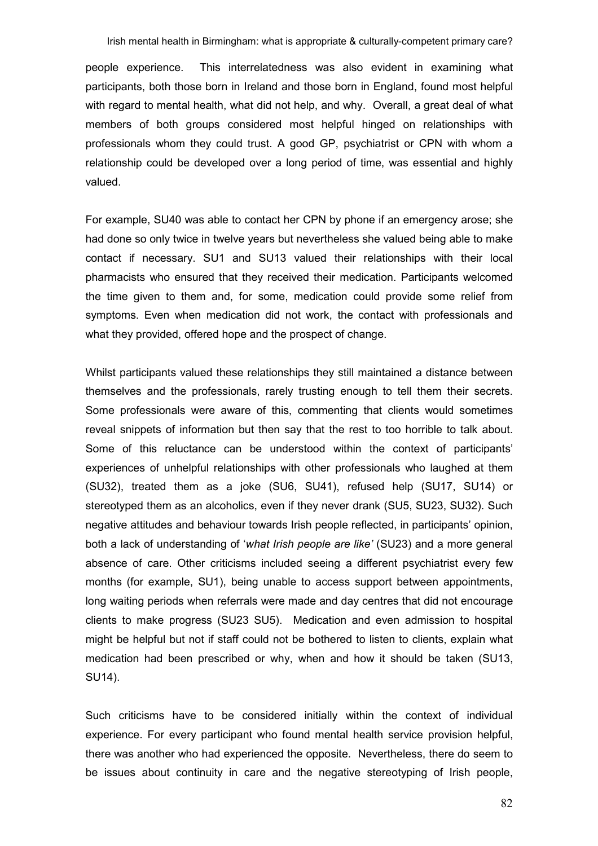people experience. This interrelatedness was also evident in examining what participants, both those born in Ireland and those born in England, found most helpful with regard to mental health, what did not help, and why. Overall, a great deal of what members of both groups considered most helpful hinged on relationships with professionals whom they could trust. A good GP, psychiatrist or CPN with whom a relationship could be developed over a long period of time, was essential and highly valued.

For example, SU40 was able to contact her CPN by phone if an emergency arose; she had done so only twice in twelve years but nevertheless she valued being able to make contact if necessary. SU1 and SU13 valued their relationships with their local pharmacists who ensured that they received their medication. Participants welcomed the time given to them and, for some, medication could provide some relief from symptoms. Even when medication did not work, the contact with professionals and what they provided, offered hope and the prospect of change.

Whilst participants valued these relationships they still maintained a distance between themselves and the professionals, rarely trusting enough to tell them their secrets. Some professionals were aware of this, commenting that clients would sometimes reveal snippets of information but then say that the rest to too horrible to talk about. Some of this reluctance can be understood within the context of participants' experiences of unhelpful relationships with other professionals who laughed at them (SU32), treated them as a joke (SU6, SU41), refused help (SU17, SU14) or stereotyped them as an alcoholics, even if they never drank (SU5, SU23, SU32). Such negative attitudes and behaviour towards Irish people reflected, in participants' opinion, both a lack of understanding of 'what Irish people are like' (SU23) and a more general absence of care. Other criticisms included seeing a different psychiatrist every few months (for example, SU1), being unable to access support between appointments, long waiting periods when referrals were made and day centres that did not encourage clients to make progress (SU23 SU5). Medication and even admission to hospital might be helpful but not if staff could not be bothered to listen to clients, explain what medication had been prescribed or why, when and how it should be taken (SU13, SU14).

Such criticisms have to be considered initially within the context of individual experience. For every participant who found mental health service provision helpful, there was another who had experienced the opposite. Nevertheless, there do seem to be issues about continuity in care and the negative stereotyping of Irish people,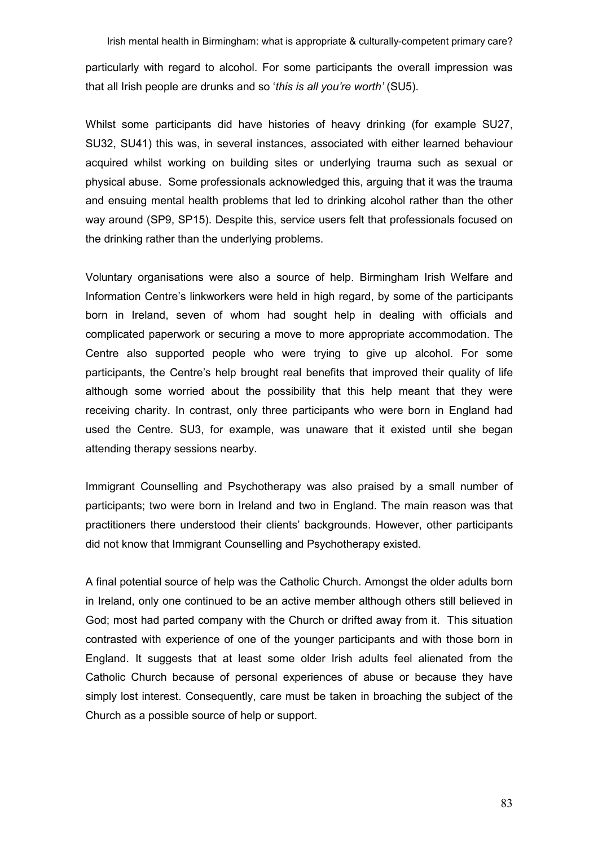Irish mental health in Birmingham: what is appropriate & culturally-competent primary care? particularly with regard to alcohol. For some participants the overall impression was that all Irish people are drunks and so 'this is all you're worth' (SU5).

Whilst some participants did have histories of heavy drinking (for example SU27, SU32, SU41) this was, in several instances, associated with either learned behaviour acquired whilst working on building sites or underlying trauma such as sexual or physical abuse. Some professionals acknowledged this, arguing that it was the trauma and ensuing mental health problems that led to drinking alcohol rather than the other way around (SP9, SP15). Despite this, service users felt that professionals focused on the drinking rather than the underlying problems.

Voluntary organisations were also a source of help. Birmingham Irish Welfare and Information Centre's linkworkers were held in high regard, by some of the participants born in Ireland, seven of whom had sought help in dealing with officials and complicated paperwork or securing a move to more appropriate accommodation. The Centre also supported people who were trying to give up alcohol. For some participants, the Centre's help brought real benefits that improved their quality of life although some worried about the possibility that this help meant that they were receiving charity. In contrast, only three participants who were born in England had used the Centre. SU3, for example, was unaware that it existed until she began attending therapy sessions nearby.

Immigrant Counselling and Psychotherapy was also praised by a small number of participants; two were born in Ireland and two in England. The main reason was that practitioners there understood their clients' backgrounds. However, other participants did not know that Immigrant Counselling and Psychotherapy existed.

A final potential source of help was the Catholic Church. Amongst the older adults born in Ireland, only one continued to be an active member although others still believed in God; most had parted company with the Church or drifted away from it. This situation contrasted with experience of one of the younger participants and with those born in England. It suggests that at least some older Irish adults feel alienated from the Catholic Church because of personal experiences of abuse or because they have simply lost interest. Consequently, care must be taken in broaching the subject of the Church as a possible source of help or support.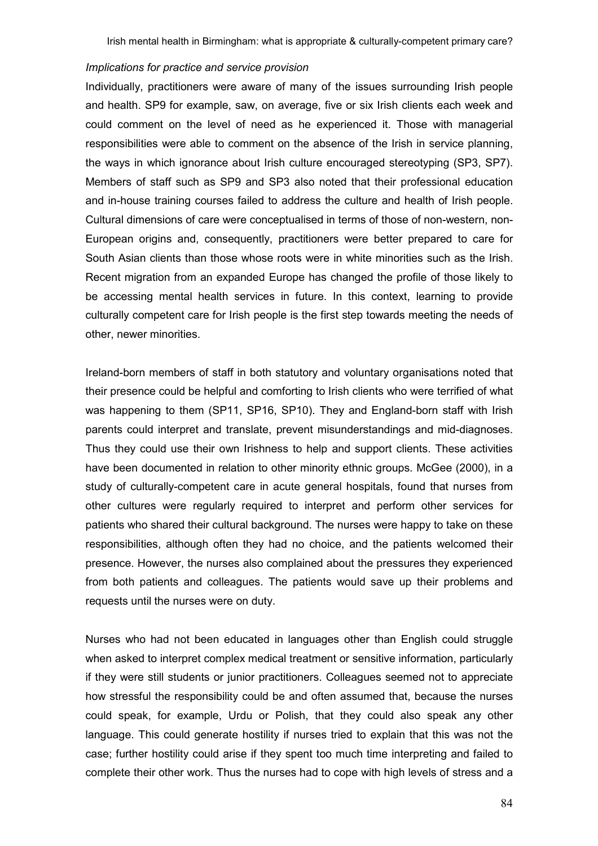#### Implications for practice and service provision

Individually, practitioners were aware of many of the issues surrounding Irish people and health. SP9 for example, saw, on average, five or six Irish clients each week and could comment on the level of need as he experienced it. Those with managerial responsibilities were able to comment on the absence of the Irish in service planning, the ways in which ignorance about Irish culture encouraged stereotyping (SP3, SP7). Members of staff such as SP9 and SP3 also noted that their professional education and in-house training courses failed to address the culture and health of Irish people. Cultural dimensions of care were conceptualised in terms of those of non-western, non-European origins and, consequently, practitioners were better prepared to care for South Asian clients than those whose roots were in white minorities such as the Irish. Recent migration from an expanded Europe has changed the profile of those likely to be accessing mental health services in future. In this context, learning to provide culturally competent care for Irish people is the first step towards meeting the needs of other, newer minorities.

Ireland-born members of staff in both statutory and voluntary organisations noted that their presence could be helpful and comforting to Irish clients who were terrified of what was happening to them (SP11, SP16, SP10). They and England-born staff with Irish parents could interpret and translate, prevent misunderstandings and mid-diagnoses. Thus they could use their own Irishness to help and support clients. These activities have been documented in relation to other minority ethnic groups. McGee (2000), in a study of culturally-competent care in acute general hospitals, found that nurses from other cultures were regularly required to interpret and perform other services for patients who shared their cultural background. The nurses were happy to take on these responsibilities, although often they had no choice, and the patients welcomed their presence. However, the nurses also complained about the pressures they experienced from both patients and colleagues. The patients would save up their problems and requests until the nurses were on duty.

Nurses who had not been educated in languages other than English could struggle when asked to interpret complex medical treatment or sensitive information, particularly if they were still students or junior practitioners. Colleagues seemed not to appreciate how stressful the responsibility could be and often assumed that, because the nurses could speak, for example, Urdu or Polish, that they could also speak any other language. This could generate hostility if nurses tried to explain that this was not the case; further hostility could arise if they spent too much time interpreting and failed to complete their other work. Thus the nurses had to cope with high levels of stress and a

84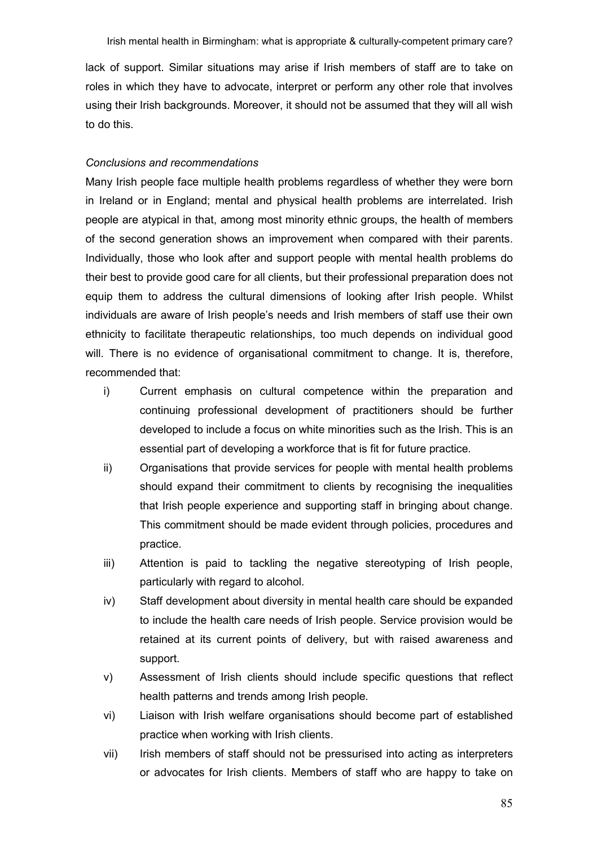lack of support. Similar situations may arise if Irish members of staff are to take on roles in which they have to advocate, interpret or perform any other role that involves using their Irish backgrounds. Moreover, it should not be assumed that they will all wish to do this.

#### Conclusions and recommendations

Many Irish people face multiple health problems regardless of whether they were born in Ireland or in England; mental and physical health problems are interrelated. Irish people are atypical in that, among most minority ethnic groups, the health of members of the second generation shows an improvement when compared with their parents. Individually, those who look after and support people with mental health problems do their best to provide good care for all clients, but their professional preparation does not equip them to address the cultural dimensions of looking after Irish people. Whilst individuals are aware of Irish people's needs and Irish members of staff use their own ethnicity to facilitate therapeutic relationships, too much depends on individual good will. There is no evidence of organisational commitment to change. It is, therefore, recommended that:

- i) Current emphasis on cultural competence within the preparation and continuing professional development of practitioners should be further developed to include a focus on white minorities such as the Irish. This is an essential part of developing a workforce that is fit for future practice.
- ii) Organisations that provide services for people with mental health problems should expand their commitment to clients by recognising the inequalities that Irish people experience and supporting staff in bringing about change. This commitment should be made evident through policies, procedures and practice.
- iii) Attention is paid to tackling the negative stereotyping of Irish people, particularly with regard to alcohol.
- iv) Staff development about diversity in mental health care should be expanded to include the health care needs of Irish people. Service provision would be retained at its current points of delivery, but with raised awareness and support.
- v) Assessment of Irish clients should include specific questions that reflect health patterns and trends among Irish people.
- vi) Liaison with Irish welfare organisations should become part of established practice when working with Irish clients.
- vii) Irish members of staff should not be pressurised into acting as interpreters or advocates for Irish clients. Members of staff who are happy to take on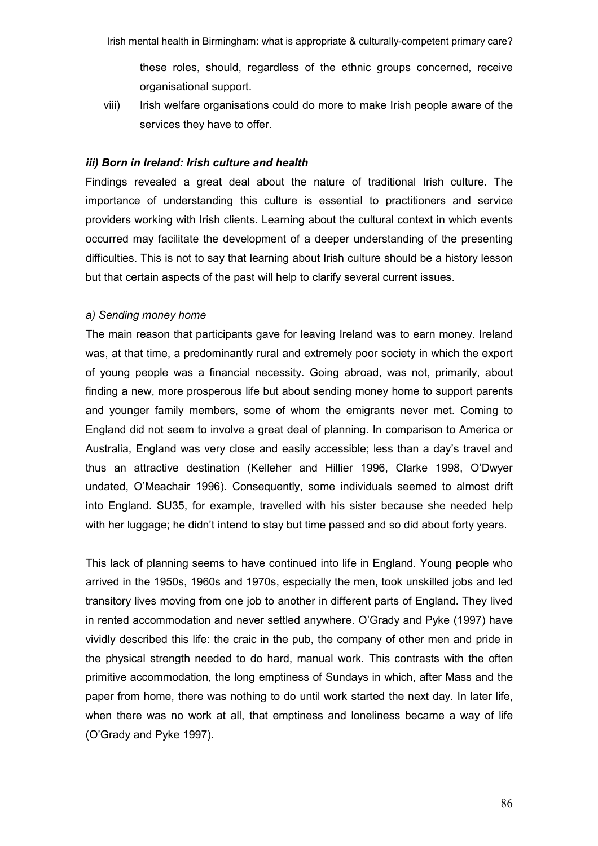these roles, should, regardless of the ethnic groups concerned, receive organisational support.

viii) Irish welfare organisations could do more to make Irish people aware of the services they have to offer.

### iii) Born in Ireland: Irish culture and health

Findings revealed a great deal about the nature of traditional Irish culture. The importance of understanding this culture is essential to practitioners and service providers working with Irish clients. Learning about the cultural context in which events occurred may facilitate the development of a deeper understanding of the presenting difficulties. This is not to say that learning about Irish culture should be a history lesson but that certain aspects of the past will help to clarify several current issues.

#### a) Sending money home

The main reason that participants gave for leaving Ireland was to earn money. Ireland was, at that time, a predominantly rural and extremely poor society in which the export of young people was a financial necessity. Going abroad, was not, primarily, about finding a new, more prosperous life but about sending money home to support parents and younger family members, some of whom the emigrants never met. Coming to England did not seem to involve a great deal of planning. In comparison to America or Australia, England was very close and easily accessible; less than a day's travel and thus an attractive destination (Kelleher and Hillier 1996, Clarke 1998, O'Dwyer undated, O'Meachair 1996). Consequently, some individuals seemed to almost drift into England. SU35, for example, travelled with his sister because she needed help with her luggage; he didn't intend to stay but time passed and so did about forty years.

This lack of planning seems to have continued into life in England. Young people who arrived in the 1950s, 1960s and 1970s, especially the men, took unskilled jobs and led transitory lives moving from one job to another in different parts of England. They lived in rented accommodation and never settled anywhere. O'Grady and Pyke (1997) have vividly described this life: the craic in the pub, the company of other men and pride in the physical strength needed to do hard, manual work. This contrasts with the often primitive accommodation, the long emptiness of Sundays in which, after Mass and the paper from home, there was nothing to do until work started the next day. In later life, when there was no work at all, that emptiness and loneliness became a way of life (O'Grady and Pyke 1997).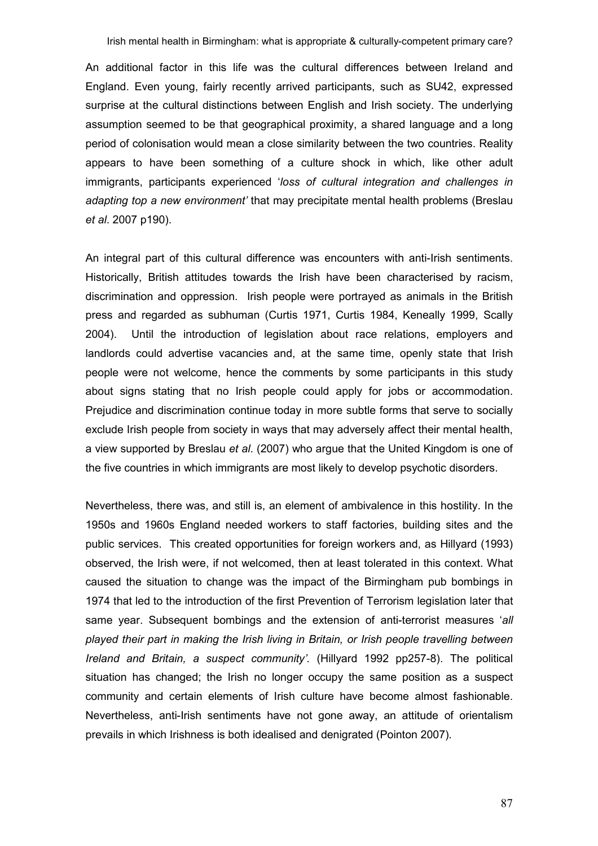An additional factor in this life was the cultural differences between Ireland and England. Even young, fairly recently arrived participants, such as SU42, expressed surprise at the cultural distinctions between English and Irish society. The underlying assumption seemed to be that geographical proximity, a shared language and a long period of colonisation would mean a close similarity between the two countries. Reality appears to have been something of a culture shock in which, like other adult immigrants, participants experienced 'loss of cultural integration and challenges in adapting top a new environment' that may precipitate mental health problems (Breslau et al. 2007 p190).

An integral part of this cultural difference was encounters with anti-Irish sentiments. Historically, British attitudes towards the Irish have been characterised by racism, discrimination and oppression. Irish people were portrayed as animals in the British press and regarded as subhuman (Curtis 1971, Curtis 1984, Keneally 1999, Scally 2004). Until the introduction of legislation about race relations, employers and landlords could advertise vacancies and, at the same time, openly state that Irish people were not welcome, hence the comments by some participants in this study about signs stating that no Irish people could apply for jobs or accommodation. Prejudice and discrimination continue today in more subtle forms that serve to socially exclude Irish people from society in ways that may adversely affect their mental health, a view supported by Breslau et al. (2007) who argue that the United Kingdom is one of the five countries in which immigrants are most likely to develop psychotic disorders.

Nevertheless, there was, and still is, an element of ambivalence in this hostility. In the 1950s and 1960s England needed workers to staff factories, building sites and the public services. This created opportunities for foreign workers and, as Hillyard (1993) observed, the Irish were, if not welcomed, then at least tolerated in this context. What caused the situation to change was the impact of the Birmingham pub bombings in 1974 that led to the introduction of the first Prevention of Terrorism legislation later that same year. Subsequent bombings and the extension of anti-terrorist measures 'all played their part in making the Irish living in Britain, or Irish people travelling between Ireland and Britain, a suspect community'. (Hillyard 1992 pp257-8). The political situation has changed; the Irish no longer occupy the same position as a suspect community and certain elements of Irish culture have become almost fashionable. Nevertheless, anti-Irish sentiments have not gone away, an attitude of orientalism prevails in which Irishness is both idealised and denigrated (Pointon 2007).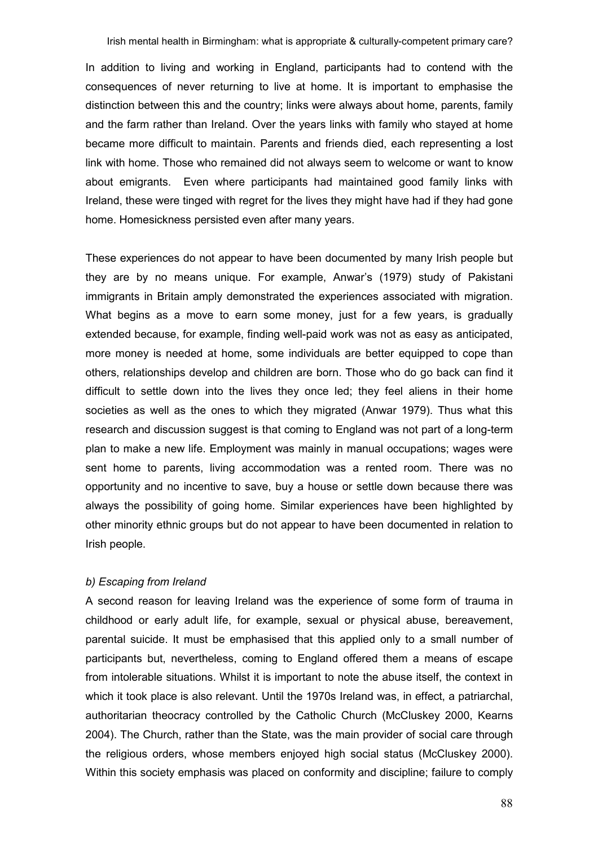In addition to living and working in England, participants had to contend with the consequences of never returning to live at home. It is important to emphasise the distinction between this and the country; links were always about home, parents, family and the farm rather than Ireland. Over the years links with family who stayed at home became more difficult to maintain. Parents and friends died, each representing a lost link with home. Those who remained did not always seem to welcome or want to know about emigrants. Even where participants had maintained good family links with Ireland, these were tinged with regret for the lives they might have had if they had gone home. Homesickness persisted even after many years.

These experiences do not appear to have been documented by many Irish people but they are by no means unique. For example, Anwar's (1979) study of Pakistani immigrants in Britain amply demonstrated the experiences associated with migration. What begins as a move to earn some money, just for a few years, is gradually extended because, for example, finding well-paid work was not as easy as anticipated, more money is needed at home, some individuals are better equipped to cope than others, relationships develop and children are born. Those who do go back can find it difficult to settle down into the lives they once led; they feel aliens in their home societies as well as the ones to which they migrated (Anwar 1979). Thus what this research and discussion suggest is that coming to England was not part of a long-term plan to make a new life. Employment was mainly in manual occupations; wages were sent home to parents, living accommodation was a rented room. There was no opportunity and no incentive to save, buy a house or settle down because there was always the possibility of going home. Similar experiences have been highlighted by other minority ethnic groups but do not appear to have been documented in relation to Irish people.

#### b) Escaping from Ireland

A second reason for leaving Ireland was the experience of some form of trauma in childhood or early adult life, for example, sexual or physical abuse, bereavement, parental suicide. It must be emphasised that this applied only to a small number of participants but, nevertheless, coming to England offered them a means of escape from intolerable situations. Whilst it is important to note the abuse itself, the context in which it took place is also relevant. Until the 1970s Ireland was, in effect, a patriarchal, authoritarian theocracy controlled by the Catholic Church (McCluskey 2000, Kearns 2004). The Church, rather than the State, was the main provider of social care through the religious orders, whose members enjoyed high social status (McCluskey 2000). Within this society emphasis was placed on conformity and discipline; failure to comply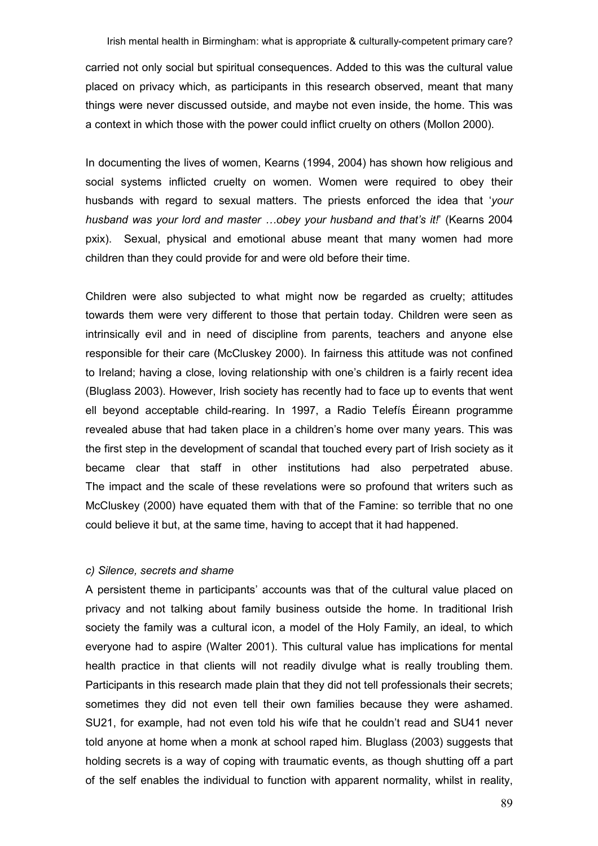carried not only social but spiritual consequences. Added to this was the cultural value placed on privacy which, as participants in this research observed, meant that many things were never discussed outside, and maybe not even inside, the home. This was a context in which those with the power could inflict cruelty on others (Mollon 2000).

In documenting the lives of women, Kearns (1994, 2004) has shown how religious and social systems inflicted cruelty on women. Women were required to obey their husbands with regard to sexual matters. The priests enforced the idea that 'your husband was your lord and master ...obey your husband and that's it!' (Kearns 2004 pxix). Sexual, physical and emotional abuse meant that many women had more children than they could provide for and were old before their time.

Children were also subjected to what might now be regarded as cruelty; attitudes towards them were very different to those that pertain today. Children were seen as intrinsically evil and in need of discipline from parents, teachers and anyone else responsible for their care (McCluskey 2000). In fairness this attitude was not confined to Ireland; having a close, loving relationship with one's children is a fairly recent idea (Bluglass 2003). However, Irish society has recently had to face up to events that went ell beyond acceptable child-rearing. In 1997, a Radio Telefís Éireann programme revealed abuse that had taken place in a children's home over many years. This was the first step in the development of scandal that touched every part of Irish society as it became clear that staff in other institutions had also perpetrated abuse. The impact and the scale of these revelations were so profound that writers such as McCluskey (2000) have equated them with that of the Famine: so terrible that no one could believe it but, at the same time, having to accept that it had happened.

### c) Silence, secrets and shame

A persistent theme in participants' accounts was that of the cultural value placed on privacy and not talking about family business outside the home. In traditional Irish society the family was a cultural icon, a model of the Holy Family, an ideal, to which everyone had to aspire (Walter 2001). This cultural value has implications for mental health practice in that clients will not readily divulge what is really troubling them. Participants in this research made plain that they did not tell professionals their secrets; sometimes they did not even tell their own families because they were ashamed. SU21, for example, had not even told his wife that he couldn't read and SU41 never told anyone at home when a monk at school raped him. Bluglass (2003) suggests that holding secrets is a way of coping with traumatic events, as though shutting off a part of the self enables the individual to function with apparent normality, whilst in reality,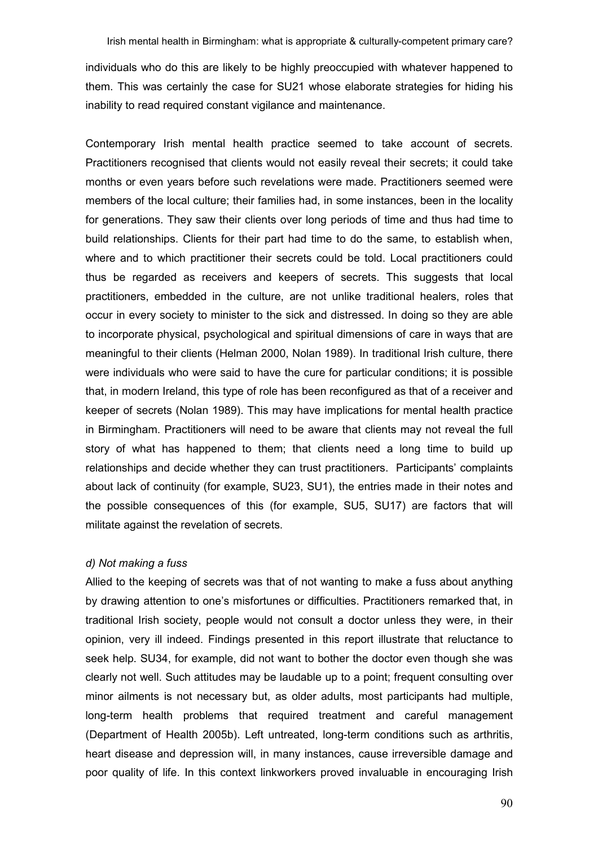individuals who do this are likely to be highly preoccupied with whatever happened to them. This was certainly the case for SU21 whose elaborate strategies for hiding his inability to read required constant vigilance and maintenance.

Contemporary Irish mental health practice seemed to take account of secrets. Practitioners recognised that clients would not easily reveal their secrets; it could take months or even years before such revelations were made. Practitioners seemed were members of the local culture; their families had, in some instances, been in the locality for generations. They saw their clients over long periods of time and thus had time to build relationships. Clients for their part had time to do the same, to establish when, where and to which practitioner their secrets could be told. Local practitioners could thus be regarded as receivers and keepers of secrets. This suggests that local practitioners, embedded in the culture, are not unlike traditional healers, roles that occur in every society to minister to the sick and distressed. In doing so they are able to incorporate physical, psychological and spiritual dimensions of care in ways that are meaningful to their clients (Helman 2000, Nolan 1989). In traditional Irish culture, there were individuals who were said to have the cure for particular conditions; it is possible that, in modern Ireland, this type of role has been reconfigured as that of a receiver and keeper of secrets (Nolan 1989). This may have implications for mental health practice in Birmingham. Practitioners will need to be aware that clients may not reveal the full story of what has happened to them; that clients need a long time to build up relationships and decide whether they can trust practitioners. Participants' complaints about lack of continuity (for example, SU23, SU1), the entries made in their notes and the possible consequences of this (for example, SU5, SU17) are factors that will militate against the revelation of secrets.

### d) Not making a fuss

Allied to the keeping of secrets was that of not wanting to make a fuss about anything by drawing attention to one's misfortunes or difficulties. Practitioners remarked that, in traditional Irish society, people would not consult a doctor unless they were, in their opinion, very ill indeed. Findings presented in this report illustrate that reluctance to seek help. SU34, for example, did not want to bother the doctor even though she was clearly not well. Such attitudes may be laudable up to a point; frequent consulting over minor ailments is not necessary but, as older adults, most participants had multiple, long-term health problems that required treatment and careful management (Department of Health 2005b). Left untreated, long-term conditions such as arthritis, heart disease and depression will, in many instances, cause irreversible damage and poor quality of life. In this context linkworkers proved invaluable in encouraging Irish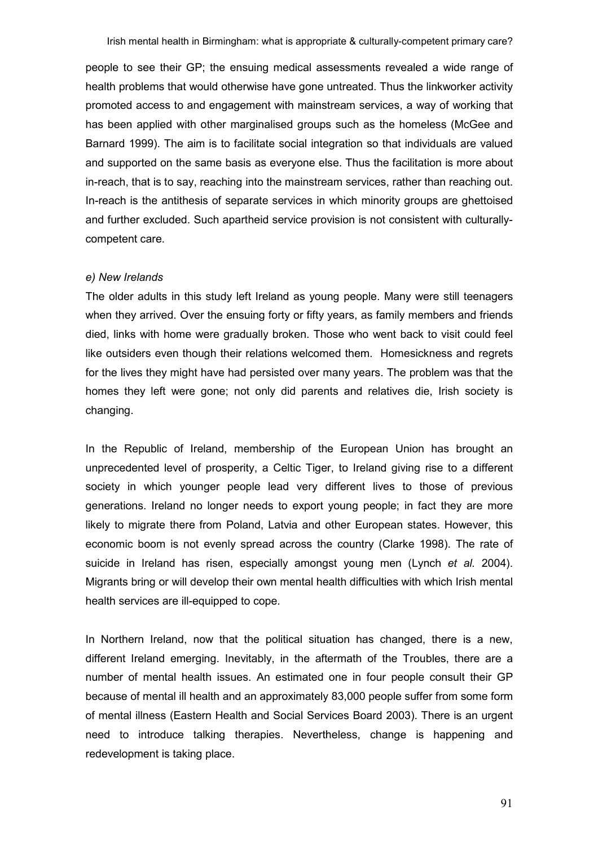people to see their GP; the ensuing medical assessments revealed a wide range of health problems that would otherwise have gone untreated. Thus the linkworker activity promoted access to and engagement with mainstream services, a way of working that has been applied with other marginalised groups such as the homeless (McGee and Barnard 1999). The aim is to facilitate social integration so that individuals are valued and supported on the same basis as everyone else. Thus the facilitation is more about in-reach, that is to say, reaching into the mainstream services, rather than reaching out. In-reach is the antithesis of separate services in which minority groups are ghettoised and further excluded. Such apartheid service provision is not consistent with culturallycompetent care.

#### e) New Irelands

The older adults in this study left Ireland as young people. Many were still teenagers when they arrived. Over the ensuing forty or fifty years, as family members and friends died, links with home were gradually broken. Those who went back to visit could feel like outsiders even though their relations welcomed them. Homesickness and regrets for the lives they might have had persisted over many years. The problem was that the homes they left were gone; not only did parents and relatives die, Irish society is changing.

In the Republic of Ireland, membership of the European Union has brought an unprecedented level of prosperity, a Celtic Tiger, to Ireland giving rise to a different society in which younger people lead very different lives to those of previous generations. Ireland no longer needs to export young people; in fact they are more likely to migrate there from Poland, Latvia and other European states. However, this economic boom is not evenly spread across the country (Clarke 1998). The rate of suicide in Ireland has risen, especially amongst young men (Lynch et al. 2004). Migrants bring or will develop their own mental health difficulties with which Irish mental health services are ill-equipped to cope.

In Northern Ireland, now that the political situation has changed, there is a new, different Ireland emerging. Inevitably, in the aftermath of the Troubles, there are a number of mental health issues. An estimated one in four people consult their GP because of mental ill health and an approximately 83,000 people suffer from some form of mental illness (Eastern Health and Social Services Board 2003). There is an urgent need to introduce talking therapies. Nevertheless, change is happening and redevelopment is taking place.

91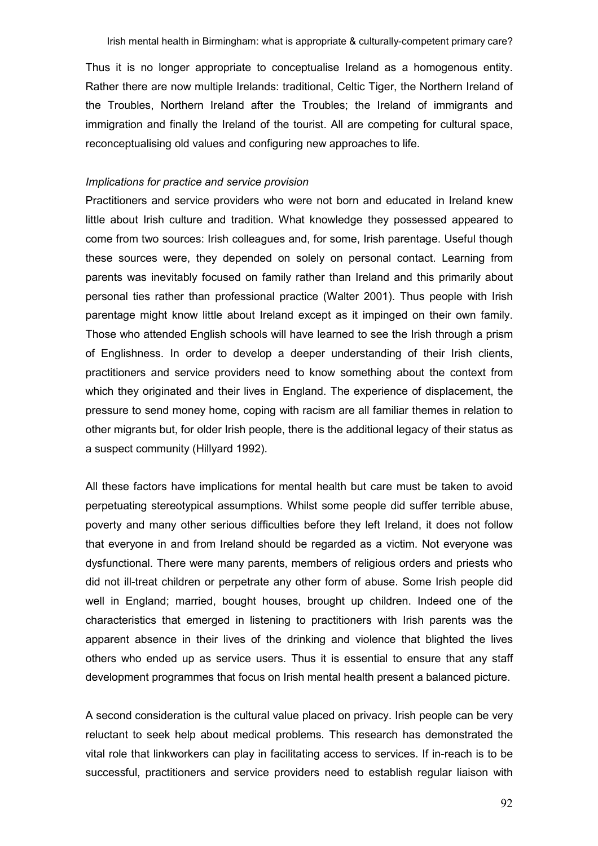Thus it is no longer appropriate to conceptualise Ireland as a homogenous entity. Rather there are now multiple Irelands: traditional, Celtic Tiger, the Northern Ireland of the Troubles, Northern Ireland after the Troubles; the Ireland of immigrants and immigration and finally the Ireland of the tourist. All are competing for cultural space, reconceptualising old values and configuring new approaches to life.

#### Implications for practice and service provision

Practitioners and service providers who were not born and educated in Ireland knew little about Irish culture and tradition. What knowledge they possessed appeared to come from two sources: Irish colleagues and, for some, Irish parentage. Useful though these sources were, they depended on solely on personal contact. Learning from parents was inevitably focused on family rather than Ireland and this primarily about personal ties rather than professional practice (Walter 2001). Thus people with Irish parentage might know little about Ireland except as it impinged on their own family. Those who attended English schools will have learned to see the Irish through a prism of Englishness. In order to develop a deeper understanding of their Irish clients, practitioners and service providers need to know something about the context from which they originated and their lives in England. The experience of displacement, the pressure to send money home, coping with racism are all familiar themes in relation to other migrants but, for older Irish people, there is the additional legacy of their status as a suspect community (Hillyard 1992).

All these factors have implications for mental health but care must be taken to avoid perpetuating stereotypical assumptions. Whilst some people did suffer terrible abuse, poverty and many other serious difficulties before they left Ireland, it does not follow that everyone in and from Ireland should be regarded as a victim. Not everyone was dysfunctional. There were many parents, members of religious orders and priests who did not ill-treat children or perpetrate any other form of abuse. Some Irish people did well in England; married, bought houses, brought up children. Indeed one of the characteristics that emerged in listening to practitioners with Irish parents was the apparent absence in their lives of the drinking and violence that blighted the lives others who ended up as service users. Thus it is essential to ensure that any staff development programmes that focus on Irish mental health present a balanced picture.

A second consideration is the cultural value placed on privacy. Irish people can be very reluctant to seek help about medical problems. This research has demonstrated the vital role that linkworkers can play in facilitating access to services. If in-reach is to be successful, practitioners and service providers need to establish regular liaison with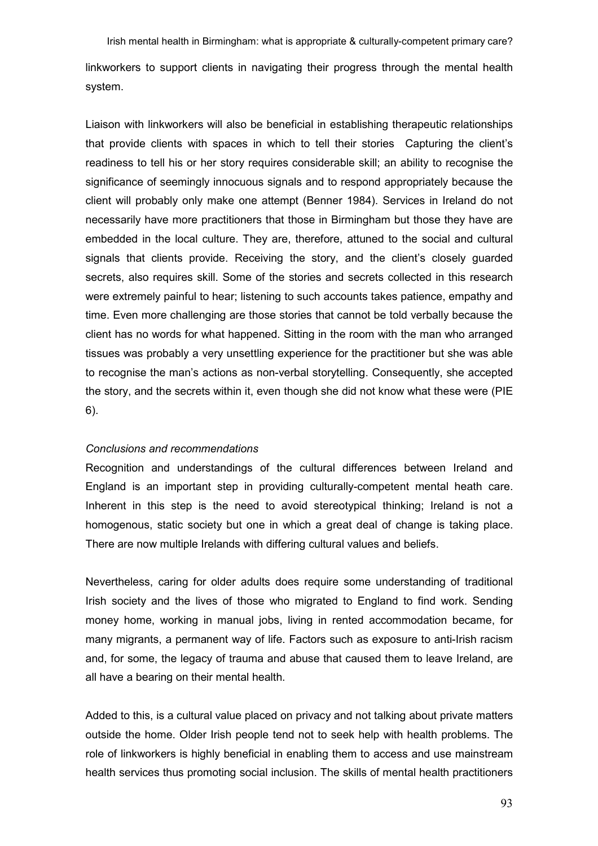Irish mental health in Birmingham: what is appropriate & culturally-competent primary care? linkworkers to support clients in navigating their progress through the mental health system.

Liaison with linkworkers will also be beneficial in establishing therapeutic relationships that provide clients with spaces in which to tell their stories Capturing the client's readiness to tell his or her story requires considerable skill; an ability to recognise the significance of seemingly innocuous signals and to respond appropriately because the client will probably only make one attempt (Benner 1984). Services in Ireland do not necessarily have more practitioners that those in Birmingham but those they have are embedded in the local culture. They are, therefore, attuned to the social and cultural signals that clients provide. Receiving the story, and the client's closely guarded secrets, also requires skill. Some of the stories and secrets collected in this research were extremely painful to hear; listening to such accounts takes patience, empathy and time. Even more challenging are those stories that cannot be told verbally because the client has no words for what happened. Sitting in the room with the man who arranged tissues was probably a very unsettling experience for the practitioner but she was able to recognise the man's actions as non-verbal storytelling. Consequently, she accepted the story, and the secrets within it, even though she did not know what these were (PIE 6).

# Conclusions and recommendations

Recognition and understandings of the cultural differences between Ireland and England is an important step in providing culturally-competent mental heath care. Inherent in this step is the need to avoid stereotypical thinking; Ireland is not a homogenous, static society but one in which a great deal of change is taking place. There are now multiple Irelands with differing cultural values and beliefs.

Nevertheless, caring for older adults does require some understanding of traditional Irish society and the lives of those who migrated to England to find work. Sending money home, working in manual jobs, living in rented accommodation became, for many migrants, a permanent way of life. Factors such as exposure to anti-Irish racism and, for some, the legacy of trauma and abuse that caused them to leave Ireland, are all have a bearing on their mental health.

Added to this, is a cultural value placed on privacy and not talking about private matters outside the home. Older Irish people tend not to seek help with health problems. The role of linkworkers is highly beneficial in enabling them to access and use mainstream health services thus promoting social inclusion. The skills of mental health practitioners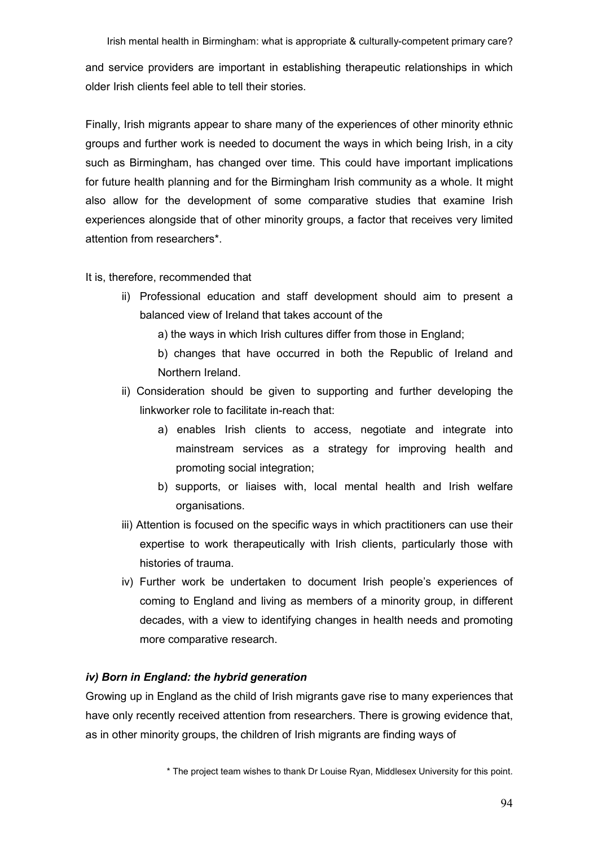and service providers are important in establishing therapeutic relationships in which older Irish clients feel able to tell their stories.

Finally, Irish migrants appear to share many of the experiences of other minority ethnic groups and further work is needed to document the ways in which being Irish, in a city such as Birmingham, has changed over time. This could have important implications for future health planning and for the Birmingham Irish community as a whole. It might also allow for the development of some comparative studies that examine Irish experiences alongside that of other minority groups, a factor that receives very limited attention from researchers\*.

# It is, therefore, recommended that

ii) Professional education and staff development should aim to present a balanced view of Ireland that takes account of the

a) the ways in which Irish cultures differ from those in England;

b) changes that have occurred in both the Republic of Ireland and Northern Ireland.

- ii) Consideration should be given to supporting and further developing the linkworker role to facilitate in-reach that:
	- a) enables Irish clients to access, negotiate and integrate into mainstream services as a strategy for improving health and promoting social integration;
	- b) supports, or liaises with, local mental health and Irish welfare organisations.
- iii) Attention is focused on the specific ways in which practitioners can use their expertise to work therapeutically with Irish clients, particularly those with histories of trauma.
- iv) Further work be undertaken to document Irish people's experiences of coming to England and living as members of a minority group, in different decades, with a view to identifying changes in health needs and promoting more comparative research.

# iv) Born in England: the hybrid generation

Growing up in England as the child of Irish migrants gave rise to many experiences that have only recently received attention from researchers. There is growing evidence that, as in other minority groups, the children of Irish migrants are finding ways of

<sup>\*</sup> The project team wishes to thank Dr Louise Ryan, Middlesex University for this point.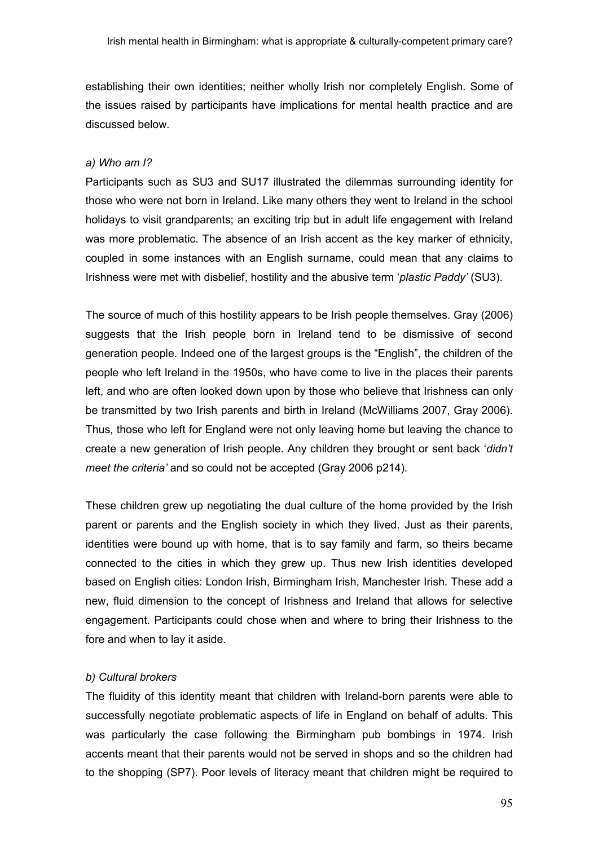establishing their own identities; neither wholly Irish nor completely English. Some of the issues raised by participants have implications for mental health practice and are discussed below.

### a) Who am I?

Participants such as SU3 and SU17 illustrated the dilemmas surrounding identity for those who were not born in Ireland. Like many others they went to Ireland in the school holidays to visit grandparents; an exciting trip but in adult life engagement with Ireland was more problematic. The absence of an Irish accent as the key marker of ethnicity, coupled in some instances with an English surname, could mean that any claims to Irishness were met with disbelief, hostility and the abusive term 'plastic Paddy' (SU3).

The source of much of this hostility appears to be Irish people themselves. Gray (2006) suggests that the Irish people born in Ireland tend to be dismissive of second generation people. Indeed one of the largest groups is the "English", the children of the people who left Ireland in the 1950s, who have come to live in the places their parents left, and who are often looked down upon by those who believe that Irishness can only be transmitted by two Irish parents and birth in Ireland (McWilliams 2007, Gray 2006). Thus, those who left for England were not only leaving home but leaving the chance to create a new generation of Irish people. Any children they brought or sent back 'didn't meet the criteria' and so could not be accepted (Gray 2006 p214).

These children grew up negotiating the dual culture of the home provided by the Irish parent or parents and the English society in which they lived. Just as their parents, identities were bound up with home, that is to say family and farm, so theirs became connected to the cities in which they grew up. Thus new Irish identities developed based on English cities: London Irish, Birmingham Irish, Manchester Irish. These add a new, fluid dimension to the concept of Irishness and Ireland that allows for selective engagement. Participants could chose when and where to bring their Irishness to the fore and when to lay it aside.

### b) Cultural brokers

The fluidity of this identity meant that children with Ireland-born parents were able to successfully negotiate problematic aspects of life in England on behalf of adults. This was particularly the case following the Birmingham pub bombings in 1974. Irish accents meant that their parents would not be served in shops and so the children had to the shopping (SP7). Poor levels of literacy meant that children might be required to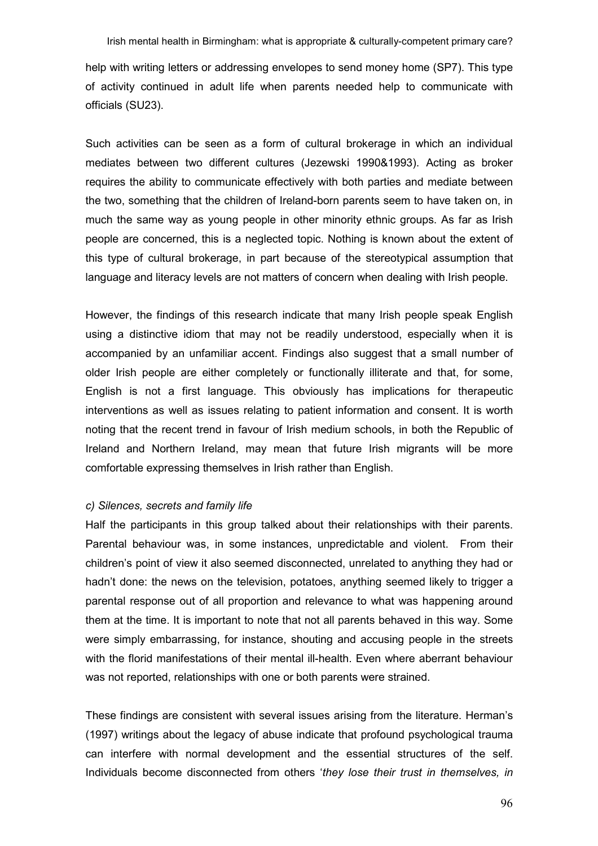help with writing letters or addressing envelopes to send money home (SP7). This type of activity continued in adult life when parents needed help to communicate with officials (SU23).

Such activities can be seen as a form of cultural brokerage in which an individual mediates between two different cultures (Jezewski 1990&1993). Acting as broker requires the ability to communicate effectively with both parties and mediate between the two, something that the children of Ireland-born parents seem to have taken on, in much the same way as young people in other minority ethnic groups. As far as Irish people are concerned, this is a neglected topic. Nothing is known about the extent of this type of cultural brokerage, in part because of the stereotypical assumption that language and literacy levels are not matters of concern when dealing with Irish people.

However, the findings of this research indicate that many Irish people speak English using a distinctive idiom that may not be readily understood, especially when it is accompanied by an unfamiliar accent. Findings also suggest that a small number of older Irish people are either completely or functionally illiterate and that, for some, English is not a first language. This obviously has implications for therapeutic interventions as well as issues relating to patient information and consent. It is worth noting that the recent trend in favour of Irish medium schools, in both the Republic of Ireland and Northern Ireland, may mean that future Irish migrants will be more comfortable expressing themselves in Irish rather than English.

#### c) Silences, secrets and family life

Half the participants in this group talked about their relationships with their parents. Parental behaviour was, in some instances, unpredictable and violent. From their children's point of view it also seemed disconnected, unrelated to anything they had or hadn't done: the news on the television, potatoes, anything seemed likely to trigger a parental response out of all proportion and relevance to what was happening around them at the time. It is important to note that not all parents behaved in this way. Some were simply embarrassing, for instance, shouting and accusing people in the streets with the florid manifestations of their mental ill-health. Even where aberrant behaviour was not reported, relationships with one or both parents were strained.

These findings are consistent with several issues arising from the literature. Herman's (1997) writings about the legacy of abuse indicate that profound psychological trauma can interfere with normal development and the essential structures of the self. Individuals become disconnected from others 'they lose their trust in themselves, in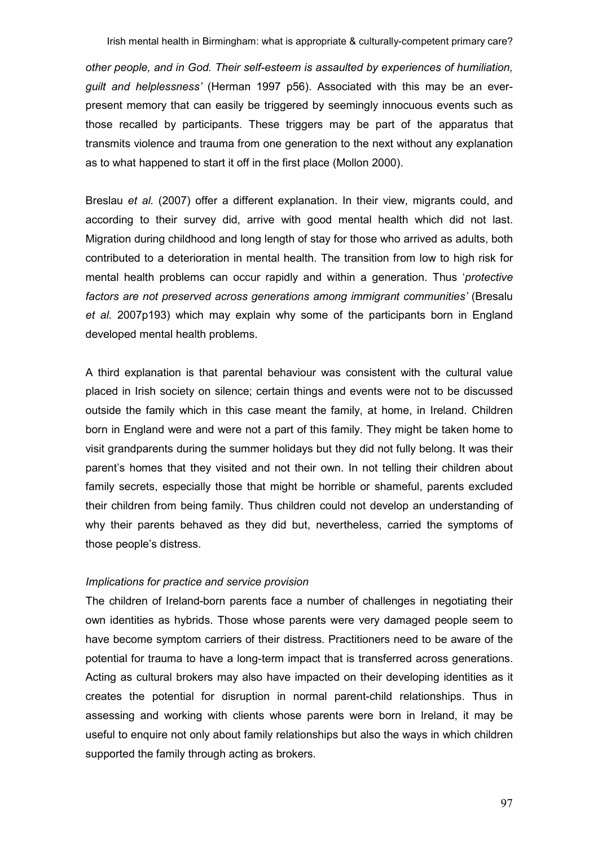other people, and in God. Their self-esteem is assaulted by experiences of humiliation, guilt and helplessness' (Herman 1997 p56). Associated with this may be an everpresent memory that can easily be triggered by seemingly innocuous events such as those recalled by participants. These triggers may be part of the apparatus that transmits violence and trauma from one generation to the next without any explanation as to what happened to start it off in the first place (Mollon 2000).

Breslau et al. (2007) offer a different explanation. In their view, migrants could, and according to their survey did, arrive with good mental health which did not last. Migration during childhood and long length of stay for those who arrived as adults, both contributed to a deterioration in mental health. The transition from low to high risk for mental health problems can occur rapidly and within a generation. Thus 'protective factors are not preserved across generations among immigrant communities' (Bresalu et al. 2007p193) which may explain why some of the participants born in England developed mental health problems.

A third explanation is that parental behaviour was consistent with the cultural value placed in Irish society on silence; certain things and events were not to be discussed outside the family which in this case meant the family, at home, in Ireland. Children born in England were and were not a part of this family. They might be taken home to visit grandparents during the summer holidays but they did not fully belong. It was their parent's homes that they visited and not their own. In not telling their children about family secrets, especially those that might be horrible or shameful, parents excluded their children from being family. Thus children could not develop an understanding of why their parents behaved as they did but, nevertheless, carried the symptoms of those people's distress.

### Implications for practice and service provision

The children of Ireland-born parents face a number of challenges in negotiating their own identities as hybrids. Those whose parents were very damaged people seem to have become symptom carriers of their distress. Practitioners need to be aware of the potential for trauma to have a long-term impact that is transferred across generations. Acting as cultural brokers may also have impacted on their developing identities as it creates the potential for disruption in normal parent-child relationships. Thus in assessing and working with clients whose parents were born in Ireland, it may be useful to enquire not only about family relationships but also the ways in which children supported the family through acting as brokers.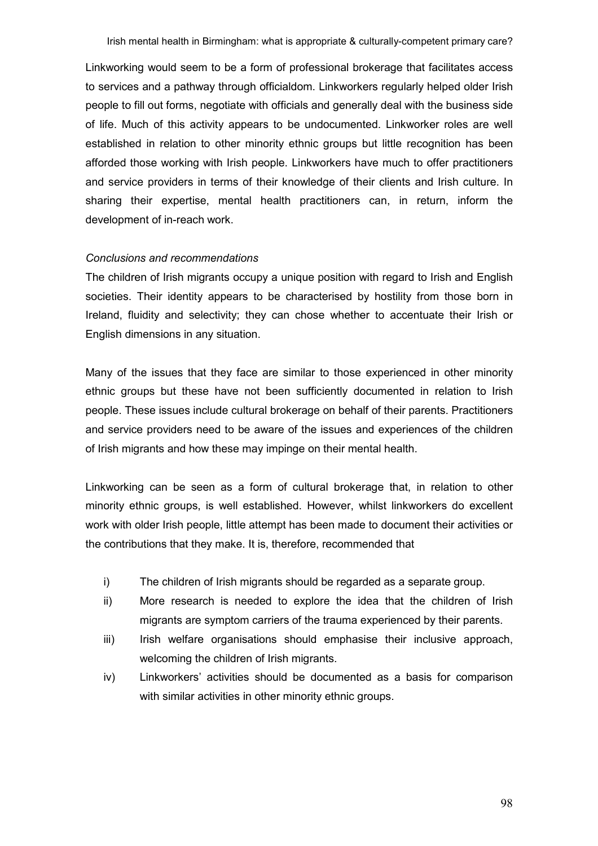Linkworking would seem to be a form of professional brokerage that facilitates access to services and a pathway through officialdom. Linkworkers regularly helped older Irish people to fill out forms, negotiate with officials and generally deal with the business side of life. Much of this activity appears to be undocumented. Linkworker roles are well established in relation to other minority ethnic groups but little recognition has been afforded those working with Irish people. Linkworkers have much to offer practitioners and service providers in terms of their knowledge of their clients and Irish culture. In sharing their expertise, mental health practitioners can, in return, inform the development of in-reach work.

## Conclusions and recommendations

The children of Irish migrants occupy a unique position with regard to Irish and English societies. Their identity appears to be characterised by hostility from those born in Ireland, fluidity and selectivity; they can chose whether to accentuate their Irish or English dimensions in any situation.

Many of the issues that they face are similar to those experienced in other minority ethnic groups but these have not been sufficiently documented in relation to Irish people. These issues include cultural brokerage on behalf of their parents. Practitioners and service providers need to be aware of the issues and experiences of the children of Irish migrants and how these may impinge on their mental health.

Linkworking can be seen as a form of cultural brokerage that, in relation to other minority ethnic groups, is well established. However, whilst linkworkers do excellent work with older Irish people, little attempt has been made to document their activities or the contributions that they make. It is, therefore, recommended that

- i) The children of Irish migrants should be regarded as a separate group.
- ii) More research is needed to explore the idea that the children of Irish migrants are symptom carriers of the trauma experienced by their parents.
- iii) Irish welfare organisations should emphasise their inclusive approach, welcoming the children of Irish migrants.
- iv) Linkworkers' activities should be documented as a basis for comparison with similar activities in other minority ethnic groups.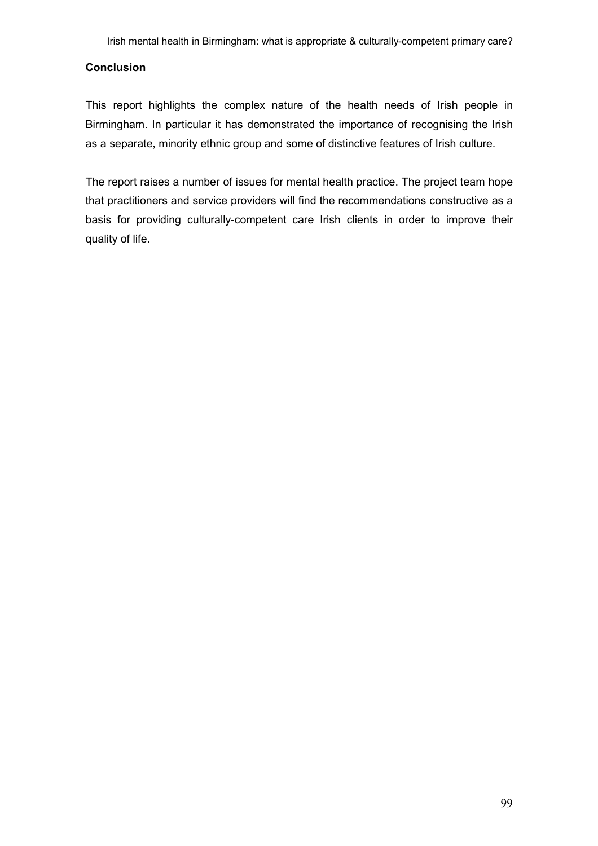# **Conclusion**

This report highlights the complex nature of the health needs of Irish people in Birmingham. In particular it has demonstrated the importance of recognising the Irish as a separate, minority ethnic group and some of distinctive features of Irish culture.

The report raises a number of issues for mental health practice. The project team hope that practitioners and service providers will find the recommendations constructive as a basis for providing culturally-competent care Irish clients in order to improve their quality of life.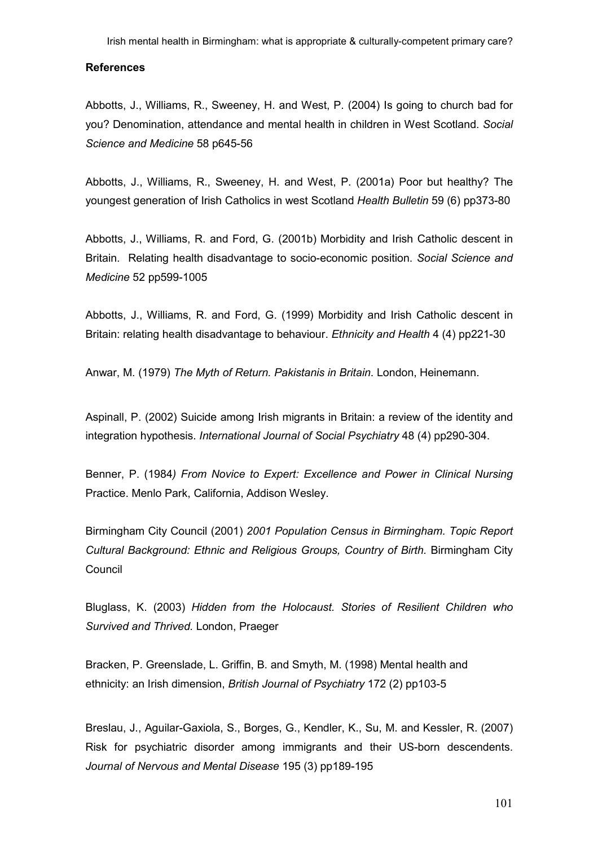#### **References**

Abbotts, J., Williams, R., Sweeney, H. and West, P. (2004) Is going to church bad for you? Denomination, attendance and mental health in children in West Scotland. Social Science and Medicine 58 p645-56

Abbotts, J., Williams, R., Sweeney, H. and West, P. (2001a) Poor but healthy? The youngest generation of Irish Catholics in west Scotland Health Bulletin 59 (6) pp373-80

Abbotts, J., Williams, R. and Ford, G. (2001b) Morbidity and Irish Catholic descent in Britain. Relating health disadvantage to socio-economic position. Social Science and Medicine 52 pp599-1005

Abbotts, J., Williams, R. and Ford, G. (1999) Morbidity and Irish Catholic descent in Britain: relating health disadvantage to behaviour. Ethnicity and Health 4 (4) pp221-30

Anwar, M. (1979) The Myth of Return. Pakistanis in Britain. London, Heinemann.

Aspinall, P. (2002) Suicide among Irish migrants in Britain: a review of the identity and integration hypothesis. International Journal of Social Psychiatry 48 (4) pp290-304.

Benner, P. (1984) From Novice to Expert: Excellence and Power in Clinical Nursing Practice. Menlo Park, California, Addison Wesley.

Birmingham City Council (2001) 2001 Population Census in Birmingham. Topic Report Cultural Background: Ethnic and Religious Groups, Country of Birth. Birmingham City **Council** 

Bluglass, K. (2003) Hidden from the Holocaust. Stories of Resilient Children who Survived and Thrived. London, Praeger

Bracken, P. Greenslade, L. Griffin, B. and Smyth, M. (1998) Mental health and ethnicity: an Irish dimension, British Journal of Psychiatry 172 (2) pp103-5

Breslau, J., Aguilar-Gaxiola, S., Borges, G., Kendler, K., Su, M. and Kessler, R. (2007) Risk for psychiatric disorder among immigrants and their US-born descendents. Journal of Nervous and Mental Disease 195 (3) pp189-195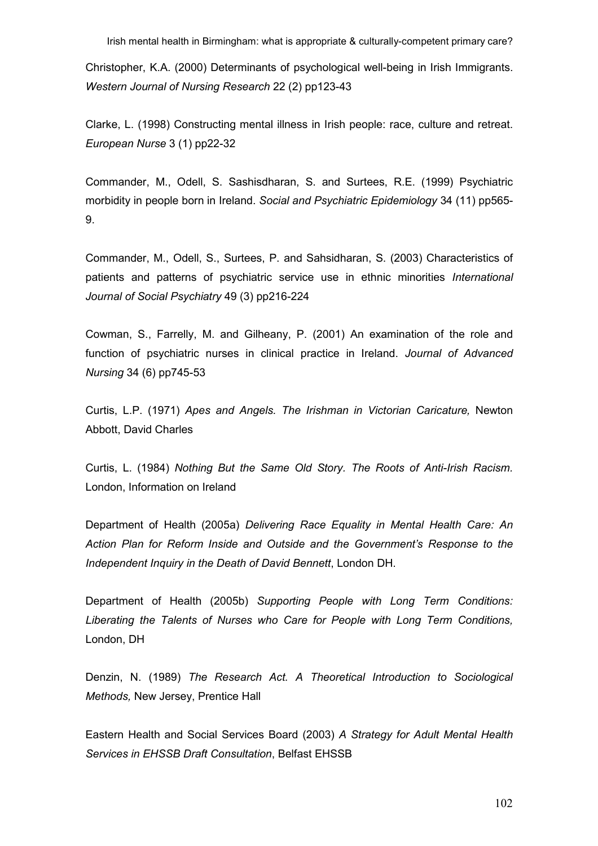Christopher, K.A. (2000) Determinants of psychological well-being in Irish Immigrants. Western Journal of Nursing Research 22 (2) pp123-43

Clarke, L. (1998) Constructing mental illness in Irish people: race, culture and retreat. European Nurse 3 (1) pp22-32

Commander, M., Odell, S. Sashisdharan, S. and Surtees, R.E. (1999) Psychiatric morbidity in people born in Ireland. Social and Psychiatric Epidemiology 34 (11) pp565- 9.

Commander, M., Odell, S., Surtees, P. and Sahsidharan, S. (2003) Characteristics of patients and patterns of psychiatric service use in ethnic minorities International Journal of Social Psychiatry 49 (3) pp216-224

Cowman, S., Farrelly, M. and Gilheany, P. (2001) An examination of the role and function of psychiatric nurses in clinical practice in Ireland. Journal of Advanced Nursing 34 (6) pp745-53

Curtis, L.P. (1971) Apes and Angels. The Irishman in Victorian Caricature, Newton Abbott, David Charles

Curtis, L. (1984) Nothing But the Same Old Story. The Roots of Anti-Irish Racism. London, Information on Ireland

Department of Health (2005a) Delivering Race Equality in Mental Health Care: An Action Plan for Reform Inside and Outside and the Government's Response to the Independent Inquiry in the Death of David Bennett, London DH.

Department of Health (2005b) Supporting People with Long Term Conditions: Liberating the Talents of Nurses who Care for People with Long Term Conditions, London, DH

Denzin, N. (1989) The Research Act. A Theoretical Introduction to Sociological Methods, New Jersey, Prentice Hall

Eastern Health and Social Services Board (2003) A Strategy for Adult Mental Health Services in EHSSB Draft Consultation, Belfast EHSSB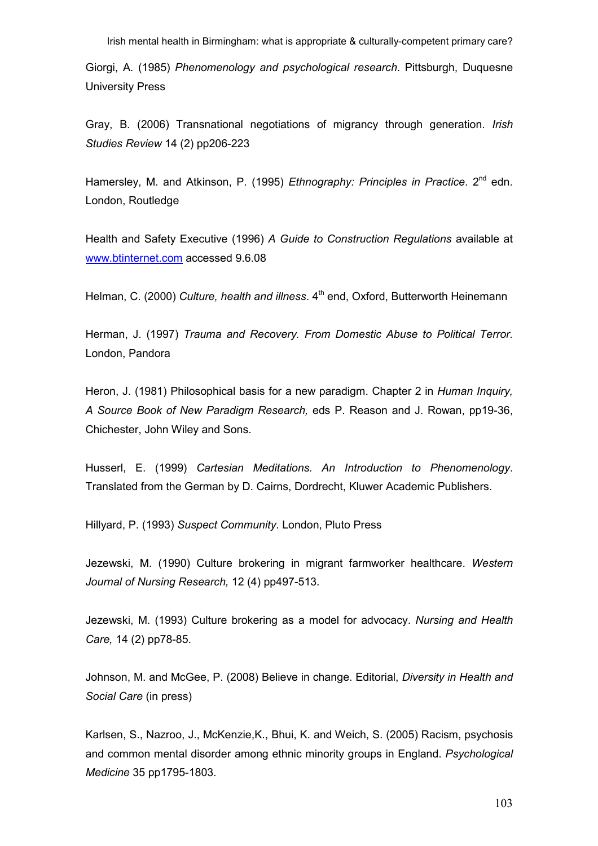Giorgi, A. (1985) Phenomenology and psychological research. Pittsburgh, Duquesne University Press

Gray, B. (2006) Transnational negotiations of migrancy through generation. Irish Studies Review 14 (2) pp206-223

Hamersley, M. and Atkinson, P. (1995) Ethnography: Principles in Practice, 2<sup>nd</sup> edn. London, Routledge

Health and Safety Executive (1996) A Guide to Construction Regulations available at www.btinternet.com accessed 9.6.08

Helman, C. (2000) Culture, health and illness,  $4<sup>th</sup>$  end, Oxford, Butterworth Heinemann

Herman, J. (1997) Trauma and Recovery. From Domestic Abuse to Political Terror. London, Pandora

Heron, J. (1981) Philosophical basis for a new paradigm. Chapter 2 in Human Inquiry, A Source Book of New Paradigm Research, eds P. Reason and J. Rowan, pp19-36, Chichester, John Wiley and Sons.

Husserl, E. (1999) Cartesian Meditations. An Introduction to Phenomenology. Translated from the German by D. Cairns, Dordrecht, Kluwer Academic Publishers.

Hillyard, P. (1993) Suspect Community. London, Pluto Press

Jezewski, M. (1990) Culture brokering in migrant farmworker healthcare. Western Journal of Nursing Research, 12 (4) pp497-513.

Jezewski, M. (1993) Culture brokering as a model for advocacy. Nursing and Health Care, 14 (2) pp78-85.

Johnson, M. and McGee, P. (2008) Believe in change. Editorial, *Diversity in Health and* Social Care (in press)

Karlsen, S., Nazroo, J., McKenzie,K., Bhui, K. and Weich, S. (2005) Racism, psychosis and common mental disorder among ethnic minority groups in England. Psychological Medicine 35 pp1795-1803.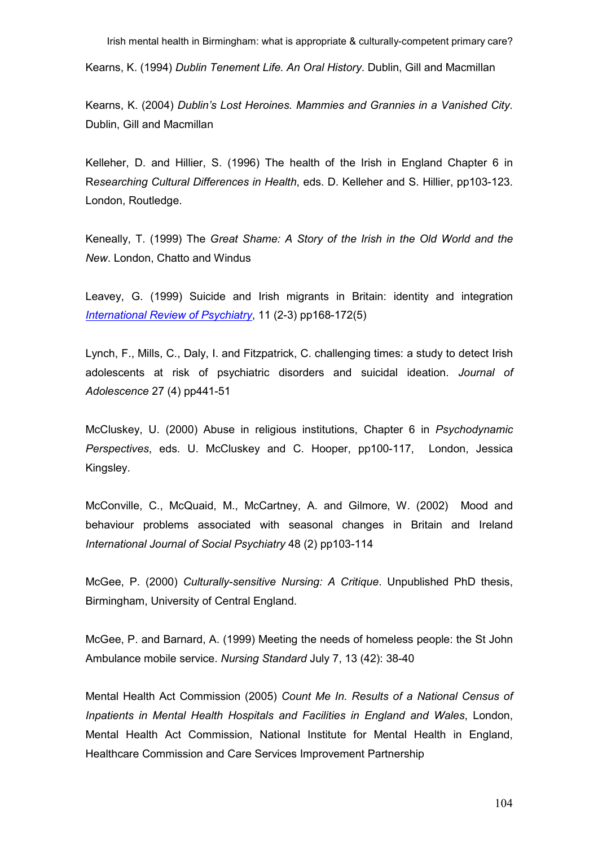Kearns, K. (1994) Dublin Tenement Life. An Oral History. Dublin, Gill and Macmillan

Kearns, K. (2004) Dublin's Lost Heroines. Mammies and Grannies in a Vanished City. Dublin, Gill and Macmillan

Kelleher, D. and Hillier, S. (1996) The health of the Irish in England Chapter 6 in Researching Cultural Differences in Health, eds. D. Kelleher and S. Hillier, pp103-123. London, Routledge.

Keneally, T. (1999) The Great Shame: A Story of the Irish in the Old World and the New. London, Chatto and Windus

Leavey, G. (1999) Suicide and Irish migrants in Britain: identity and integration International Review of Psychiatry, 11 (2-3) pp168-172(5)

Lynch, F., Mills, C., Daly, I. and Fitzpatrick, C. challenging times: a study to detect Irish adolescents at risk of psychiatric disorders and suicidal ideation. Journal of Adolescence 27 (4) pp441-51

McCluskey, U. (2000) Abuse in religious institutions, Chapter 6 in Psychodynamic Perspectives, eds. U. McCluskey and C. Hooper, pp100-117, London, Jessica Kingsley.

McConville, C., McQuaid, M., McCartney, A. and Gilmore, W. (2002) Mood and behaviour problems associated with seasonal changes in Britain and Ireland International Journal of Social Psychiatry 48 (2) pp103-114

McGee, P. (2000) Culturally-sensitive Nursing: A Critique. Unpublished PhD thesis, Birmingham, University of Central England.

McGee, P. and Barnard, A. (1999) Meeting the needs of homeless people: the St John Ambulance mobile service. Nursing Standard July 7, 13 (42): 38-40

Mental Health Act Commission (2005) Count Me In. Results of a National Census of Inpatients in Mental Health Hospitals and Facilities in England and Wales, London, Mental Health Act Commission, National Institute for Mental Health in England, Healthcare Commission and Care Services Improvement Partnership